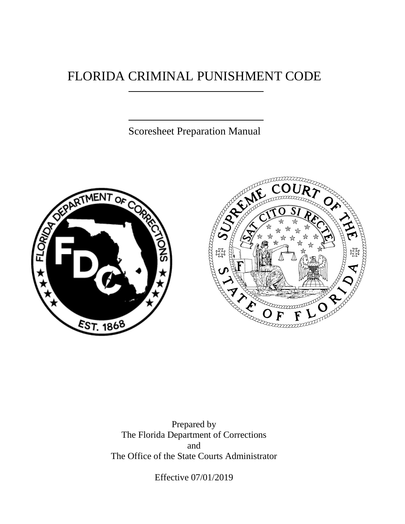### FLORIDA CRIMINAL PUNISHMENT CODE

Scoresheet Preparation Manual





Prepared by The Florida Department of Corrections and The Office of the State Courts Administrator

Effective 07/01/2019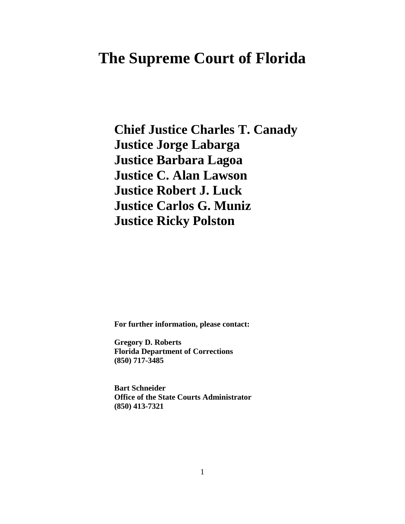### **The Supreme Court of Florida**

**Chief Justice Charles T. Canady Justice Jorge Labarga Justice Barbara Lagoa Justice C. Alan Lawson Justice Robert J. Luck Justice Carlos G. Muniz Justice Ricky Polston**

**For further information, please contact:**

**Gregory D. Roberts Florida Department of Corrections (850) 717-3485**

**Bart Schneider Office of the State Courts Administrator (850) 413-7321**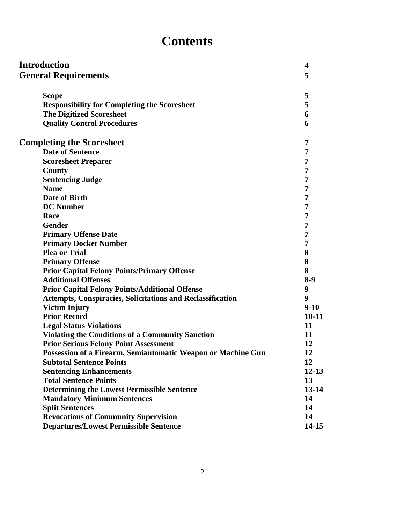## **Contents**

| <b>Introduction</b>                                               | $\boldsymbol{4}$ |  |  |
|-------------------------------------------------------------------|------------------|--|--|
| <b>General Requirements</b>                                       | 5                |  |  |
|                                                                   |                  |  |  |
| <b>Scope</b>                                                      | 5                |  |  |
| <b>Responsibility for Completing the Scoresheet</b>               | 5                |  |  |
| <b>The Digitized Scoresheet</b>                                   | 6                |  |  |
| <b>Quality Control Procedures</b>                                 | 6                |  |  |
| <b>Completing the Scoresheet</b>                                  |                  |  |  |
| <b>Date of Sentence</b>                                           | 7                |  |  |
| <b>Scoresheet Preparer</b>                                        | 7                |  |  |
| County                                                            | 7                |  |  |
| <b>Sentencing Judge</b>                                           | 7                |  |  |
| <b>Name</b>                                                       | 7                |  |  |
| <b>Date of Birth</b>                                              | 7                |  |  |
| <b>DC</b> Number                                                  | 7                |  |  |
| Race                                                              | 7                |  |  |
| <b>Gender</b>                                                     | 7                |  |  |
| <b>Primary Offense Date</b>                                       | 7                |  |  |
| <b>Primary Docket Number</b>                                      | 7                |  |  |
| <b>Plea or Trial</b>                                              | 8                |  |  |
| <b>Primary Offense</b>                                            | 8                |  |  |
| <b>Prior Capital Felony Points/Primary Offense</b>                | 8                |  |  |
| <b>Additional Offenses</b>                                        | $8-9$            |  |  |
| <b>Prior Capital Felony Points/Additional Offense</b>             | 9                |  |  |
| <b>Attempts, Conspiracies, Solicitations and Reclassification</b> | 9                |  |  |
| <b>Victim Injury</b>                                              | $9-10$           |  |  |
| <b>Prior Record</b>                                               | $10 - 11$        |  |  |
| <b>Legal Status Violations</b>                                    | 11               |  |  |
| <b>Violating the Conditions of a Community Sanction</b>           | 11               |  |  |
| <b>Prior Serious Felony Point Assessment</b>                      | 12               |  |  |
| Possession of a Firearm, Semiautomatic Weapon or Machine Gun      | 12               |  |  |
| <b>Subtotal Sentence Points</b>                                   | 12               |  |  |
| <b>Sentencing Enhancements</b>                                    | $12 - 13$        |  |  |
| <b>Total Sentence Points</b>                                      | 13               |  |  |
| <b>Determining the Lowest Permissible Sentence</b>                | $13 - 14$        |  |  |
| <b>Mandatory Minimum Sentences</b>                                | 14               |  |  |
| <b>Split Sentences</b>                                            | 14               |  |  |
| <b>Revocations of Community Supervision</b>                       | 14               |  |  |
| <b>Departures/Lowest Permissible Sentence</b>                     | $14 - 15$        |  |  |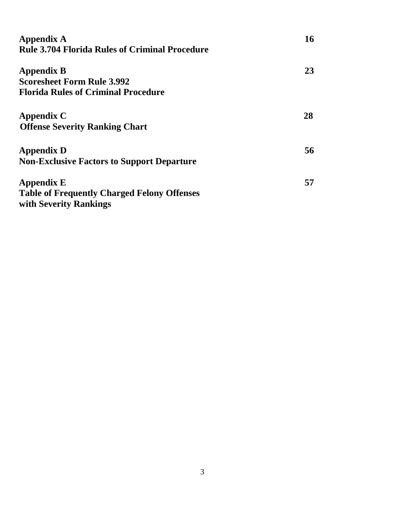| <b>Appendix A</b>                                     | 16 |  |  |  |  |
|-------------------------------------------------------|----|--|--|--|--|
| <b>Rule 3.704 Florida Rules of Criminal Procedure</b> |    |  |  |  |  |
| <b>Appendix B</b>                                     | 23 |  |  |  |  |
| <b>Scoresheet Form Rule 3.992</b>                     |    |  |  |  |  |
| <b>Florida Rules of Criminal Procedure</b>            |    |  |  |  |  |
| <b>Appendix C</b>                                     | 28 |  |  |  |  |
| <b>Offense Severity Ranking Chart</b>                 |    |  |  |  |  |
| <b>Appendix D</b>                                     | 56 |  |  |  |  |
| <b>Non-Exclusive Factors to Support Departure</b>     |    |  |  |  |  |
| <b>Appendix E</b>                                     | 57 |  |  |  |  |
| <b>Table of Frequently Charged Felony Offenses</b>    |    |  |  |  |  |
| with Severity Rankings                                |    |  |  |  |  |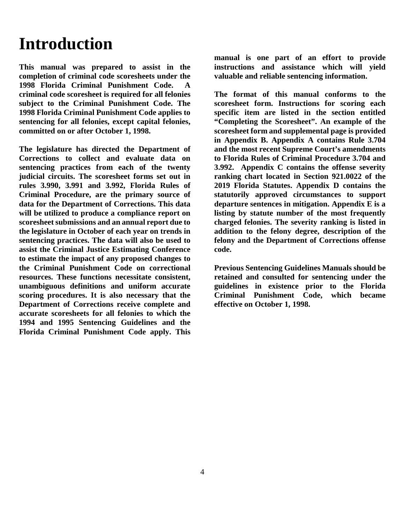# **Introduction**

**This manual was prepared to assist in the completion of criminal code scoresheets under the 1998 Florida Criminal Punishment Code. A criminal code scoresheet is required for all felonies subject to the Criminal Punishment Code. The 1998 Florida Criminal Punishment Code applies to sentencing for all felonies, except capital felonies, committed on or after October 1, 1998.**

**The legislature has directed the Department of Corrections to collect and evaluate data on sentencing practices from each of the twenty judicial circuits. The scoresheet forms set out in rules 3.990, 3.991 and 3.992, Florida Rules of Criminal Procedure, are the primary source of data for the Department of Corrections. This data will be utilized to produce a compliance report on scoresheet submissions and an annual report due to the legislature in October of each year on trends in sentencing practices. The data will also be used to assist the Criminal Justice Estimating Conference to estimate the impact of any proposed changes to the Criminal Punishment Code on correctional resources. These functions necessitate consistent, unambiguous definitions and uniform accurate scoring procedures. It is also necessary that the Department of Corrections receive complete and accurate scoresheets for all felonies to which the 1994 and 1995 Sentencing Guidelines and the Florida Criminal Punishment Code apply. This** 

**manual is one part of an effort to provide instructions and assistance which will yield valuable and reliable sentencing information.**

**The format of this manual conforms to the scoresheet form. Instructions for scoring each specific item are listed in the section entitled "Completing the Scoresheet". An example of the scoresheet form and supplemental page is provided in Appendix B. Appendix A contains Rule 3.704 and the most recent Supreme Court's amendments to Florida Rules of Criminal Procedure 3.704 and 3.992. Appendix C contains the offense severity ranking chart located in Section 921.0022 of the 2019 Florida Statutes. Appendix D contains the statutorily approved circumstances to support departure sentences in mitigation. Appendix E is a listing by statute number of the most frequently charged felonies. The severity ranking is listed in addition to the felony degree, description of the felony and the Department of Corrections offense code.** 

**Previous Sentencing Guidelines Manuals should be retained and consulted for sentencing under the guidelines in existence prior to the Florida Criminal Punishment Code, which became effective on October 1, 1998.**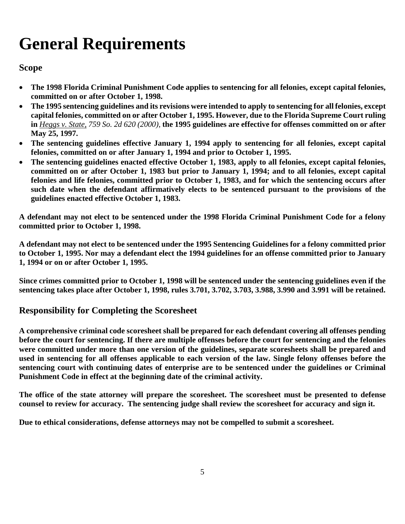# **General Requirements**

#### **Scope**

- **The 1998 Florida Criminal Punishment Code applies to sentencing for all felonies, except capital felonies, committed on or after October 1, 1998.**
- **The 1995 sentencing guidelines and its revisions were intended to apply to sentencing for all felonies, except capital felonies, committed on or after October 1, 1995. However, due to the Florida Supreme Court ruling in** *Heggs v. State, 759 So. 2d 620 (2000),* **the 1995 guidelines are effective for offenses committed on or after May 25, 1997.**
- **The sentencing guidelines effective January 1, 1994 apply to sentencing for all felonies, except capital felonies, committed on or after January 1, 1994 and prior to October 1, 1995.**
- **The sentencing guidelines enacted effective October 1, 1983, apply to all felonies, except capital felonies, committed on or after October 1, 1983 but prior to January 1, 1994; and to all felonies, except capital felonies and life felonies, committed prior to October 1, 1983, and for which the sentencing occurs after such date when the defendant affirmatively elects to be sentenced pursuant to the provisions of the guidelines enacted effective October 1, 1983.**

**A defendant may not elect to be sentenced under the 1998 Florida Criminal Punishment Code for a felony committed prior to October 1, 1998.** 

**A defendant may not elect to be sentenced under the 1995 Sentencing Guidelines for a felony committed prior to October 1, 1995. Nor may a defendant elect the 1994 guidelines for an offense committed prior to January 1, 1994 or on or after October 1, 1995.**

**Since crimes committed prior to October 1, 1998 will be sentenced under the sentencing guidelines even if the sentencing takes place after October 1, 1998, rules 3.701, 3.702, 3.703, 3.988, 3.990 and 3.991 will be retained.** 

### **Responsibility for Completing the Scoresheet**

**A comprehensive criminal code scoresheet shall be prepared for each defendant covering all offenses pending before the court for sentencing. If there are multiple offenses before the court for sentencing and the felonies were committed under more than one version of the guidelines, separate scoresheets shall be prepared and used in sentencing for all offenses applicable to each version of the law. Single felony offenses before the sentencing court with continuing dates of enterprise are to be sentenced under the guidelines or Criminal Punishment Code in effect at the beginning date of the criminal activity.**

**The office of the state attorney will prepare the scoresheet. The scoresheet must be presented to defense counsel to review for accuracy. The sentencing judge shall review the scoresheet for accuracy and sign it.**

**Due to ethical considerations, defense attorneys may not be compelled to submit a scoresheet.**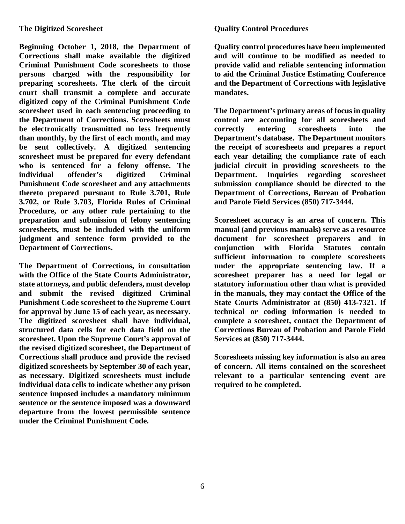**Beginning October 1, 2018, the Department of Corrections shall make available the digitized Criminal Punishment Code scoresheets to those persons charged with the responsibility for preparing scoresheets. The clerk of the circuit court shall transmit a complete and accurate digitized copy of the Criminal Punishment Code scoresheet used in each sentencing proceeding to the Department of Corrections. Scoresheets must be electronically transmitted no less frequently than monthly, by the first of each month, and may be sent collectively. A digitized sentencing scoresheet must be prepared for every defendant who is sentenced for a felony offense. The individual offender's digitized Criminal Punishment Code scoresheet and any attachments thereto prepared pursuant to Rule 3.701, Rule 3.702, or Rule 3.703, Florida Rules of Criminal Procedure, or any other rule pertaining to the preparation and submission of felony sentencing scoresheets, must be included with the uniform judgment and sentence form provided to the Department of Corrections.**

**The Department of Corrections, in consultation with the Office of the State Courts Administrator, state attorneys, and public defenders, must develop and submit the revised digitized Criminal Punishment Code scoresheet to the Supreme Court for approval by June 15 of each year, as necessary. The digitized scoresheet shall have individual, structured data cells for each data field on the scoresheet. Upon the Supreme Court's approval of the revised digitized scoresheet, the Department of Corrections shall produce and provide the revised digitized scoresheets by September 30 of each year, as necessary. Digitized scoresheets must include individual data cells to indicate whether any prison sentence imposed includes a mandatory minimum sentence or the sentence imposed was a downward departure from the lowest permissible sentence under the Criminal Punishment Code.**

#### **Quality Control Procedures**

**Quality control procedures have been implemented and will continue to be modified as needed to provide valid and reliable sentencing information to aid the Criminal Justice Estimating Conference and the Department of Corrections with legislative mandates.**

**The Department's primary areas of focus in quality control are accounting for all scoresheets and correctly entering scoresheets into the Department's database. The Department monitors the receipt of scoresheets and prepares a report each year detailing the compliance rate of each judicial circuit in providing scoresheets to the Department. Inquiries regarding scoresheet submission compliance should be directed to the Department of Corrections, Bureau of Probation and Parole Field Services (850) 717-3444.**

**Scoresheet accuracy is an area of concern. This manual (and previous manuals) serve as a resource document for scoresheet preparers and in conjunction with Florida Statutes contain sufficient information to complete scoresheets under the appropriate sentencing law. If a scoresheet preparer has a need for legal or statutory information other than what is provided in the manuals, they may contact the Office of the State Courts Administrator at (850) 413-7321. If technical or coding information is needed to complete a scoresheet, contact the Department of Corrections Bureau of Probation and Parole Field Services at (850) 717-3444.**

**Scoresheets missing key information is also an area of concern. All items contained on the scoresheet relevant to a particular sentencing event are required to be completed.**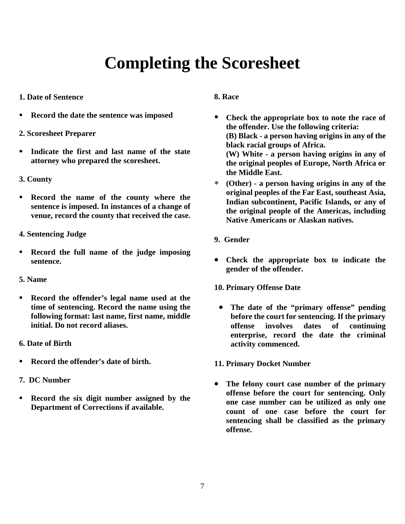## **Completing the Scoresheet**

- **1. Date of Sentence**
- **Record the date the sentence was imposed**
- **2. Scoresheet Preparer**
- **Indicate the first and last name of the state attorney who prepared the scoresheet.**
- **3. County**
- **Record the name of the county where the sentence is imposed. In instances of a change of venue, record the county that received the case.**
- **4. Sentencing Judge**
- **Record the full name of the judge imposing sentence.**
- **5. Name**
- **Record the offender's legal name used at the time of sentencing. Record the name using the following format: last name, first name, middle initial. Do not record aliases.**
- **6. Date of Birth**
- **Record the offender's date of birth.**
- **7. DC Number**
- **Record the six digit number assigned by the Department of Corrections if available.**

#### **8. Race**

- **Check the appropriate box to note the race of the offender. Use the following criteria: (B) Black - a person having origins in any of the black racial groups of Africa. (W) White - a person having origins in any of the original peoples of Europe, North Africa or the Middle East.**
- ∗ **(Other) - a person having origins in any of the original peoples of the Far East, southeast Asia, Indian subcontinent, Pacific Islands, or any of the original people of the Americas, including Native Americans or Alaskan natives.**
- **9. Gender**
- **Check the appropriate box to indicate the gender of the offender.**
- **10. Primary Offense Date**
- **The date of the "primary offense" pending before the court for sentencing. If the primary offense involves dates of continuing enterprise, record the date the criminal activity commenced.**

#### **11. Primary Docket Number**

• **The felony court case number of the primary offense before the court for sentencing. Only one case number can be utilized as only one count of one case before the court for sentencing shall be classified as the primary offense.**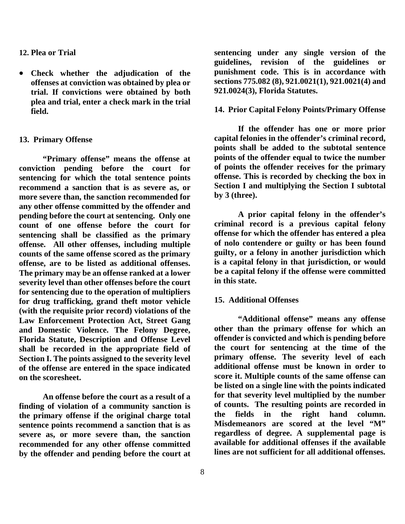#### **12. Plea or Trial**

• **Check whether the adjudication of the offenses at conviction was obtained by plea or trial. If convictions were obtained by both plea and trial, enter a check mark in the trial field.**

#### **13. Primary Offense**

**"Primary offense" means the offense at conviction pending before the court for sentencing for which the total sentence points recommend a sanction that is as severe as, or more severe than, the sanction recommended for any other offense committed by the offender and pending before the court at sentencing. Only one count of one offense before the court for sentencing shall be classified as the primary offense. All other offenses, including multiple counts of the same offense scored as the primary offense, are to be listed as additional offenses. The primary may be an offense ranked at a lower severity level than other offenses before the court for sentencing due to the operation of multipliers for drug trafficking, grand theft motor vehicle (with the requisite prior record) violations of the Law Enforcement Protection Act, Street Gang and Domestic Violence. The Felony Degree, Florida Statute, Description and Offense Level shall be recorded in the appropriate field of Section I. The points assigned to the severity level of the offense are entered in the space indicated on the scoresheet.** 

**An offense before the court as a result of a finding of violation of a community sanction is the primary offense if the original charge total sentence points recommend a sanction that is as severe as, or more severe than, the sanction recommended for any other offense committed by the offender and pending before the court at** 

**sentencing under any single version of the guidelines, revision of the guidelines or punishment code. This is in accordance with sections 775.082 (8), 921.0021(1), 921.0021(4) and 921.0024(3), Florida Statutes.**

#### **14. Prior Capital Felony Points/Primary Offense**

**If the offender has one or more prior capital felonies in the offender's criminal record, points shall be added to the subtotal sentence points of the offender equal to twice the number of points the offender receives for the primary offense. This is recorded by checking the box in Section I and multiplying the Section I subtotal by 3 (three).**

**A prior capital felony in the offender's criminal record is a previous capital felony offense for which the offender has entered a plea of nolo contendere or guilty or has been found guilty, or a felony in another jurisdiction which is a capital felony in that jurisdiction, or would be a capital felony if the offense were committed in this state.**

#### **15. Additional Offenses**

**"Additional offense" means any offense other than the primary offense for which an offender is convicted and which is pending before the court for sentencing at the time of the primary offense. The severity level of each additional offense must be known in order to score it. Multiple counts of the same offense can be listed on a single line with the points indicated for that severity level multiplied by the number of counts. The resulting points are recorded in the fields in the right hand column. Misdemeanors are scored at the level "M" regardless of degree. A supplemental page is available for additional offenses if the available lines are not sufficient for all additional offenses.**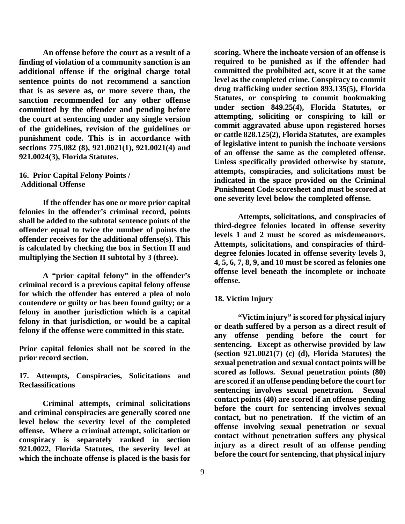**An offense before the court as a result of a finding of violation of a community sanction is an additional offense if the original charge total sentence points do not recommend a sanction that is as severe as, or more severe than, the sanction recommended for any other offense committed by the offender and pending before the court at sentencing under any single version of the guidelines, revision of the guidelines or punishment code. This is in accordance with sections 775.082 (8), 921.0021(1), 921.0021(4) and 921.0024(3), Florida Statutes.**

#### **16. Prior Capital Felony Points / Additional Offense**

**If the offender has one or more prior capital felonies in the offender's criminal record, points shall be added to the subtotal sentence points of the offender equal to twice the number of points the offender receives for the additional offense(s). This is calculated by checking the box in Section II and multiplying the Section II subtotal by 3 (three).**

**A "prior capital felony" in the offender's criminal record is a previous capital felony offense for which the offender has entered a plea of nolo contendere or guilty or has been found guilty; or a felony in another jurisdiction which is a capital felony in that jurisdiction, or would be a capital felony if the offense were committed in this state.** 

**Prior capital felonies shall not be scored in the prior record section.**

**17. Attempts, Conspiracies, Solicitations and Reclassifications**

**Criminal attempts, criminal solicitations and criminal conspiracies are generally scored one level below the severity level of the completed offense. Where a criminal attempt, solicitation or conspiracy is separately ranked in section 921.0022, Florida Statutes, the severity level at which the inchoate offense is placed is the basis for** 

**scoring. Where the inchoate version of an offense is required to be punished as if the offender had committed the prohibited act, score it at the same level as the completed crime. Conspiracy to commit drug trafficking under section 893.135(5), Florida Statutes, or conspiring to commit bookmaking under section 849.25(4), Florida Statutes, or attempting, soliciting or conspiring to kill or commit aggravated abuse upon registered horses or cattle 828.125(2), Florida Statutes, are examples of legislative intent to punish the inchoate versions of an offense the same as the completed offense. Unless specifically provided otherwise by statute, attempts, conspiracies, and solicitations must be indicated in the space provided on the Criminal Punishment Code scoresheet and must be scored at one severity level below the completed offense.**

**Attempts, solicitations, and conspiracies of third-degree felonies located in offense severity levels 1 and 2 must be scored as misdemeanors. Attempts, solicitations, and conspiracies of thirddegree felonies located in offense severity levels 3, 4, 5, 6, 7, 8, 9, and 10 must be scored as felonies one offense level beneath the incomplete or inchoate offense.**

#### **18. Victim Injury**

**"Victim injury" is scored for physical injury or death suffered by a person as a direct result of any offense pending before the court for sentencing. Except as otherwise provided by law (section 921.0021(7) (c) (d), Florida Statutes) the sexual penetration and sexual contact points will be scored as follows. Sexual penetration points (80) are scored if an offense pending before the court for sentencing involves sexual penetration. Sexual contact points (40) are scored if an offense pending before the court for sentencing involves sexual contact, but no penetration. If the victim of an offense involving sexual penetration or sexual contact without penetration suffers any physical injury as a direct result of an offense pending before the court for sentencing, that physical injury**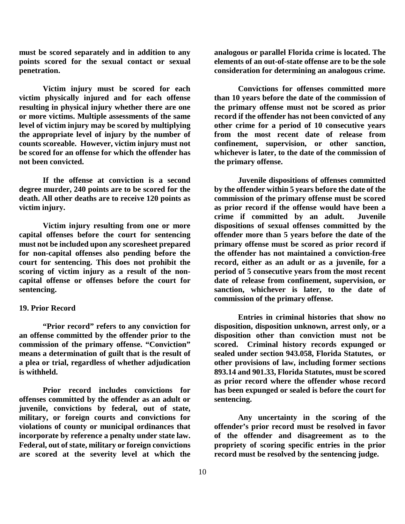**must be scored separately and in addition to any points scored for the sexual contact or sexual penetration.**

**Victim injury must be scored for each victim physically injured and for each offense resulting in physical injury whether there are one or more victims. Multiple assessments of the same level of victim injury may be scored by multiplying the appropriate level of injury by the number of counts scoreable. However, victim injury must not be scored for an offense for which the offender has not been convicted.**

**If the offense at conviction is a second degree murder, 240 points are to be scored for the death. All other deaths are to receive 120 points as victim injury.**

**Victim injury resulting from one or more capital offenses before the court for sentencing must not be included upon any scoresheet prepared for non-capital offenses also pending before the court for sentencing. This does not prohibit the scoring of victim injury as a result of the noncapital offense or offenses before the court for sentencing.**

#### **19. Prior Record**

**"Prior record" refers to any conviction for an offense committed by the offender prior to the commission of the primary offense. "Conviction" means a determination of guilt that is the result of a plea or trial, regardless of whether adjudication is withheld.**

**Prior record includes convictions for offenses committed by the offender as an adult or juvenile, convictions by federal, out of state, military, or foreign courts and convictions for violations of county or municipal ordinances that incorporate by reference a penalty under state law. Federal, out of state, military or foreign convictions are scored at the severity level at which the** 

**analogous or parallel Florida crime is located. The elements of an out-of-state offense are to be the sole consideration for determining an analogous crime.**

**Convictions for offenses committed more than 10 years before the date of the commission of the primary offense must not be scored as prior record if the offender has not been convicted of any other crime for a period of 10 consecutive years from the most recent date of release from confinement, supervision, or other sanction, whichever is later, to the date of the commission of the primary offense.**

**Juvenile dispositions of offenses committed by the offender within 5 years before the date of the commission of the primary offense must be scored as prior record if the offense would have been a crime if committed by an adult. Juvenile dispositions of sexual offenses committed by the offender more than 5 years before the date of the primary offense must be scored as prior record if the offender has not maintained a conviction-free record, either as an adult or as a juvenile, for a period of 5 consecutive years from the most recent date of release from confinement, supervision, or sanction, whichever is later, to the date of commission of the primary offense.**

**Entries in criminal histories that show no disposition, disposition unknown, arrest only, or a disposition other than conviction must not be scored. Criminal history records expunged or sealed under section 943.058, Florida Statutes, or other provisions of law, including former sections 893.14 and 901.33, Florida Statutes, must be scored as prior record where the offender whose record has been expunged or sealed is before the court for sentencing.**

**Any uncertainty in the scoring of the offender's prior record must be resolved in favor of the offender and disagreement as to the propriety of scoring specific entries in the prior record must be resolved by the sentencing judge.**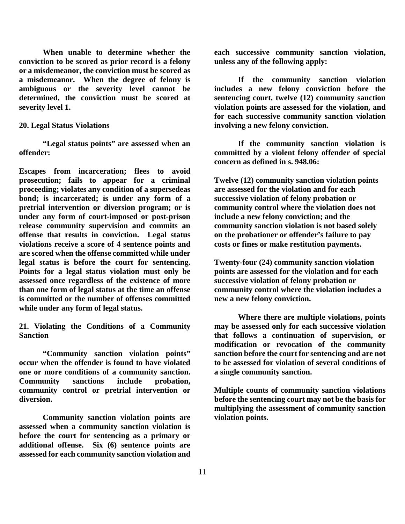**When unable to determine whether the conviction to be scored as prior record is a felony or a misdemeanor, the conviction must be scored as a misdemeanor. When the degree of felony is ambiguous or the severity level cannot be determined, the conviction must be scored at severity level 1.**

#### **20. Legal Status Violations**

**"Legal status points" are assessed when an offender:**

**Escapes from incarceration; flees to avoid prosecution; fails to appear for a criminal proceeding; violates any condition of a supersedeas bond; is incarcerated; is under any form of a pretrial intervention or diversion program; or is under any form of court-imposed or post-prison release community supervision and commits an offense that results in conviction. Legal status violations receive a score of 4 sentence points and are scored when the offense committed while under legal status is before the court for sentencing. Points for a legal status violation must only be assessed once regardless of the existence of more than one form of legal status at the time an offense is committed or the number of offenses committed while under any form of legal status.**

**21. Violating the Conditions of a Community Sanction**

**"Community sanction violation points" occur when the offender is found to have violated one or more conditions of a community sanction. Community sanctions include probation, community control or pretrial intervention or diversion.**

**Community sanction violation points are assessed when a community sanction violation is before the court for sentencing as a primary or additional offense. Six (6) sentence points are assessed for each community sanction violation and** 

**each successive community sanction violation, unless any of the following apply:**

**If the community sanction violation includes a new felony conviction before the sentencing court, twelve (12) community sanction violation points are assessed for the violation, and for each successive community sanction violation involving a new felony conviction.**

**If the community sanction violation is committed by a violent felony offender of special concern as defined in s. 948.06:**

**Twelve (12) community sanction violation points are assessed for the violation and for each successive violation of felony probation or community control where the violation does not include a new felony conviction; and the community sanction violation is not based solely on the probationer or offender's failure to pay costs or fines or make restitution payments.**

**Twenty-four (24) community sanction violation points are assessed for the violation and for each successive violation of felony probation or community control where the violation includes a new a new felony conviction.**

**Where there are multiple violations, points may be assessed only for each successive violation that follows a continuation of supervision, or modification or revocation of the community sanction before the court for sentencing and are not to be assessed for violation of several conditions of a single community sanction.**

**Multiple counts of community sanction violations before the sentencing court may not be the basis for multiplying the assessment of community sanction violation points.**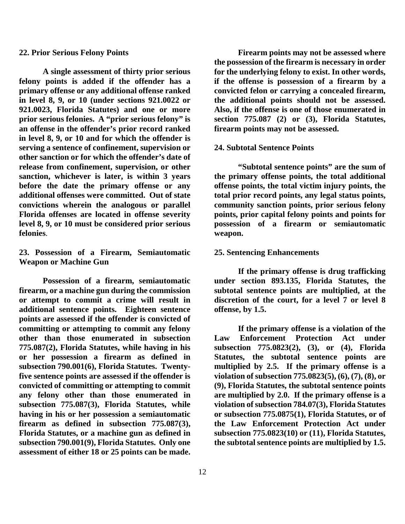#### **22. Prior Serious Felony Points**

**A single assessment of thirty prior serious felony points is added if the offender has a primary offense or any additional offense ranked in level 8, 9, or 10 (under sections 921.0022 or 921.0023, Florida Statutes) and one or more prior serious felonies. A "prior serious felony" is an offense in the offender's prior record ranked in level 8, 9, or 10 and for which the offender is serving a sentence of confinement, supervision or other sanction or for which the offender's date of release from confinement, supervision, or other sanction, whichever is later, is within 3 years before the date the primary offense or any additional offenses were committed. Out of state convictions wherein the analogous or parallel Florida offenses are located in offense severity level 8, 9, or 10 must be considered prior serious felonies**.

#### **23. Possession of a Firearm, Semiautomatic Weapon or Machine Gun**

**Possession of a firearm, semiautomatic firearm, or a machine gun during the commission or attempt to commit a crime will result in additional sentence points. Eighteen sentence points are assessed if the offender is convicted of committing or attempting to commit any felony other than those enumerated in subsection 775.087(2), Florida Statutes, while having in his or her possession a firearm as defined in subsection 790.001(6), Florida Statutes. Twentyfive sentence points are assessed if the offender is convicted of committing or attempting to commit any felony other than those enumerated in subsection 775.087(3), Florida Statutes, while having in his or her possession a semiautomatic firearm as defined in subsection 775.087(3), Florida Statutes, or a machine gun as defined in subsection 790.001(9), Florida Statutes. Only one assessment of either 18 or 25 points can be made.** **the possession of the firearm is necessary in order for the underlying felony to exist. In other words, if the offense is possession of a firearm by a convicted felon or carrying a concealed firearm, the additional points should not be assessed. Also, if the offense is one of those enumerated in section 775.087 (2) or (3), Florida Statutes, firearm points may not be assessed.**

**Firearm points may not be assessed where** 

#### **24. Subtotal Sentence Points**

**"Subtotal sentence points" are the sum of the primary offense points, the total additional offense points, the total victim injury points, the total prior record points, any legal status points, community sanction points, prior serious felony points, prior capital felony points and points for possession of a firearm or semiautomatic weapon.**

#### **25. Sentencing Enhancements**

**If the primary offense is drug trafficking under section 893.135, Florida Statutes, the subtotal sentence points are multiplied, at the discretion of the court, for a level 7 or level 8 offense, by 1.5.**

**If the primary offense is a violation of the Law Enforcement Protection Act under subsection 775.0823(2), (3), or (4), Florida Statutes, the subtotal sentence points are multiplied by 2.5. If the primary offense is a violation of subsection 775.0823(5), (6), (7), (8), or (9), Florida Statutes, the subtotal sentence points are multiplied by 2.0. If the primary offense is a violation of subsection 784.07(3), Florida Statutes or subsection 775.0875(1), Florida Statutes, or of the Law Enforcement Protection Act under subsection 775.0823(10) or (11), Florida Statutes, the subtotal sentence points are multiplied by 1.5.**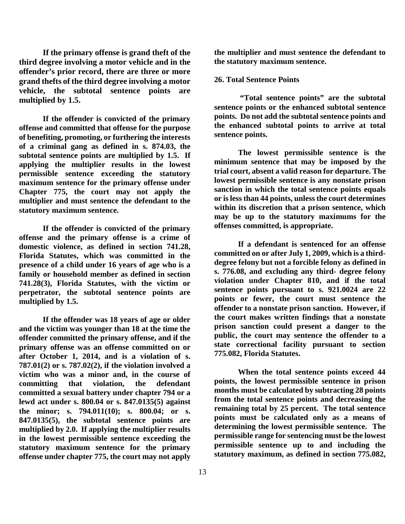**If the primary offense is grand theft of the third degree involving a motor vehicle and in the offender's prior record, there are three or more grand thefts of the third degree involving a motor vehicle, the subtotal sentence points are multiplied by 1.5.**

**If the offender is convicted of the primary offense and committed that offense for the purpose of benefiting, promoting, or furthering the interests of a criminal gang as defined in s. 874.03, the subtotal sentence points are multiplied by 1.5. If applying the multiplier results in the lowest permissible sentence exceeding the statutory maximum sentence for the primary offense under Chapter 775, the court may not apply the multiplier and must sentence the defendant to the statutory maximum sentence.**

**If the offender is convicted of the primary offense and the primary offense is a crime of domestic violence, as defined in section 741.28, Florida Statutes, which was committed in the presence of a child under 16 years of age who is a family or household member as defined in section 741.28(3), Florida Statutes, with the victim or perpetrator, the subtotal sentence points are multiplied by 1.5.**

**If the offender was 18 years of age or older and the victim was younger than 18 at the time the offender committed the primary offense, and if the primary offense was an offense committed on or after October 1, 2014, and is a violation of s. 787.01(2) or s. 787.02(2), if the violation involved a victim who was a minor and, in the course of committing that violation, the defendant committed a sexual battery under chapter 794 or a lewd act under s. 800.04 or s. 847.0135(5) against the minor; s. 794.011(10); s. 800.04; or s. 847.0135(5), the subtotal sentence points are multiplied by 2.0. If applying the multiplier results in the lowest permissible sentence exceeding the statutory maximum sentence for the primary offense under chapter 775, the court may not apply** 

13

**the multiplier and must sentence the defendant to the statutory maximum sentence.** 

#### **26. Total Sentence Points**

**"Total sentence points" are the subtotal sentence points or the enhanced subtotal sentence points. Do not add the subtotal sentence points and the enhanced subtotal points to arrive at total sentence points.**

**The lowest permissible sentence is the minimum sentence that may be imposed by the trial court, absent a valid reason for departure. The lowest permissible sentence is any nonstate prison sanction in which the total sentence points equals or is less than 44 points, unless the court determines within its discretion that a prison sentence, which may be up to the statutory maximums for the offenses committed, is appropriate.**

**If a defendant is sentenced for an offense committed on or after July 1, 2009, which is a thirddegree felony but not a forcible felony as defined in s. 776.08, and excluding any third- degree felony violation under Chapter 810, and if the total sentence points pursuant to s. 921.0024 are 22 points or fewer, the court must sentence the offender to a nonstate prison sanction. However, if the court makes written findings that a nonstate prison sanction could present a danger to the public, the court may sentence the offender to a state correctional facility pursuant to section 775.082, Florida Statutes.**

**When the total sentence points exceed 44 points, the lowest permissible sentence in prison months must be calculated by subtracting 28 points from the total sentence points and decreasing the remaining total by 25 percent. The total sentence points must be calculated only as a means of determining the lowest permissible sentence. The permissible range for sentencing must be the lowest permissible sentence up to and including the statutory maximum, as defined in section 775.082,**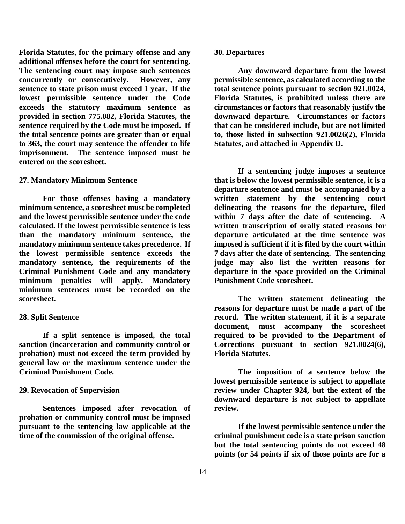**Florida Statutes, for the primary offense and any additional offenses before the court for sentencing. The sentencing court may impose such sentences concurrently or consecutively. However, any sentence to state prison must exceed 1 year. If the lowest permissible sentence under the Code exceeds the statutory maximum sentence as provided in section 775.082, Florida Statutes, the sentence required by the Code must be imposed. If the total sentence points are greater than or equal to 363, the court may sentence the offender to life imprisonment. The sentence imposed must be entered on the scoresheet.** 

#### **27. Mandatory Minimum Sentence**

**For those offenses having a mandatory minimum sentence, a scoresheet must be completed and the lowest permissible sentence under the code calculated. If the lowest permissible sentence is less than the mandatory minimum sentence, the mandatory minimum sentence takes precedence. If the lowest permissible sentence exceeds the mandatory sentence, the requirements of the Criminal Punishment Code and any mandatory minimum penalties will apply. Mandatory minimum sentences must be recorded on the scoresheet.**

#### **28. Split Sentence**

**If a split sentence is imposed, the total sanction (incarceration and community control or probation) must not exceed the term provided by general law or the maximum sentence under the Criminal Punishment Code.**

#### **29. Revocation of Supervision**

**Sentences imposed after revocation of probation or community control must be imposed pursuant to the sentencing law applicable at the time of the commission of the original offense.**

#### **30. Departures**

**Any downward departure from the lowest permissible sentence, as calculated according to the total sentence points pursuant to section 921.0024, Florida Statutes, is prohibited unless there are circumstances or factors that reasonably justify the downward departure. Circumstances or factors that can be considered include, but are not limited to, those listed in subsection 921.0026(2), Florida Statutes, and attached in Appendix D.**

**If a sentencing judge imposes a sentence that is below the lowest permissible sentence, it is a departure sentence and must be accompanied by a written statement by the sentencing court delineating the reasons for the departure, filed within 7 days after the date of sentencing. A written transcription of orally stated reasons for departure articulated at the time sentence was imposed is sufficient if it is filed by the court within 7 days after the date of sentencing. The sentencing judge may also list the written reasons for departure in the space provided on the Criminal Punishment Code scoresheet.**

**The written statement delineating the reasons for departure must be made a part of the record. The written statement, if it is a separate document, must accompany the scoresheet required to be provided to the Department of Corrections pursuant to section 921.0024(6), Florida Statutes.**

**The imposition of a sentence below the lowest permissible sentence is subject to appellate review under Chapter 924, but the extent of the downward departure is not subject to appellate review.**

**If the lowest permissible sentence under the criminal punishment code is a state prison sanction but the total sentencing points do not exceed 48 points (or 54 points if six of those points are for a**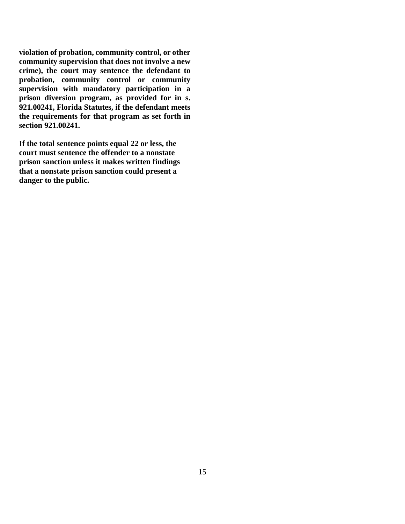**violation of probation, community control, or other community supervision that does not involve a new crime), the court may sentence the defendant to probation, community control or community supervision with mandatory participation in a prison diversion program, as provided for in s. 921.00241, Florida Statutes, if the defendant meets the requirements for that program as set forth in section 921.00241.**

**If the total sentence points equal 22 or less, the court must sentence the offender to a nonstate prison sanction unless it makes written findings that a nonstate prison sanction could present a danger to the public.**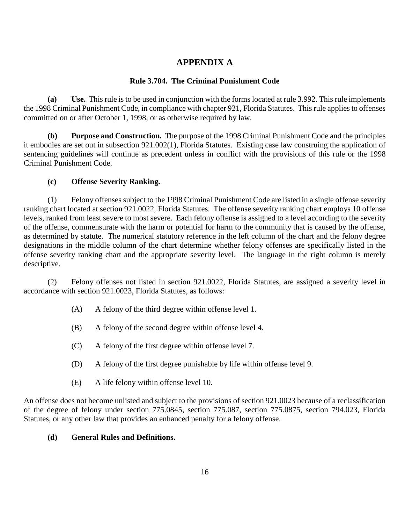### **APPENDIX A**

#### **Rule 3.704. The Criminal Punishment Code**

**(a) Use.** This rule is to be used in conjunction with the forms located at rule 3.992. This rule implements the 1998 Criminal Punishment Code, in compliance with chapter 921, Florida Statutes. This rule applies to offenses committed on or after October 1, 1998, or as otherwise required by law.

**(b) Purpose and Construction.** The purpose of the 1998 Criminal Punishment Code and the principles it embodies are set out in subsection 921.002(1), Florida Statutes. Existing case law construing the application of sentencing guidelines will continue as precedent unless in conflict with the provisions of this rule or the 1998 Criminal Punishment Code.

#### **(c) Offense Severity Ranking.**

(1) Felony offenses subject to the 1998 Criminal Punishment Code are listed in a single offense severity ranking chart located at section 921.0022, Florida Statutes. The offense severity ranking chart employs 10 offense levels, ranked from least severe to most severe. Each felony offense is assigned to a level according to the severity of the offense, commensurate with the harm or potential for harm to the community that is caused by the offense, as determined by statute. The numerical statutory reference in the left column of the chart and the felony degree designations in the middle column of the chart determine whether felony offenses are specifically listed in the offense severity ranking chart and the appropriate severity level. The language in the right column is merely descriptive.

(2) Felony offenses not listed in section 921.0022, Florida Statutes, are assigned a severity level in accordance with section 921.0023, Florida Statutes, as follows:

- (A) A felony of the third degree within offense level 1.
- (B) A felony of the second degree within offense level 4.
- (C) A felony of the first degree within offense level 7.
- (D) A felony of the first degree punishable by life within offense level 9.
- (E) A life felony within offense level 10.

An offense does not become unlisted and subject to the provisions of section 921.0023 because of a reclassification of the degree of felony under section 775.0845, section 775.087, section 775.0875, section 794.023, Florida Statutes, or any other law that provides an enhanced penalty for a felony offense.

#### **(d) General Rules and Definitions.**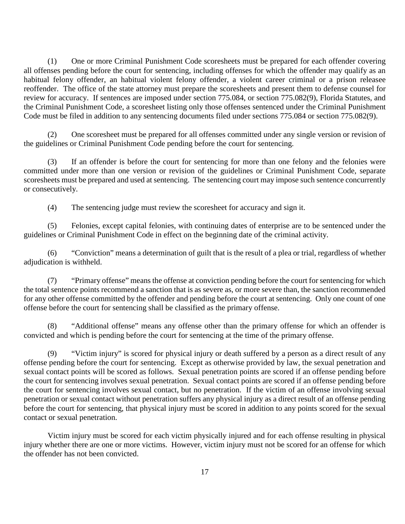(1) One or more Criminal Punishment Code scoresheets must be prepared for each offender covering all offenses pending before the court for sentencing, including offenses for which the offender may qualify as an habitual felony offender, an habitual violent felony offender, a violent career criminal or a prison releasee reoffender. The office of the state attorney must prepare the scoresheets and present them to defense counsel for review for accuracy. If sentences are imposed under section 775.084, or section 775.082(9), Florida Statutes, and the Criminal Punishment Code, a scoresheet listing only those offenses sentenced under the Criminal Punishment Code must be filed in addition to any sentencing documents filed under sections 775.084 or section 775.082(9).

(2) One scoresheet must be prepared for all offenses committed under any single version or revision of the guidelines or Criminal Punishment Code pending before the court for sentencing.

(3) If an offender is before the court for sentencing for more than one felony and the felonies were committed under more than one version or revision of the guidelines or Criminal Punishment Code, separate scoresheets must be prepared and used at sentencing. The sentencing court may impose such sentence concurrently or consecutively.

(4) The sentencing judge must review the scoresheet for accuracy and sign it.

(5) Felonies, except capital felonies, with continuing dates of enterprise are to be sentenced under the guidelines or Criminal Punishment Code in effect on the beginning date of the criminal activity.

(6) "Conviction" means a determination of guilt that is the result of a plea or trial, regardless of whether adjudication is withheld.

(7) "Primary offense" means the offense at conviction pending before the court for sentencing for which the total sentence points recommend a sanction that is as severe as, or more severe than, the sanction recommended for any other offense committed by the offender and pending before the court at sentencing. Only one count of one offense before the court for sentencing shall be classified as the primary offense.

(8) "Additional offense" means any offense other than the primary offense for which an offender is convicted and which is pending before the court for sentencing at the time of the primary offense.

(9) "Victim injury" is scored for physical injury or death suffered by a person as a direct result of any offense pending before the court for sentencing. Except as otherwise provided by law, the sexual penetration and sexual contact points will be scored as follows. Sexual penetration points are scored if an offense pending before the court for sentencing involves sexual penetration. Sexual contact points are scored if an offense pending before the court for sentencing involves sexual contact, but no penetration. If the victim of an offense involving sexual penetration or sexual contact without penetration suffers any physical injury as a direct result of an offense pending before the court for sentencing, that physical injury must be scored in addition to any points scored for the sexual contact or sexual penetration.

Victim injury must be scored for each victim physically injured and for each offense resulting in physical injury whether there are one or more victims. However, victim injury must not be scored for an offense for which the offender has not been convicted.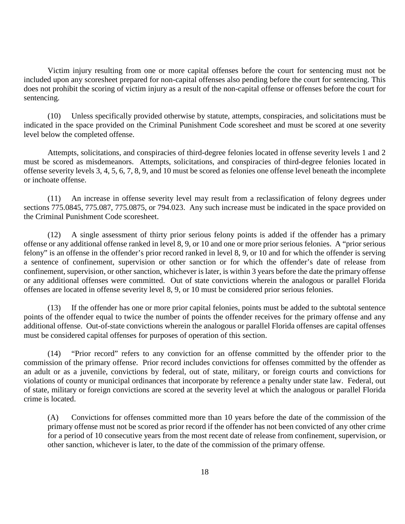Victim injury resulting from one or more capital offenses before the court for sentencing must not be included upon any scoresheet prepared for non-capital offenses also pending before the court for sentencing. This does not prohibit the scoring of victim injury as a result of the non-capital offense or offenses before the court for sentencing.

(10) Unless specifically provided otherwise by statute, attempts, conspiracies, and solicitations must be indicated in the space provided on the Criminal Punishment Code scoresheet and must be scored at one severity level below the completed offense.

Attempts, solicitations, and conspiracies of third-degree felonies located in offense severity levels 1 and 2 must be scored as misdemeanors. Attempts, solicitations, and conspiracies of third-degree felonies located in offense severity levels 3, 4, 5, 6, 7, 8, 9, and 10 must be scored as felonies one offense level beneath the incomplete or inchoate offense.

(11) An increase in offense severity level may result from a reclassification of felony degrees under sections 775.0845, 775.087, 775.0875, or 794.023. Any such increase must be indicated in the space provided on the Criminal Punishment Code scoresheet.

(12) A single assessment of thirty prior serious felony points is added if the offender has a primary offense or any additional offense ranked in level 8, 9, or 10 and one or more prior serious felonies. A "prior serious felony" is an offense in the offender's prior record ranked in level 8, 9, or 10 and for which the offender is serving a sentence of confinement, supervision or other sanction or for which the offender's date of release from confinement, supervision, or other sanction, whichever is later, is within 3 years before the date the primary offense or any additional offenses were committed. Out of state convictions wherein the analogous or parallel Florida offenses are located in offense severity level 8, 9, or 10 must be considered prior serious felonies.

(13) If the offender has one or more prior capital felonies, points must be added to the subtotal sentence points of the offender equal to twice the number of points the offender receives for the primary offense and any additional offense. Out-of-state convictions wherein the analogous or parallel Florida offenses are capital offenses must be considered capital offenses for purposes of operation of this section.

(14) "Prior record" refers to any conviction for an offense committed by the offender prior to the commission of the primary offense. Prior record includes convictions for offenses committed by the offender as an adult or as a juvenile, convictions by federal, out of state, military, or foreign courts and convictions for violations of county or municipal ordinances that incorporate by reference a penalty under state law. Federal, out of state, military or foreign convictions are scored at the severity level at which the analogous or parallel Florida crime is located.

(A) Convictions for offenses committed more than 10 years before the date of the commission of the primary offense must not be scored as prior record if the offender has not been convicted of any other crime for a period of 10 consecutive years from the most recent date of release from confinement, supervision, or other sanction, whichever is later, to the date of the commission of the primary offense.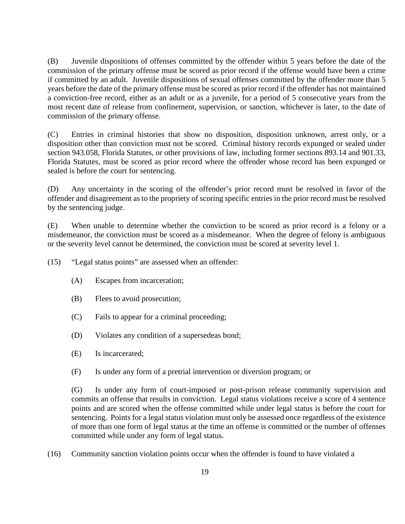(B) Juvenile dispositions of offenses committed by the offender within 5 years before the date of the commission of the primary offense must be scored as prior record if the offense would have been a crime if committed by an adult. Juvenile dispositions of sexual offenses committed by the offender more than 5 years before the date of the primary offense must be scored as prior record if the offender has not maintained a conviction-free record, either as an adult or as a juvenile, for a period of 5 consecutive years from the most recent date of release from confinement, supervision, or sanction, whichever is later, to the date of commission of the primary offense.

(C) Entries in criminal histories that show no disposition, disposition unknown, arrest only, or a disposition other than conviction must not be scored. Criminal history records expunged or sealed under section 943.058, Florida Statutes, or other provisions of law, including former sections 893.14 and 901.33, Florida Statutes, must be scored as prior record where the offender whose record has been expunged or sealed is before the court for sentencing.

(D) Any uncertainty in the scoring of the offender's prior record must be resolved in favor of the offender and disagreement as to the propriety of scoring specific entries in the prior record must be resolved by the sentencing judge.

(E) When unable to determine whether the conviction to be scored as prior record is a felony or a misdemeanor, the conviction must be scored as a misdemeanor. When the degree of felony is ambiguous or the severity level cannot be determined, the conviction must be scored at severity level 1.

(15) "Legal status points" are assessed when an offender:

- (A) Escapes from incarceration;
- (B) Flees to avoid prosecution;
- (C) Fails to appear for a criminal proceeding;
- (D) Violates any condition of a supersedeas bond;
- (E) Is incarcerated;
- (F) Is under any form of a pretrial intervention or diversion program; or

(G) Is under any form of court-imposed or post-prison release community supervision and commits an offense that results in conviction. Legal status violations receive a score of 4 sentence points and are scored when the offense committed while under legal status is before the court for sentencing. Points for a legal status violation must only be assessed once regardless of the existence of more than one form of legal status at the time an offense is committed or the number of offenses committed while under any form of legal status.

(16) Community sanction violation points occur when the offender is found to have violated a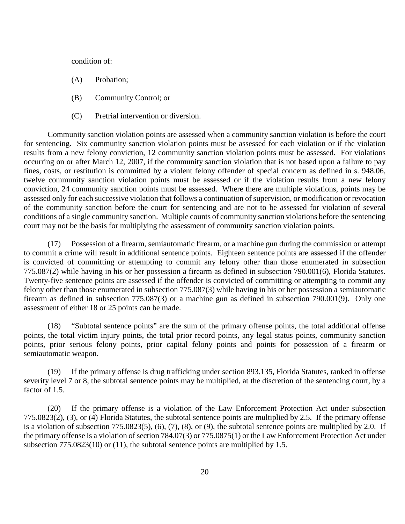condition of:

- (A) Probation;
- (B) Community Control; or
- (C) Pretrial intervention or diversion.

Community sanction violation points are assessed when a community sanction violation is before the court for sentencing. Six community sanction violation points must be assessed for each violation or if the violation results from a new felony conviction, 12 community sanction violation points must be assessed. For violations occurring on or after March 12, 2007, if the community sanction violation that is not based upon a failure to pay fines, costs, or restitution is committed by a violent felony offender of special concern as defined in s. 948.06, twelve community sanction violation points must be assessed or if the violation results from a new felony conviction, 24 community sanction points must be assessed. Where there are multiple violations, points may be assessed only for each successive violation that follows a continuation of supervision, or modification or revocation of the community sanction before the court for sentencing and are not to be assessed for violation of several conditions of a single community sanction. Multiple counts of community sanction violations before the sentencing court may not be the basis for multiplying the assessment of community sanction violation points.

(17) Possession of a firearm, semiautomatic firearm, or a machine gun during the commission or attempt to commit a crime will result in additional sentence points. Eighteen sentence points are assessed if the offender is convicted of committing or attempting to commit any felony other than those enumerated in subsection 775.087(2) while having in his or her possession a firearm as defined in subsection 790.001(6), Florida Statutes. Twenty-five sentence points are assessed if the offender is convicted of committing or attempting to commit any felony other than those enumerated in subsection 775.087(3) while having in his or her possession a semiautomatic firearm as defined in subsection 775.087(3) or a machine gun as defined in subsection 790.001(9). Only one assessment of either 18 or 25 points can be made.

(18) "Subtotal sentence points" are the sum of the primary offense points, the total additional offense points, the total victim injury points, the total prior record points, any legal status points, community sanction points, prior serious felony points, prior capital felony points and points for possession of a firearm or semiautomatic weapon.

(19) If the primary offense is drug trafficking under section 893.135, Florida Statutes, ranked in offense severity level 7 or 8, the subtotal sentence points may be multiplied, at the discretion of the sentencing court, by a factor of 1.5.

(20) If the primary offense is a violation of the Law Enforcement Protection Act under subsection 775.0823(2), (3), or (4) Florida Statutes, the subtotal sentence points are multiplied by 2.5. If the primary offense is a violation of subsection 775.0823(5), (6), (7), (8), or (9), the subtotal sentence points are multiplied by 2.0. If the primary offense is a violation of section 784.07(3) or 775.0875(1) or the Law Enforcement Protection Act under subsection 775.0823(10) or (11), the subtotal sentence points are multiplied by 1.5.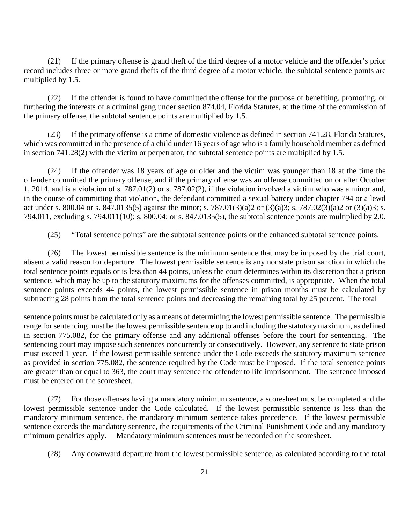(21) If the primary offense is grand theft of the third degree of a motor vehicle and the offender's prior record includes three or more grand thefts of the third degree of a motor vehicle, the subtotal sentence points are multiplied by 1.5.

(22) If the offender is found to have committed the offense for the purpose of benefiting, promoting, or furthering the interests of a criminal gang under section 874.04, Florida Statutes, at the time of the commission of the primary offense, the subtotal sentence points are multiplied by 1.5.

(23) If the primary offense is a crime of domestic violence as defined in section 741.28, Florida Statutes, which was committed in the presence of a child under 16 years of age who is a family household member as defined in section 741.28(2) with the victim or perpetrator, the subtotal sentence points are multiplied by 1.5.

(24) If the offender was 18 years of age or older and the victim was younger than 18 at the time the offender committed the primary offense, and if the primary offense was an offense committed on or after October 1, 2014, and is a violation of s. 787.01(2) or s. 787.02(2), if the violation involved a victim who was a minor and, in the course of committing that violation, the defendant committed a sexual battery under chapter 794 or a lewd act under s. 800.04 or s. 847.0135(5) against the minor; s. 787.01(3)(a)2 or (3)(a)3; s. 787.02(3)(a)2 or (3)(a)3; s. 794.011, excluding s. 794.011(10); s. 800.04; or s. 847.0135(5), the subtotal sentence points are multiplied by 2.0.

(25) "Total sentence points" are the subtotal sentence points or the enhanced subtotal sentence points.

(26) The lowest permissible sentence is the minimum sentence that may be imposed by the trial court, absent a valid reason for departure. The lowest permissible sentence is any nonstate prison sanction in which the total sentence points equals or is less than 44 points, unless the court determines within its discretion that a prison sentence, which may be up to the statutory maximums for the offenses committed, is appropriate. When the total sentence points exceeds 44 points, the lowest permissible sentence in prison months must be calculated by subtracting 28 points from the total sentence points and decreasing the remaining total by 25 percent. The total

sentence points must be calculated only as a means of determining the lowest permissible sentence. The permissible range for sentencing must be the lowest permissible sentence up to and including the statutory maximum, as defined in section 775.082, for the primary offense and any additional offenses before the court for sentencing. The sentencing court may impose such sentences concurrently or consecutively. However, any sentence to state prison must exceed 1 year. If the lowest permissible sentence under the Code exceeds the statutory maximum sentence as provided in section 775.082, the sentence required by the Code must be imposed. If the total sentence points are greater than or equal to 363, the court may sentence the offender to life imprisonment. The sentence imposed must be entered on the scoresheet.

(27) For those offenses having a mandatory minimum sentence, a scoresheet must be completed and the lowest permissible sentence under the Code calculated. If the lowest permissible sentence is less than the mandatory minimum sentence, the mandatory minimum sentence takes precedence. If the lowest permissible sentence exceeds the mandatory sentence, the requirements of the Criminal Punishment Code and any mandatory minimum penalties apply. Mandatory minimum sentences must be recorded on the scoresheet.

(28) Any downward departure from the lowest permissible sentence, as calculated according to the total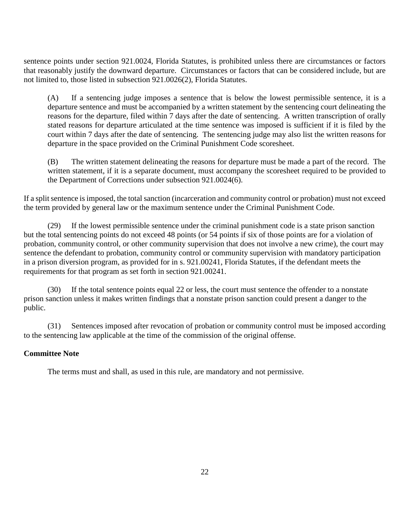sentence points under section 921.0024, Florida Statutes, is prohibited unless there are circumstances or factors that reasonably justify the downward departure. Circumstances or factors that can be considered include, but are not limited to, those listed in subsection 921.0026(2), Florida Statutes.

(A) If a sentencing judge imposes a sentence that is below the lowest permissible sentence, it is a departure sentence and must be accompanied by a written statement by the sentencing court delineating the reasons for the departure, filed within 7 days after the date of sentencing. A written transcription of orally stated reasons for departure articulated at the time sentence was imposed is sufficient if it is filed by the court within 7 days after the date of sentencing. The sentencing judge may also list the written reasons for departure in the space provided on the Criminal Punishment Code scoresheet.

(B) The written statement delineating the reasons for departure must be made a part of the record. The written statement, if it is a separate document, must accompany the scoresheet required to be provided to the Department of Corrections under subsection 921.0024(6).

If a split sentence is imposed, the total sanction (incarceration and community control or probation) must not exceed the term provided by general law or the maximum sentence under the Criminal Punishment Code.

(29) If the lowest permissible sentence under the criminal punishment code is a state prison sanction but the total sentencing points do not exceed 48 points (or 54 points if six of those points are for a violation of probation, community control, or other community supervision that does not involve a new crime), the court may sentence the defendant to probation, community control or community supervision with mandatory participation in a prison diversion program, as provided for in s. 921.00241, Florida Statutes, if the defendant meets the requirements for that program as set forth in section 921.00241.

(30) If the total sentence points equal 22 or less, the court must sentence the offender to a nonstate prison sanction unless it makes written findings that a nonstate prison sanction could present a danger to the public.

(31) Sentences imposed after revocation of probation or community control must be imposed according to the sentencing law applicable at the time of the commission of the original offense.

#### **Committee Note**

The terms must and shall, as used in this rule, are mandatory and not permissive.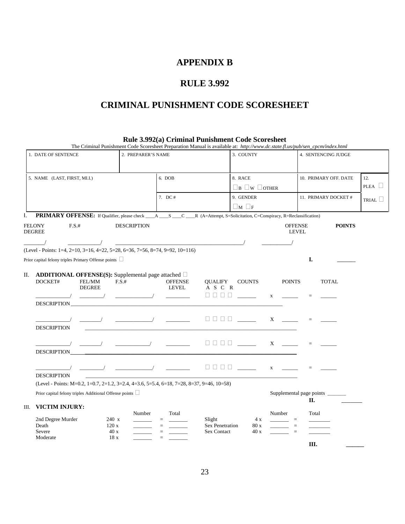#### **APPENDIX B**

### **RULE 3.992**

### **CRIMINAL PUNISHMENT CODE SCORESHEET**

**Rule 3.992(a) Criminal Punishment Code Scoresheet**

|    |                                                                                                                                                     | The Criminal Punishment Code Scoresheet Preparation Manual is available at: http://www.dc.state.fl.us/pub/sen_cpcm/index.html                                                                                                     |                                                                                                                                                                                                                                                                                                                                                                                                                                                         |                                            |                                      |               |              |
|----|-----------------------------------------------------------------------------------------------------------------------------------------------------|-----------------------------------------------------------------------------------------------------------------------------------------------------------------------------------------------------------------------------------|---------------------------------------------------------------------------------------------------------------------------------------------------------------------------------------------------------------------------------------------------------------------------------------------------------------------------------------------------------------------------------------------------------------------------------------------------------|--------------------------------------------|--------------------------------------|---------------|--------------|
|    | 1. DATE OF SENTENCE                                                                                                                                 | 2. PREPARER'S NAME                                                                                                                                                                                                                |                                                                                                                                                                                                                                                                                                                                                                                                                                                         | 4. SENTENCING JUDGE                        |                                      |               |              |
|    | 5. NAME (LAST, FIRST, MI.I.)                                                                                                                        | 6. DOB                                                                                                                                                                                                                            | 8. RACE                                                                                                                                                                                                                                                                                                                                                                                                                                                 |                                            | 10. PRIMARY OFF. DATE                |               | 12.          |
|    |                                                                                                                                                     |                                                                                                                                                                                                                                   | $\Box$ B $\Box$ W $\Box$ OTHER                                                                                                                                                                                                                                                                                                                                                                                                                          |                                            |                                      |               | PLEA $\Box$  |
|    |                                                                                                                                                     | 7. DC $#$                                                                                                                                                                                                                         | 9. GENDER                                                                                                                                                                                                                                                                                                                                                                                                                                               |                                            | 11. PRIMARY DOCKET #                 |               |              |
|    |                                                                                                                                                     |                                                                                                                                                                                                                                   | $\Box_M \Box_F$                                                                                                                                                                                                                                                                                                                                                                                                                                         |                                            |                                      |               | TRIAL $\Box$ |
| L. | <b>PRIMARY OFFENSE:</b> If Qualifier, please check ___A ___S ___C ___R (A=Attempt, S=Solicitation, C=Conspiracy, R=Reclassification)                |                                                                                                                                                                                                                                   |                                                                                                                                                                                                                                                                                                                                                                                                                                                         |                                            |                                      |               |              |
|    | F.S.#<br><b>FELONY</b><br><b>DEGREE</b>                                                                                                             | <b>DESCRIPTION</b>                                                                                                                                                                                                                |                                                                                                                                                                                                                                                                                                                                                                                                                                                         | <b>OFFENSE</b><br><b>LEVEL</b>             |                                      | <b>POINTS</b> |              |
|    |                                                                                                                                                     | $\overline{\phantom{a}}$                                                                                                                                                                                                          |                                                                                                                                                                                                                                                                                                                                                                                                                                                         |                                            |                                      |               |              |
|    | (Level - Points: 1=4, 2=10, 3=16, 4=22, 5=28, 6=36, 7=56, 8=74, 9=92, 10=116)                                                                       |                                                                                                                                                                                                                                   |                                                                                                                                                                                                                                                                                                                                                                                                                                                         |                                            |                                      |               |              |
|    | Prior capital felony triples Primary Offense points $\Box$                                                                                          |                                                                                                                                                                                                                                   |                                                                                                                                                                                                                                                                                                                                                                                                                                                         |                                            | I.                                   |               |              |
| П. | <b>ADDITIONAL OFFENSE(S):</b> Supplemental page attached $\Box$<br>DOCKET#<br>FEL/MM<br><b>DEGREE</b><br>DESCRIPTION <b>EXAMPLE AND RESCRIPTION</b> | F.S.#<br><b>OFFENSE</b><br>LEVEL<br>$\begin{array}{cccccccccc} \hline \end{array}$<br>$\frac{1}{2}$ and $\frac{1}{2}$ and $\frac{1}{2}$                                                                                           | <b>COUNTS</b><br><b>QUALIFY</b><br>A S C R<br>$\begin{array}{c c c c c} \hline \rule{0pt}{12pt} \rule{0pt}{2pt} \rule{0pt}{2pt} \rule{0pt}{2pt} \rule{0pt}{2pt} \rule{0pt}{2pt} \rule{0pt}{2pt} \rule{0pt}{2pt} \rule{0pt}{2pt} \rule{0pt}{2pt} \rule{0pt}{2pt} \rule{0pt}{2pt} \rule{0pt}{2pt} \rule{0pt}{2pt} \rule{0pt}{2pt} \rule{0pt}{2pt} \rule{0pt}{2pt} \rule{0pt}{2pt} \rule{0pt}{2pt} \rule{0pt}{2pt} \rule{0pt}{2pt} \rule{0pt}{2pt} \rule{$ | <b>POINTS</b><br>$\mathbf X$               |                                      | <b>TOTAL</b>  |              |
|    | <b>DESCRIPTION</b>                                                                                                                                  | $\mathcal{L}$ and the contract of the contract of the contract of the contract of the contract of the contract of the contract of the contract of the contract of the contract of the contract of the contract of the contract of |                                                                                                                                                                                                                                                                                                                                                                                                                                                         | $\boldsymbol{\mathrm{X}}$                  |                                      |               |              |
|    | <b>DESCRIPTION</b>                                                                                                                                  | $\overline{\phantom{a}}$ and $\overline{\phantom{a}}$ and $\overline{\phantom{a}}$ and $\overline{\phantom{a}}$ and $\overline{\phantom{a}}$ and $\overline{\phantom{a}}$ and $\overline{\phantom{a}}$                            |                                                                                                                                                                                                                                                                                                                                                                                                                                                         | $X \qquad \qquad$                          | $=$                                  |               |              |
|    | <b>DESCRIPTION</b>                                                                                                                                  |                                                                                                                                                                                                                                   |                                                                                                                                                                                                                                                                                                                                                                                                                                                         | $\mathbf X$                                |                                      |               |              |
|    | (Level - Points: M=0.2, 1=0.7, 2=1.2, 3=2.4, 4=3.6, 5=5.4, 6=18, 7=28, 8=37, 9=46, 10=58)                                                           |                                                                                                                                                                                                                                   |                                                                                                                                                                                                                                                                                                                                                                                                                                                         |                                            |                                      |               |              |
|    | Prior capital felony triples Additional Offense points $\Box$                                                                                       |                                                                                                                                                                                                                                   |                                                                                                                                                                                                                                                                                                                                                                                                                                                         |                                            | Supplemental page points _____<br>П. |               |              |
| Ш. | VICTIM INJURY:<br>2nd Degree Murder<br>240 x<br>Death<br>120x<br>Severe<br>40x<br>Moderate<br>18x                                                   | Number<br>Total<br>$\equiv$<br>$=$<br>$=$<br>$=$                                                                                                                                                                                  | Slight<br>4 x<br>Sex Penetration<br>80 x<br><b>Sex Contact</b><br>40x                                                                                                                                                                                                                                                                                                                                                                                   | Number<br>$\equiv$<br>$\equiv$<br>$\equiv$ | Total                                |               |              |
|    |                                                                                                                                                     |                                                                                                                                                                                                                                   |                                                                                                                                                                                                                                                                                                                                                                                                                                                         |                                            | III.                                 |               |              |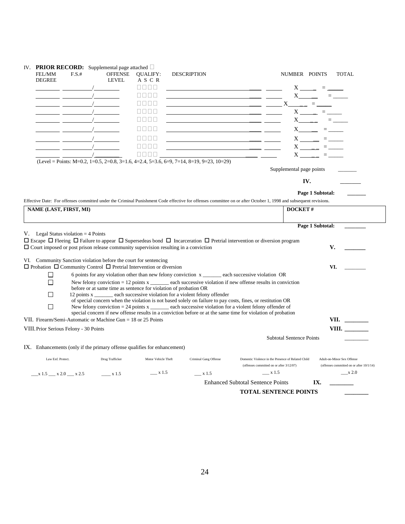| FEL/MM<br>F.S.#<br><b>DEGREE</b>                                                                                                                                                                                                                                                                                                                                                                                                                                                                              | IV. PRIOR RECORD: Supplemental page attached $\Box$<br><b>OFFENSE</b><br>LEVEL | <b>QUALIFY:</b><br>ASCR<br>8888 | <b>DESCRIPTION</b><br><u> 1989 - Johann Barbara, martxa al-A</u>                                                                                                                                                                                                                                                                                                                                  | NUMBER POINTS                                                                                                                                                            | <b>TOTAL</b><br>$X \sim \square$ = $\sim$                              |
|---------------------------------------------------------------------------------------------------------------------------------------------------------------------------------------------------------------------------------------------------------------------------------------------------------------------------------------------------------------------------------------------------------------------------------------------------------------------------------------------------------------|--------------------------------------------------------------------------------|---------------------------------|---------------------------------------------------------------------------------------------------------------------------------------------------------------------------------------------------------------------------------------------------------------------------------------------------------------------------------------------------------------------------------------------------|--------------------------------------------------------------------------------------------------------------------------------------------------------------------------|------------------------------------------------------------------------|
| <u> 1989 - John Barnett, fransk politiker (</u>                                                                                                                                                                                                                                                                                                                                                                                                                                                               |                                                                                | nnnn                            | <u> 1989 - Johann Stoff, amerikansk politiker (* 1908)</u>                                                                                                                                                                                                                                                                                                                                        |                                                                                                                                                                          | $X$ <sub>_____</sub> = _____                                           |
|                                                                                                                                                                                                                                                                                                                                                                                                                                                                                                               |                                                                                | a naja                          |                                                                                                                                                                                                                                                                                                                                                                                                   | X                                                                                                                                                                        | ____ = ____                                                            |
| $\overline{\phantom{a}}$ . The contract of $\overline{\phantom{a}}$                                                                                                                                                                                                                                                                                                                                                                                                                                           | $\sqrt{2}$                                                                     | n na n                          | <u> 1989 - Johann Barn, amerikansk politiker (d. 1989)</u>                                                                                                                                                                                                                                                                                                                                        |                                                                                                                                                                          | $X$ = $=$                                                              |
|                                                                                                                                                                                                                                                                                                                                                                                                                                                                                                               |                                                                                | $\Box \Box \Box \Box$           | <u> 1989 - Johann Stoff, deutscher Stoff, der Stoff, der Stoff, der Stoff, der Stoff, der Stoff, der Stoff, der S</u>                                                                                                                                                                                                                                                                             |                                                                                                                                                                          | $X$ = $=$                                                              |
|                                                                                                                                                                                                                                                                                                                                                                                                                                                                                                               |                                                                                | nnnn                            | <u> 1989 - Johann Barn, amerikansk politiker (d. 1989)</u>                                                                                                                                                                                                                                                                                                                                        |                                                                                                                                                                          | $X =$                                                                  |
| $\frac{1}{\sqrt{2}}$                                                                                                                                                                                                                                                                                                                                                                                                                                                                                          |                                                                                | <b>NNNN</b>                     | <u> 1980 - Johann Barbara, martin amerikan basar dan basar dan basar dalam basar dalam basar dalam basar dalam ba</u>                                                                                                                                                                                                                                                                             |                                                                                                                                                                          | $X \longrightarrow \square$                                            |
|                                                                                                                                                                                                                                                                                                                                                                                                                                                                                                               |                                                                                | nn nn                           |                                                                                                                                                                                                                                                                                                                                                                                                   |                                                                                                                                                                          | $X \longrightarrow \square$                                            |
|                                                                                                                                                                                                                                                                                                                                                                                                                                                                                                               |                                                                                | <b>REGE</b>                     | <u> 1980 - Jan Barbara, martxa a shekara 1980 - An</u>                                                                                                                                                                                                                                                                                                                                            |                                                                                                                                                                          | $X \longrightarrow \equiv \equiv$                                      |
|                                                                                                                                                                                                                                                                                                                                                                                                                                                                                                               |                                                                                |                                 | $(Level = Points: M=0.2, 1=0.5, 2=0.8, 3=1.6, 4=2.4, 5=3.6, 6=9, 7=14, 8=19, 9=23, 10=29)$                                                                                                                                                                                                                                                                                                        | Supplemental page points                                                                                                                                                 |                                                                        |
|                                                                                                                                                                                                                                                                                                                                                                                                                                                                                                               |                                                                                |                                 |                                                                                                                                                                                                                                                                                                                                                                                                   | IV.                                                                                                                                                                      |                                                                        |
|                                                                                                                                                                                                                                                                                                                                                                                                                                                                                                               |                                                                                |                                 |                                                                                                                                                                                                                                                                                                                                                                                                   | Page 1 Subtotal:                                                                                                                                                         |                                                                        |
|                                                                                                                                                                                                                                                                                                                                                                                                                                                                                                               |                                                                                |                                 |                                                                                                                                                                                                                                                                                                                                                                                                   | Effective Date: For offenses committed under the Criminal Punishment Code effective for offenses committee on or after October 1, 1998 and subsequent revisions.         |                                                                        |
| NAME (LAST, FIRST, MI)                                                                                                                                                                                                                                                                                                                                                                                                                                                                                        |                                                                                |                                 |                                                                                                                                                                                                                                                                                                                                                                                                   | <b>DOCKET#</b>                                                                                                                                                           |                                                                        |
|                                                                                                                                                                                                                                                                                                                                                                                                                                                                                                               |                                                                                |                                 |                                                                                                                                                                                                                                                                                                                                                                                                   |                                                                                                                                                                          |                                                                        |
|                                                                                                                                                                                                                                                                                                                                                                                                                                                                                                               |                                                                                |                                 |                                                                                                                                                                                                                                                                                                                                                                                                   | Page 1 Subtotal:<br>$\Box$ Escape $\Box$ Fleeing $\Box$ Failure to appear $\Box$ Supersedeas bond $\Box$ Incarceration $\Box$ Pretrial intervention or diversion program |                                                                        |
| $\Box$<br>П<br>П<br>П                                                                                                                                                                                                                                                                                                                                                                                                                                                                                         | before or at same time as sentence for violation of probation OR               |                                 | 6 points for any violation other than new felony conviction x _______ each successive violation OR<br>12 points x each successive violation for a violent felony offender<br>of special concern when the violation is not based solely on failure to pay costs, fines, or restitution OR<br>New felony conviction $= 24$ points $x \_$ each successive violation for a violent felony offender of | New felony conviction $= 12$ points $x \_$ each successive violation if new offense results in conviction                                                                | V.<br>VI.                                                              |
|                                                                                                                                                                                                                                                                                                                                                                                                                                                                                                               |                                                                                |                                 | special concern if new offense results in a conviction before or at the same time for violation of probation                                                                                                                                                                                                                                                                                      |                                                                                                                                                                          |                                                                        |
|                                                                                                                                                                                                                                                                                                                                                                                                                                                                                                               |                                                                                |                                 |                                                                                                                                                                                                                                                                                                                                                                                                   |                                                                                                                                                                          | VII. $\qquad$                                                          |
|                                                                                                                                                                                                                                                                                                                                                                                                                                                                                                               |                                                                                |                                 |                                                                                                                                                                                                                                                                                                                                                                                                   |                                                                                                                                                                          | VIII. $\qquad$                                                         |
|                                                                                                                                                                                                                                                                                                                                                                                                                                                                                                               |                                                                                |                                 |                                                                                                                                                                                                                                                                                                                                                                                                   | <b>Subtotal Sentence Points</b>                                                                                                                                          |                                                                        |
|                                                                                                                                                                                                                                                                                                                                                                                                                                                                                                               |                                                                                |                                 |                                                                                                                                                                                                                                                                                                                                                                                                   |                                                                                                                                                                          |                                                                        |
| $V.$ Legal Status violation = 4 Points<br>$\Box$ Court imposed or post prison release community supervision resulting in a conviction<br>VI. Community Sanction violation before the court for sentencing<br>$\Box$ Probation $\Box$ Community Control $\Box$ Pretrial Intervention or diversion<br>VII. Firearm/Semi-Automatic or Machine Gun $= 18$ or 25 Points<br>VIII. Prior Serious Felony - 30 Points<br>IX. Enhancements (only if the primary offense qualifies for enhancement)<br>Law Enf. Protect. | Drug Trafficker                                                                | Motor Vehicle Theft             | Criminal Gang Offense                                                                                                                                                                                                                                                                                                                                                                             | Domestic Violence in the Presence of Related Child<br>(offenses committed on or after 3/12/07)                                                                           | Adult-on-Minor Sex Offense<br>(offenses committed on or after 10/1/14) |
| $x 1.5$ $x 2.0$ $x 2.5$                                                                                                                                                                                                                                                                                                                                                                                                                                                                                       | $\frac{1}{2}$ x 1.5                                                            | $\equiv$ x 1.5                  | x 1.5                                                                                                                                                                                                                                                                                                                                                                                             | $\equiv$ x 1.5                                                                                                                                                           | $\equiv$ x 2.0                                                         |
|                                                                                                                                                                                                                                                                                                                                                                                                                                                                                                               |                                                                                |                                 |                                                                                                                                                                                                                                                                                                                                                                                                   | <b>Enhanced Subtotal Sentence Points</b>                                                                                                                                 | IX.                                                                    |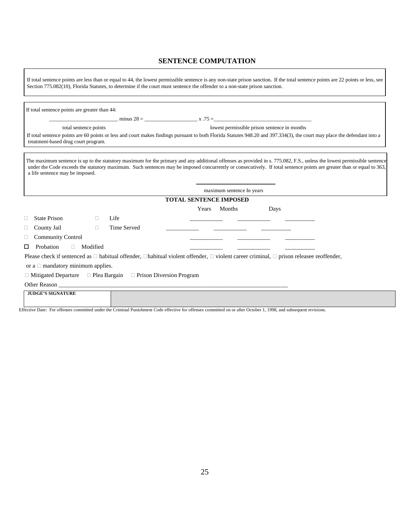#### **SENTENCE COMPUTATION**

If total sentence points are less than or equal to 44, the lowest permissible sentence is any non-state prison sanction**.** If the total sentence points are 22 points or less, see Section 775.082(10), Florida Statutes, to determine if the court must sentence the offender to a non-state prison sanction.

|                                        | total sentence points |                                                                                |       |                               | lowest permissible prison sentence in months                                                                                                                                                                                                                                                                                                     |
|----------------------------------------|-----------------------|--------------------------------------------------------------------------------|-------|-------------------------------|--------------------------------------------------------------------------------------------------------------------------------------------------------------------------------------------------------------------------------------------------------------------------------------------------------------------------------------------------|
| treatment-based drug court program.    |                       |                                                                                |       |                               | If total sentence points are 60 points or less and court makes findings pursuant to both Florida Statutes 948.20 and 397.334(3), the court may place the defendant into a                                                                                                                                                                        |
| a life sentence may be imposed.        |                       |                                                                                |       |                               | The maximum sentence is up to the statutory maximum for the primary and any additional offenses as provided in s. 775.082, F.S., unless the lowest permissible sentence<br>under the Code exceeds the statutory maximum. Such sentences may be imposed concurrently or consecutively. If total sentence points are greater than or equal to 363, |
|                                        |                       |                                                                                |       | maximum sentence In years     |                                                                                                                                                                                                                                                                                                                                                  |
|                                        |                       |                                                                                |       | <b>TOTAL SENTENCE IMPOSED</b> |                                                                                                                                                                                                                                                                                                                                                  |
|                                        |                       |                                                                                | Years | Months                        | Days                                                                                                                                                                                                                                                                                                                                             |
| State Prison                           |                       | Life                                                                           |       |                               |                                                                                                                                                                                                                                                                                                                                                  |
| County Jail                            | $\Box$                | Time Served                                                                    |       |                               |                                                                                                                                                                                                                                                                                                                                                  |
| <b>Community Control</b>               |                       |                                                                                |       |                               |                                                                                                                                                                                                                                                                                                                                                  |
| Probation<br>П                         | $\Box$ Modified       |                                                                                |       |                               |                                                                                                                                                                                                                                                                                                                                                  |
|                                        |                       |                                                                                |       |                               | Please check if sentenced as $\Box$ habitual offender, $\Box$ habitual violent offender, $\Box$ violent career criminal, $\Box$ prison releasee reoffender,                                                                                                                                                                                      |
|                                        |                       |                                                                                |       |                               |                                                                                                                                                                                                                                                                                                                                                  |
|                                        |                       |                                                                                |       |                               |                                                                                                                                                                                                                                                                                                                                                  |
| or a $\Box$ mandatory minimum applies. |                       | $\Box$ Mitigated Departure $\Box$ Plea Bargain $\Box$ Prison Diversion Program |       |                               |                                                                                                                                                                                                                                                                                                                                                  |
|                                        |                       | Other Reason                                                                   |       |                               |                                                                                                                                                                                                                                                                                                                                                  |

Effective Date: For offenses committed under the Criminal Punishment Code effective for offenses committed on or after October 1, 1998, and subsequent revisions.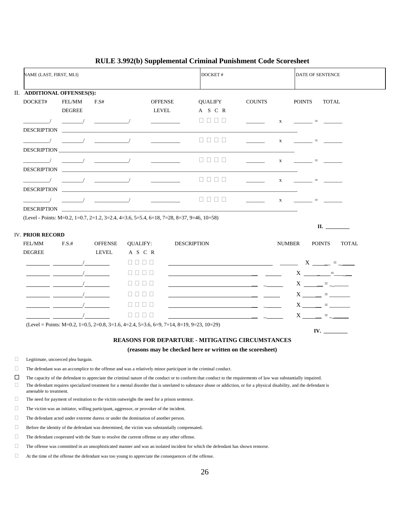|        | NAME (LAST, FIRST, MI.I)              |                                                                                                                                                                          |                      |                   |                          |                    | DOCKET#                                                                                                                |               |               |               | DATE OF SENTENCE                                                                                |              |
|--------|---------------------------------------|--------------------------------------------------------------------------------------------------------------------------------------------------------------------------|----------------------|-------------------|--------------------------|--------------------|------------------------------------------------------------------------------------------------------------------------|---------------|---------------|---------------|-------------------------------------------------------------------------------------------------|--------------|
|        |                                       | II. ADDITIONAL OFFENSES(S):                                                                                                                                              |                      |                   |                          |                    |                                                                                                                        |               |               |               |                                                                                                 |              |
|        | DOCKET#                               | FEL/MM                                                                                                                                                                   | F.S#                 |                   | <b>OFFENSE</b>           |                    | <b>QUALIFY</b>                                                                                                         | <b>COUNTS</b> |               | <b>POINTS</b> | <b>TOTAL</b>                                                                                    |              |
|        |                                       | <b>DEGREE</b>                                                                                                                                                            |                      |                   | LEVEL                    |                    | A S C R                                                                                                                |               |               |               |                                                                                                 |              |
|        |                                       |                                                                                                                                                                          |                      |                   |                          |                    | 0000                                                                                                                   |               | $\mathbf X$   |               | $=$                                                                                             |              |
|        | <b>DESCRIPTION</b>                    |                                                                                                                                                                          |                      |                   |                          |                    |                                                                                                                        |               |               |               |                                                                                                 |              |
|        |                                       |                                                                                                                                                                          |                      |                   |                          |                    | 8888                                                                                                                   |               | X             |               | 100 - San House, San House, San House,                                                          |              |
|        | <b>DESCRIPTION</b>                    |                                                                                                                                                                          |                      |                   |                          |                    |                                                                                                                        |               |               |               |                                                                                                 |              |
|        |                                       |                                                                                                                                                                          |                      |                   | <b>Contract Contract</b> |                    | 0000                                                                                                                   |               | $\mathbf{x}$  |               | $\mathcal{L}(\mathcal{L}(\mathcal{L}))=\mathcal{L}(\mathcal{L}(\mathcal{L}))$ . The contract of |              |
|        | <b>DESCRIPTION</b>                    |                                                                                                                                                                          |                      |                   |                          |                    |                                                                                                                        |               |               |               |                                                                                                 |              |
|        |                                       |                                                                                                                                                                          |                      |                   |                          |                    | $\begin{array}{c c c c c} \square & \square & \square & \square \end{array}$                                           |               | $\mathbf{X}$  |               | - Contractor - Contractor - Contractor                                                          |              |
|        | <b>DESCRIPTION</b>                    |                                                                                                                                                                          |                      |                   |                          |                    |                                                                                                                        |               |               |               |                                                                                                 |              |
|        |                                       |                                                                                                                                                                          | $\qquad \qquad \Box$ |                   |                          |                    | 0000                                                                                                                   |               | $\mathbf{X}$  |               | <u> 1999 - Filippin A</u>                                                                       |              |
|        | <b>DESCRIPTION</b>                    |                                                                                                                                                                          |                      |                   |                          |                    |                                                                                                                        |               |               |               |                                                                                                 |              |
|        |                                       | (Level - Points: M=0.2, 1=0.7, 2=1.2, 3=2.4, 4=3.6, 5=5.4, 6=18, 7=28, 8=37, 9=46, 10=58)                                                                                |                      |                   |                          |                    |                                                                                                                        |               |               |               |                                                                                                 |              |
|        |                                       |                                                                                                                                                                          |                      |                   |                          |                    |                                                                                                                        |               |               |               | $\mathbf{II.}$                                                                                  |              |
|        | <b>IV. PRIOR RECORD</b><br>FEL/MM     | F.S.#                                                                                                                                                                    | <b>OFFENSE</b>       | <b>QUALIFY:</b>   |                          | <b>DESCRIPTION</b> |                                                                                                                        |               | <b>NUMBER</b> |               | <b>POINTS</b>                                                                                   | <b>TOTAL</b> |
|        | <b>DEGREE</b>                         |                                                                                                                                                                          | <b>LEVEL</b>         | A S C R           |                          |                    |                                                                                                                        |               |               |               |                                                                                                 |              |
|        |                                       |                                                                                                                                                                          |                      | 8888              |                          |                    | <u> 1980 - Jan Barbara Barbara, martxa a shekara 1980 - Ann an t-Ann an t-Ann an t-Ann an t-Ann an t-Ann an t-Ann </u> |               |               |               | $X \underline{\hspace{1cm}} = \underline{\hspace{1cm}}$                                         |              |
|        | <u> a shekara ta 1999 a shekara t</u> |                                                                                                                                                                          |                      | 0000              |                          |                    | <u> 1980 - Johann Stoff, Amerikaansk politiker († 1901)</u>                                                            |               |               |               | $X \begin{array}{ccc} \hline \end{array}$                                                       |              |
|        |                                       |                                                                                                                                                                          |                      | <b>.</b>          |                          |                    | the contract of the contract of the contract of the contract of the contract of the contract of the contract of        |               |               |               | $X \_ \_ = \_$                                                                                  |              |
|        |                                       |                                                                                                                                                                          |                      | <u>Literatura</u> |                          |                    | <u> 1990 - Jan James James, politik e</u> ta <mark>lizaren 1</mark> 9a - <u>Jan James James James</u>                  |               |               |               |                                                                                                 |              |
|        |                                       |                                                                                                                                                                          |                      |                   |                          |                    |                                                                                                                        |               |               |               | $X \underline{\hspace{1cm}} = \underline{\hspace{1cm}}$                                         |              |
|        |                                       |                                                                                                                                                                          |                      | 0000              |                          |                    |                                                                                                                        |               |               |               | $X \underline{\hspace{1cm}} = \underline{\hspace{1cm}}$                                         |              |
|        |                                       |                                                                                                                                                                          |                      | e e e e           |                          |                    |                                                                                                                        |               |               |               | $X \underline{\hspace{1cm}} = \underline{\hspace{1cm}}$                                         |              |
|        |                                       | (Level = Points: M=0.2, 1=0.5, 2=0.8, 3=1.6, 4=2.4, 5=3.6, 6=9, 7=14, 8=19, 9=23, 10=29)                                                                                 |                      |                   |                          |                    |                                                                                                                        |               |               |               | IV. $\qquad \qquad$                                                                             |              |
|        |                                       |                                                                                                                                                                          |                      |                   |                          |                    | <b>REASONS FOR DEPARTURE - MITIGATING CIRCUMSTANCES</b>                                                                |               |               |               |                                                                                                 |              |
|        |                                       |                                                                                                                                                                          |                      |                   |                          |                    | (reasons may be checked here or written on the scoresheet)                                                             |               |               |               |                                                                                                 |              |
| $\Box$ |                                       | Legitimate, uncoerced plea bargain.                                                                                                                                      |                      |                   |                          |                    |                                                                                                                        |               |               |               |                                                                                                 |              |
| $\Box$ |                                       | The defendant was an accomplice to the offense and was a relatively minor participant in the criminal conduct.                                                           |                      |                   |                          |                    |                                                                                                                        |               |               |               |                                                                                                 |              |
| □      |                                       | The capacity of the defendant to appreciate the criminal nature of the conduct or to conform that conduct to the requirements of law was substantially impaired.         |                      |                   |                          |                    |                                                                                                                        |               |               |               |                                                                                                 |              |
| $\Box$ | amenable to treatment.                | The defendant requires specialized treatment for a mental disorder that is unrelated to substance abuse or addiction, or for a physical disability, and the defendant is |                      |                   |                          |                    |                                                                                                                        |               |               |               |                                                                                                 |              |
| $\Box$ |                                       | The need for payment of restitution to the victim outweighs the need for a prison sentence.                                                                              |                      |                   |                          |                    |                                                                                                                        |               |               |               |                                                                                                 |              |
| $\Box$ |                                       | The victim was an initiator, willing participant, aggressor, or provoker of the incident.                                                                                |                      |                   |                          |                    |                                                                                                                        |               |               |               |                                                                                                 |              |
| $\Box$ |                                       | The defendant acted under extreme duress or under the domination of another person.                                                                                      |                      |                   |                          |                    |                                                                                                                        |               |               |               |                                                                                                 |              |
| $\Box$ |                                       | Before the identity of the defendant was determined, the victim was substantially compensated.                                                                           |                      |                   |                          |                    |                                                                                                                        |               |               |               |                                                                                                 |              |
| $\Box$ |                                       | The defendant cooperated with the State to resolve the current offense or any other offense.                                                                             |                      |                   |                          |                    |                                                                                                                        |               |               |               |                                                                                                 |              |
| u      |                                       | The offense was committed in an unsophisticated manner and was an isolated incident for which the defendant has shown remorse.                                           |                      |                   |                          |                    |                                                                                                                        |               |               |               |                                                                                                 |              |

#### **RULE 3.992(b) Supplemental Criminal Punishment Code Scoresheet**

At the time of the offense the defendant was too young to appreciate the consequences of the offense.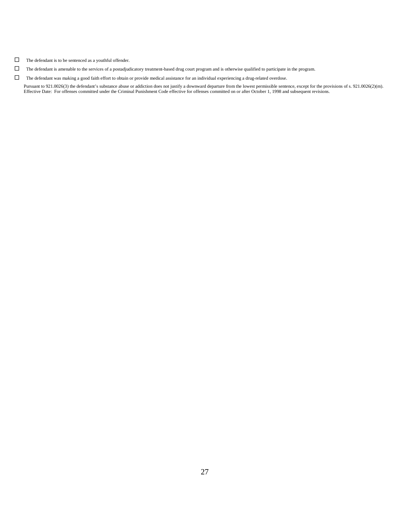- $\hfill\Box$  <br> The defendant is to be sentenced as a youthful offender.
- $\Box$  The defendant is amenable to the services of a postadjudicatory treatment-based drug court program and is otherwise qualified to participate in the program.
- $\Box$  The defendant was making a good faith effort to obtain or provide medical assistance for an individual experiencing a drug-related overdose.

Pursuant to 921.0026(3) the defendant's substance abuse or addiction does not justify a downward departure from the lowest permissible sentence, except for the provisions of s. 921.0026(2)(m). Effective Date: For offenses committed under the Criminal Punishment Code effective for offenses committed on or after October 1, 1998 and subsequent revisions.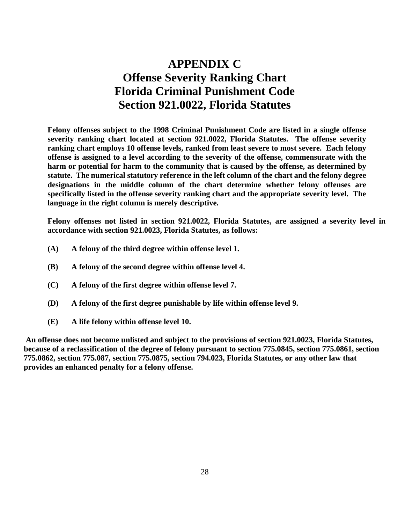### **APPENDIX C Offense Severity Ranking Chart Florida Criminal Punishment Code Section 921.0022, Florida Statutes**

**Felony offenses subject to the 1998 Criminal Punishment Code are listed in a single offense severity ranking chart located at section 921.0022, Florida Statutes. The offense severity ranking chart employs 10 offense levels, ranked from least severe to most severe. Each felony offense is assigned to a level according to the severity of the offense, commensurate with the harm or potential for harm to the community that is caused by the offense, as determined by statute. The numerical statutory reference in the left column of the chart and the felony degree designations in the middle column of the chart determine whether felony offenses are specifically listed in the offense severity ranking chart and the appropriate severity level. The language in the right column is merely descriptive.**

**Felony offenses not listed in section 921.0022, Florida Statutes, are assigned a severity level in accordance with section 921.0023, Florida Statutes, as follows:**

- **(A) A felony of the third degree within offense level 1.**
- **(B) A felony of the second degree within offense level 4.**
- **(C) A felony of the first degree within offense level 7.**
- **(D) A felony of the first degree punishable by life within offense level 9.**
- **(E) A life felony within offense level 10.**

**An offense does not become unlisted and subject to the provisions of section 921.0023, Florida Statutes, because of a reclassification of the degree of felony pursuant to section 775.0845, section 775.0861, section 775.0862, section 775.087, section 775.0875, section 794.023, Florida Statutes, or any other law that provides an enhanced penalty for a felony offense.**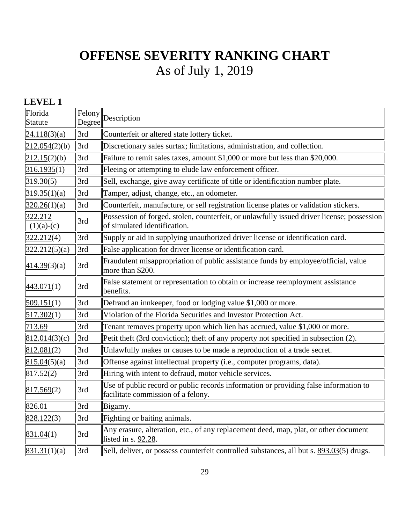### **LEVEL 1**

| Florida<br>Statute      | Felony<br>Degree | Description                                                                                                                |
|-------------------------|------------------|----------------------------------------------------------------------------------------------------------------------------|
| 24.118(3)(a)            | 3rd              | Counterfeit or altered state lottery ticket.                                                                               |
| 212.054(2)(b)           | 3rd              | Discretionary sales surtax; limitations, administration, and collection.                                                   |
| 212.15(2)(b)            | 3rd              | Failure to remit sales taxes, amount \$1,000 or more but less than \$20,000.                                               |
| 316.1935(1)             | 3rd              | Fleeing or attempting to elude law enforcement officer.                                                                    |
| 319.30(5)               | 3rd              | Sell, exchange, give away certificate of title or identification number plate.                                             |
| 319.35(1)(a)            | 3rd              | Tamper, adjust, change, etc., an odometer.                                                                                 |
| 320.26(1)(a)            | 3rd              | Counterfeit, manufacture, or sell registration license plates or validation stickers.                                      |
| 322.212<br>$(1)(a)-(c)$ | 3rd              | Possession of forged, stolen, counterfeit, or unlawfully issued driver license; possession<br>of simulated identification. |
| 322.212(4)              | 3rd              | Supply or aid in supplying unauthorized driver license or identification card.                                             |
| 322.212(5)(a)           | 3rd              | False application for driver license or identification card.                                                               |
| 414.39(3)(a)            | 3rd              | Fraudulent misappropriation of public assistance funds by employee/official, value<br>more than \$200.                     |
| 443.071(1)              | 3rd              | False statement or representation to obtain or increase reemployment assistance<br>benefits.                               |
| 509.151(1)              | 3rd              | Defraud an innkeeper, food or lodging value \$1,000 or more.                                                               |
| 517.302(1)              | 3rd              | Violation of the Florida Securities and Investor Protection Act.                                                           |
| 713.69                  | 3rd              | Tenant removes property upon which lien has accrued, value \$1,000 or more.                                                |
| 812.014(3)(c)           | 3rd              | Petit theft (3rd conviction); theft of any property not specified in subsection (2).                                       |
| 812.081(2)              | 3rd              | Unlawfully makes or causes to be made a reproduction of a trade secret.                                                    |
| 815.04(5)(a)            | 3rd              | Offense against intellectual property (i.e., computer programs, data).                                                     |
| 817.52(2)               | 3rd              | Hiring with intent to defraud, motor vehicle services.                                                                     |
| 817.569(2)              | 3rd              | Use of public record or public records information or providing false information to<br>facilitate commission of a felony. |
| 826.01                  | 3rd              | Bigamy.                                                                                                                    |
| 828.122(3)              | 3rd              | Fighting or baiting animals.                                                                                               |
| 831.04(1)               | 3rd              | Any erasure, alteration, etc., of any replacement deed, map, plat, or other document<br>listed in s. $92.28$ .             |
| 831.31(1)(a)            | 3rd              | Sell, deliver, or possess counterfeit controlled substances, all but s. 893.03(5) drugs.                                   |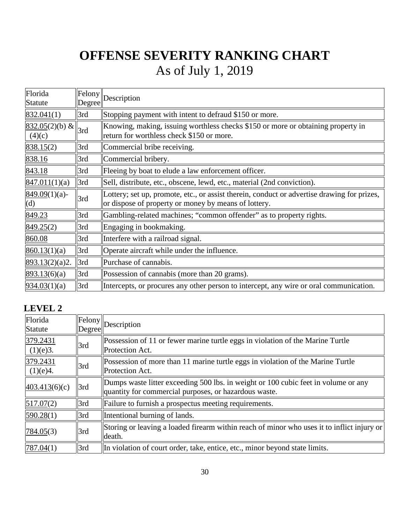| Florida<br>Statute                                                  | Degree | $\ Felony\ $ Description                                                                                                                            |
|---------------------------------------------------------------------|--------|-----------------------------------------------------------------------------------------------------------------------------------------------------|
| 832.041(1)                                                          | 3rd    | Stopping payment with intent to defraud \$150 or more.                                                                                              |
| $\frac{1}{832.05(2)(b)}$ & $\left\  \frac{3}{2} \right\ $<br>(4)(c) |        | Knowing, making, issuing worthless checks \$150 or more or obtaining property in<br>return for worthless check \$150 or more.                       |
| 838.15(2)                                                           | 3rd    | Commercial bribe receiving.                                                                                                                         |
| 838.16                                                              | 3rd    | Commercial bribery.                                                                                                                                 |
| 843.18                                                              | 3rd    | Fleeing by boat to elude a law enforcement officer.                                                                                                 |
| 847.011(1)(a)                                                       | 3rd    | Sell, distribute, etc., obscene, lewd, etc., material (2nd conviction).                                                                             |
| $849.09(1)(a)$ -<br>(d)                                             | 3rd    | Lottery; set up, promote, etc., or assist therein, conduct or advertise drawing for prizes,<br>or dispose of property or money by means of lottery. |
| 849.23                                                              | 3rd    | Gambling-related machines; "common offender" as to property rights.                                                                                 |
| 849.25(2)                                                           | 3rd    | Engaging in bookmaking.                                                                                                                             |
| 860.08                                                              | 3rd    | Interfere with a railroad signal.                                                                                                                   |
| 860.13(1)(a)                                                        | 3rd    | Operate aircraft while under the influence.                                                                                                         |
| 893.13(2)(a)2.                                                      | 3rd    | Purchase of cannabis.                                                                                                                               |
| 893.13(6)(a)                                                        | 3rd    | Possession of cannabis (more than 20 grams).                                                                                                        |
| 934.03(1)(a)                                                        | 3rd    | Intercepts, or procures any other person to intercept, any wire or oral communication.                                                              |

### **LEVEL 2**

| Florida<br><b>Statute</b> | Degree | $\left\Vert \text{Felong}\right\Vert _{\text{Description}}$                                                                                 |
|---------------------------|--------|---------------------------------------------------------------------------------------------------------------------------------------------|
| 379.2431<br>(1)(e)3.      | 3rd    | Possession of 11 or fewer marine turtle eggs in violation of the Marine Turtle<br>Protection Act.                                           |
| 379.2431<br>(1)(e)4.      | 3rd    | Possession of more than 11 marine turtle eggs in violation of the Marine Turtle<br>Protection Act.                                          |
| 403.413(6)(c)             | 3rd    | Dumps waste litter exceeding 500 lbs. in weight or 100 cubic feet in volume or any<br>quantity for commercial purposes, or hazardous waste. |
| 517.07(2)                 | 3rd    | Failure to furnish a prospectus meeting requirements.                                                                                       |
| 590.28(1)                 | 3rd    | Intentional burning of lands.                                                                                                               |
| 784.05(3)                 | 3rd    | Storing or leaving a loaded firearm within reach of minor who uses it to inflict injury or<br>death.                                        |
| 787.04(1)                 | 3rd    | In violation of court order, take, entice, etc., minor beyond state limits.                                                                 |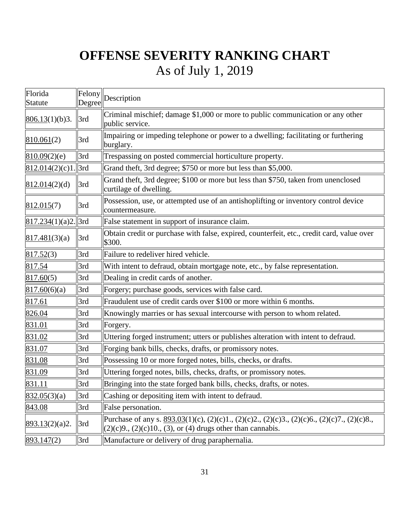| Florida<br><b>Statute</b> | Degree | $\left\Vert \text{Felong}\right\Vert _{\text{Description}}$                                                                                                                                                |
|---------------------------|--------|------------------------------------------------------------------------------------------------------------------------------------------------------------------------------------------------------------|
| 806.13(1)(b)3.            | 3rd    | Criminal mischief; damage \$1,000 or more to public communication or any other<br>public service.                                                                                                          |
| 810.061(2)                | 3rd    | Impairing or impeding telephone or power to a dwelling; facilitating or furthering<br>burglary.                                                                                                            |
| 810.09(2)(e)              | 3rd    | Trespassing on posted commercial horticulture property.                                                                                                                                                    |
| 812.014(2)(c)1            | 3rd    | Grand theft, 3rd degree; \$750 or more but less than \$5,000.                                                                                                                                              |
| 812.014(2)(d)             | 3rd    | Grand theft, 3rd degree; \$100 or more but less than \$750, taken from unenclosed<br>curtilage of dwelling.                                                                                                |
| 812.015(7)                | 3rd    | Possession, use, or attempted use of an antishoplifting or inventory control device<br>countermeasure.                                                                                                     |
| 817.234(1)(a)2            | 3rd    | False statement in support of insurance claim.                                                                                                                                                             |
| 817.481(3)(a)             | 3rd    | Obtain credit or purchase with false, expired, counterfeit, etc., credit card, value over<br>\$300.                                                                                                        |
| 817.52(3)                 | 3rd    | Failure to redeliver hired vehicle.                                                                                                                                                                        |
| 817.54                    | 3rd    | With intent to defraud, obtain mortgage note, etc., by false representation.                                                                                                                               |
| 817.60(5)                 | 3rd    | Dealing in credit cards of another.                                                                                                                                                                        |
| 817.60(6)(a)              | 3rd    | Forgery; purchase goods, services with false card.                                                                                                                                                         |
| 817.61                    | 3rd    | Fraudulent use of credit cards over \$100 or more within 6 months.                                                                                                                                         |
| 826.04                    | 3rd    | Knowingly marries or has sexual intercourse with person to whom related.                                                                                                                                   |
| 831.01                    | 3rd    | Forgery.                                                                                                                                                                                                   |
| 831.02                    | 3rd    | Uttering forged instrument; utters or publishes alteration with intent to defraud.                                                                                                                         |
| 831.07                    | 3rd    | Forging bank bills, checks, drafts, or promissory notes.                                                                                                                                                   |
| 831.08                    | 3rd    | Possessing 10 or more forged notes, bills, checks, or drafts.                                                                                                                                              |
| 831.09                    | 3rd    | Uttering forged notes, bills, checks, drafts, or promissory notes.                                                                                                                                         |
| 831.11                    | 3rd    | Bringing into the state forged bank bills, checks, drafts, or notes.                                                                                                                                       |
| 832.05(3)(a)              | 3rd    | Cashing or depositing item with intent to defraud.                                                                                                                                                         |
| 843.08                    | 3rd    | False personation.                                                                                                                                                                                         |
| $893.13(2)(a)2$ .         | 3rd    | Purchase of any s. $893.03(1)(c)$ , $(2)(c)1$ , $(2)(c)2$ , $(2)(c)3$ , $(2)(c)6$ , $(2)(c)7$ , $(2)(c)8$ ,<br>$\left  (2)(c)9, (2)(c)10, (3), \text{ or } (4) \text{ drugs other than cannabis.} \right $ |
| 893.147(2)                | 3rd    | Manufacture or delivery of drug paraphernalia.                                                                                                                                                             |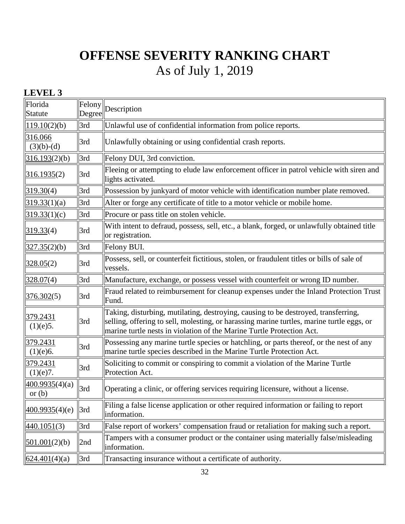### **LEVEL 3**

| Florida<br><b>Statute</b>  | Felony<br>Degree | Description                                                                                                                                                                                                                                              |
|----------------------------|------------------|----------------------------------------------------------------------------------------------------------------------------------------------------------------------------------------------------------------------------------------------------------|
| 119.10(2)(b)               | 3rd              | Unlawful use of confidential information from police reports.                                                                                                                                                                                            |
| 316.066<br>$(3)(b)-(d)$    | 3rd              | Unlawfully obtaining or using confidential crash reports.                                                                                                                                                                                                |
| 316.193(2)(b)              | 3rd              | Felony DUI, 3rd conviction.                                                                                                                                                                                                                              |
| <u>316.1935</u> (2)        | 3rd              | Fleeing or attempting to elude law enforcement officer in patrol vehicle with siren and<br>lights activated.                                                                                                                                             |
| 319.30(4)                  | 3rd              | Possession by junkyard of motor vehicle with identification number plate removed.                                                                                                                                                                        |
| 319.33(1)(a)               | 3rd              | Alter or forge any certificate of title to a motor vehicle or mobile home.                                                                                                                                                                               |
| 319.33(1)(c)               | 3rd              | Procure or pass title on stolen vehicle.                                                                                                                                                                                                                 |
| 319.33(4)                  | 3rd              | With intent to defraud, possess, sell, etc., a blank, forged, or unlawfully obtained title<br>or registration.                                                                                                                                           |
| 327.35(2)(b)               | 3rd              | Felony BUI.                                                                                                                                                                                                                                              |
| 328.05(2)                  | 3rd              | Possess, sell, or counterfeit fictitious, stolen, or fraudulent titles or bills of sale of<br>vessels.                                                                                                                                                   |
| 328.07 <sub>(4)</sub>      | 3rd              | Manufacture, exchange, or possess vessel with counterfeit or wrong ID number.                                                                                                                                                                            |
| 376.302(5)                 | 3rd              | Fraud related to reimbursement for cleanup expenses under the Inland Protection Trust<br>Fund.                                                                                                                                                           |
| 379.2431<br>(1)(e)5.       | 3rd              | Taking, disturbing, mutilating, destroying, causing to be destroyed, transferring,<br>selling, offering to sell, molesting, or harassing marine turtles, marine turtle eggs, or<br>marine turtle nests in violation of the Marine Turtle Protection Act. |
| 379.2431<br>(1)(e)6.       | 3rd              | Possessing any marine turtle species or hatchling, or parts thereof, or the nest of any<br>marine turtle species described in the Marine Turtle Protection Act.                                                                                          |
| 379.2431<br>(1)(e)7.       | 3rd              | Soliciting to commit or conspiring to commit a violation of the Marine Turtle<br>Protection Act.                                                                                                                                                         |
| 400.9935(4)(a)<br>or $(b)$ | 3rd              | Operating a clinic, or offering services requiring licensure, without a license.                                                                                                                                                                         |
| 400.9935(4)(e)             | 3rd              | Filing a false license application or other required information or failing to report<br>information.                                                                                                                                                    |
| 440.1051(3)                | 3rd              | False report of workers' compensation fraud or retaliation for making such a report.                                                                                                                                                                     |
| 501.001(2)(b)              | 2nd              | Tampers with a consumer product or the container using materially false/misleading<br>information.                                                                                                                                                       |
| 624.401(4)(a)              | 3rd              | Transacting insurance without a certificate of authority.                                                                                                                                                                                                |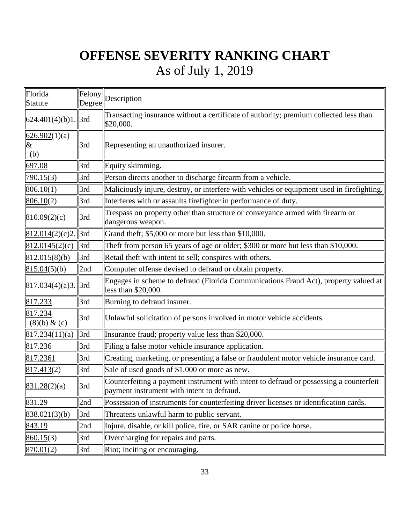| Florida<br>Statute           | Felony<br>Degree | Description                                                                                                                          |
|------------------------------|------------------|--------------------------------------------------------------------------------------------------------------------------------------|
| $624.401(4)(b)1$ . 3rd       |                  | Transacting insurance without a certificate of authority; premium collected less than<br>\$20,000.                                   |
| 626.902(1)(a)<br>$\&$<br>(b) | 3rd              | Representing an unauthorized insurer.                                                                                                |
| 697.08                       | 3rd              | Equity skimming.                                                                                                                     |
| 790.15(3)                    | 3rd              | Person directs another to discharge firearm from a vehicle.                                                                          |
| 806.10(1)                    | 3rd              | Maliciously injure, destroy, or interfere with vehicles or equipment used in firefighting.                                           |
| 806.10(2)                    | 3rd              | Interferes with or assaults firefighter in performance of duty.                                                                      |
| 810.09(2)(c)                 | 3rd              | Trespass on property other than structure or conveyance armed with firearm or<br>dangerous weapon.                                   |
| 812.014(2)(c)2.              | 3rd              | Grand theft; \$5,000 or more but less than \$10,000.                                                                                 |
| 812.0145(2)(c)               | 3rd              | Theft from person 65 years of age or older; \$300 or more but less than \$10,000.                                                    |
| 812.015(8)(b)                | 3rd              | Retail theft with intent to sell; conspires with others.                                                                             |
| 815.04(5)(b)                 | 2nd              | Computer offense devised to defraud or obtain property.                                                                              |
| $817.034(4)(a)3.$  3rd       |                  | Engages in scheme to defraud (Florida Communications Fraud Act), property valued at<br>less than \$20,000.                           |
| 817.233                      | 3rd              | Burning to defraud insurer.                                                                                                          |
| 817.234<br>(8)(b) & (c)      | 3rd              | Unlawful solicitation of persons involved in motor vehicle accidents.                                                                |
| 817.234(11)(a)               | 3rd              | Insurance fraud; property value less than \$20,000.                                                                                  |
| 817.236                      | 3rd              | Filing a false motor vehicle insurance application.                                                                                  |
| 817.2361                     | 3rd              | Creating, marketing, or presenting a false or fraudulent motor vehicle insurance card.                                               |
| 817.413(2)                   | 3rd              | Sale of used goods of \$1,000 or more as new.                                                                                        |
| 831.28(2)(a)                 | 3rd              | Counterfeiting a payment instrument with intent to defraud or possessing a counterfeit<br>payment instrument with intent to defraud. |
| 831.29                       | 2nd              | Possession of instruments for counterfeiting driver licenses or identification cards.                                                |
| 838.021(3)(b)                | 3rd              | Threatens unlawful harm to public servant.                                                                                           |
| 843.19                       | 2nd              | Injure, disable, or kill police, fire, or SAR canine or police horse.                                                                |
| 860.15(3)                    | 3rd              | Overcharging for repairs and parts.                                                                                                  |
| 870.01(2)                    | 3rd              | Riot; inciting or encouraging.                                                                                                       |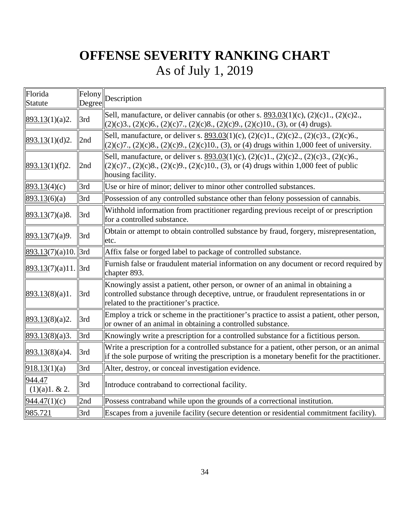| Florida<br>Statute      | Degree | $\boxed{\text{Felong}}$ Description                                                                                                                                                                                            |
|-------------------------|--------|--------------------------------------------------------------------------------------------------------------------------------------------------------------------------------------------------------------------------------|
| 893.13(1)(a)2.          | 3rd    | Sell, manufacture, or deliver cannabis (or other s. $893.03(1)(c)$ , $(2)(c)1$ ., $(2)(c)2$ .,<br>$(2)(c)3., (2)(c)6., (2)(c)7., (2)(c)8., (2)(c)9., (2)(c)10., (3), or (4) drugs).$                                           |
| 893.13(1)(d)2.          | 2nd    | Sell, manufacture, or deliver s. 893.03(1)(c), (2)(c)1., (2)(c)2., (2)(c)3., (2)(c)6.,<br>$(2)(c)7$ ., $(2)(c)8$ ., $(2)(c)9$ ., $(2)(c)10$ ., $(3)$ , or $(4)$ drugs within 1,000 feet of university.                         |
| 893.13(1)(f)2.          | 2nd    | Sell, manufacture, or deliver s. <u>893.03</u> (1)(c), (2)(c)1., (2)(c)2., (2)(c)3., (2)(c)6.,<br>$(2)(c)7$ ., $(2)(c)8$ ., $(2)(c)9$ ., $(2)(c)10$ ., $(3)$ , or $(4)$ drugs within 1,000 feet of public<br>housing facility. |
| 893.13(4)(c)            | 3rd    | Use or hire of minor; deliver to minor other controlled substances.                                                                                                                                                            |
| 893.13(6)(a)            | 3rd    | Possession of any controlled substance other than felony possession of cannabis.                                                                                                                                               |
| 893.13(7)(a)8.          | 3rd    | Withhold information from practitioner regarding previous receipt of or prescription<br>for a controlled substance.                                                                                                            |
| 893.13(7)(a)9.          | 3rd    | Obtain or attempt to obtain controlled substance by fraud, forgery, misrepresentation,<br>etc.                                                                                                                                 |
| $893.13(7)(a)10$ . 3rd  |        | Affix false or forged label to package of controlled substance.                                                                                                                                                                |
| $893.13(7)(a)11$ . 3rd  |        | Furnish false or fraudulent material information on any document or record required by<br>chapter 893.                                                                                                                         |
| 893.13(8)(a)1.          | 3rd    | Knowingly assist a patient, other person, or owner of an animal in obtaining a<br>controlled substance through deceptive, untrue, or fraudulent representations in or<br>related to the practitioner's practice.               |
| 893.13(8)(a)2.          | 3rd    | Employ a trick or scheme in the practitioner's practice to assist a patient, other person,<br>or owner of an animal in obtaining a controlled substance.                                                                       |
| 893.13(8)(a)3.          | 3rd    | Knowingly write a prescription for a controlled substance for a fictitious person.                                                                                                                                             |
| 893.13(8)(a)4.          | 3rd    | Write a prescription for a controlled substance for a patient, other person, or an animal<br>if the sole purpose of writing the prescription is a monetary benefit for the practitioner.                                       |
| 918.13(1)(a)            | 3rd    | Alter, destroy, or conceal investigation evidence.                                                                                                                                                                             |
| 944.47<br>(1)(a)1. & 2. | 3rd    | Introduce contraband to correctional facility.                                                                                                                                                                                 |
| 944.47(1)(c)            | 2nd    | Possess contraband while upon the grounds of a correctional institution.                                                                                                                                                       |
| 985.721                 | 3rd    | Escapes from a juvenile facility (secure detention or residential commitment facility).                                                                                                                                        |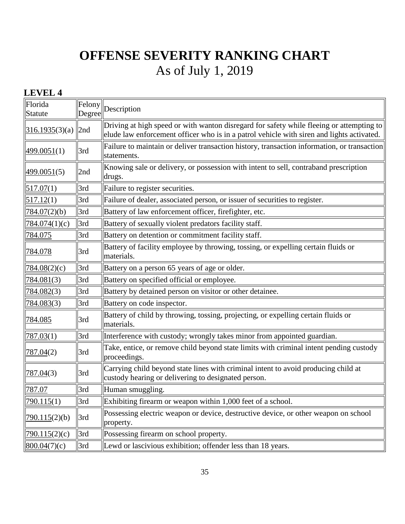### **LEVEL 4**

| Florida<br><b>Statute</b> | Felony<br>Degree | Description                                                                                                                                                                           |
|---------------------------|------------------|---------------------------------------------------------------------------------------------------------------------------------------------------------------------------------------|
| 316.1935(3)(a)            | 2nd              | Driving at high speed or with wanton disregard for safety while fleeing or attempting to<br>elude law enforcement officer who is in a patrol vehicle with siren and lights activated. |
| <u>499.0051(1)</u>        | 3rd              | Failure to maintain or deliver transaction history, transaction information, or transaction<br>statements.                                                                            |
| <u>499.0051(5)</u>        | 2nd              | Knowing sale or delivery, or possession with intent to sell, contraband prescription<br>drugs.                                                                                        |
| 517.07(1)                 | 3rd              | Failure to register securities.                                                                                                                                                       |
| 517.12(1)                 | 3rd              | Failure of dealer, associated person, or issuer of securities to register.                                                                                                            |
| 784.07(2)(b)              | 3rd              | Battery of law enforcement officer, firefighter, etc.                                                                                                                                 |
| 784.074(1)(c)             | 3rd              | Battery of sexually violent predators facility staff.                                                                                                                                 |
| 784.075                   | 3rd              | Battery on detention or commitment facility staff.                                                                                                                                    |
| 784.078                   | 3rd              | Battery of facility employee by throwing, tossing, or expelling certain fluids or<br>materials.                                                                                       |
| 784.08(2)(c)              | 3rd              | Battery on a person 65 years of age or older.                                                                                                                                         |
| 784.081 <sub>(3)</sub>    | 3rd              | Battery on specified official or employee.                                                                                                                                            |
| 784.082 <sub>(3)</sub>    | 3rd              | Battery by detained person on visitor or other detainee.                                                                                                                              |
| 784.083 <sub>(3)</sub>    | 3rd              | Battery on code inspector.                                                                                                                                                            |
| 784.085                   | 3rd              | Battery of child by throwing, tossing, projecting, or expelling certain fluids or<br>materials.                                                                                       |
| 787.03(1)                 | 3rd              | Interference with custody; wrongly takes minor from appointed guardian.                                                                                                               |
| 787.04(2)                 | 3rd              | Take, entice, or remove child beyond state limits with criminal intent pending custody<br>proceedings.                                                                                |
| <u>787.04</u> (3)         | 3rd              | Carrying child beyond state lines with criminal intent to avoid producing child at<br>custody hearing or delivering to designated person.                                             |
| 787.07                    | 3rd              | Human smuggling.                                                                                                                                                                      |
| 790.115(1)                | 3rd              | Exhibiting firearm or weapon within 1,000 feet of a school.                                                                                                                           |
| 790.115(2)(b)             | 3rd              | Possessing electric weapon or device, destructive device, or other weapon on school<br>property.                                                                                      |
| 790.115(2)(c)             | 3rd              | Possessing firearm on school property.                                                                                                                                                |
| 800.04(7)(c)              | 3rd              | Lewd or lascivious exhibition; offender less than 18 years.                                                                                                                           |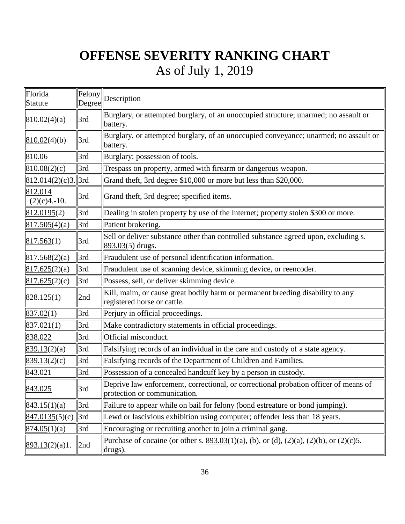| Florida<br>Statute        | Felony<br>Degree | Description                                                                                                          |
|---------------------------|------------------|----------------------------------------------------------------------------------------------------------------------|
| 810.02(4)(a)              | 3rd              | Burglary, or attempted burglary, of an unoccupied structure; unarmed; no assault or<br>battery.                      |
| 810.02(4)(b)              | 3rd              | Burglary, or attempted burglary, of an unoccupied conveyance; unarmed; no assault or<br>battery.                     |
| 810.06                    | 3rd              | Burglary; possession of tools.                                                                                       |
| 810.08(2)(c)              | 3rd              | Trespass on property, armed with firearm or dangerous weapon.                                                        |
| $812.014(2)(c)3$ .        | $\parallel$ 3rd  | Grand theft, 3rd degree \$10,000 or more but less than \$20,000.                                                     |
| 812.014<br>$(2)(c)4.-10.$ | 3rd              | Grand theft, 3rd degree; specified items.                                                                            |
| 812.0195(2)               | 3rd              | Dealing in stolen property by use of the Internet; property stolen \$300 or more.                                    |
| 817.505(4)(a)             | 3rd              | Patient brokering.                                                                                                   |
| 817.563(1)                | 3rd              | Sell or deliver substance other than controlled substance agreed upon, excluding s.<br>$893.03(5)$ drugs.            |
| 817.568(2)(a)             | 3rd              | Fraudulent use of personal identification information.                                                               |
| 817.625(2)(a)             | 3rd              | Fraudulent use of scanning device, skimming device, or reencoder.                                                    |
| 817.625(2)(c)             | 3rd              | Possess, sell, or deliver skimming device.                                                                           |
| 828.125(1)                | 2nd              | Kill, maim, or cause great bodily harm or permanent breeding disability to any<br>registered horse or cattle.        |
| 837.02(1)                 | 3rd              | Perjury in official proceedings.                                                                                     |
| 837.021(1)                | 3rd              | Make contradictory statements in official proceedings.                                                               |
| 838.022                   | 3rd              | Official misconduct.                                                                                                 |
| 839.13(2)(a)              | 3rd              | Falsifying records of an individual in the care and custody of a state agency.                                       |
| 839.13(2)(c)              | 3rd              | Falsifying records of the Department of Children and Families.                                                       |
| 843.021                   | 3rd              | Possession of a concealed handcuff key by a person in custody.                                                       |
| 843.025                   | 3rd              | Deprive law enforcement, correctional, or correctional probation officer of means of<br>protection or communication. |
| 843.15(1)(a)              | 3rd              | Failure to appear while on bail for felony (bond estreature or bond jumping).                                        |
| 847.0135(5)(c)            | 3rd              | Lewd or lascivious exhibition using computer; offender less than 18 years.                                           |
| 874.05(1)(a)              | 3rd              | Encouraging or recruiting another to join a criminal gang.                                                           |
| 893.13(2)(a)1.            | 2nd              | Purchase of cocaine (or other s. $893.03(1)(a)$ , (b), or (d), (2)(a), (2)(b), or (2)(c)5.<br>drugs).                |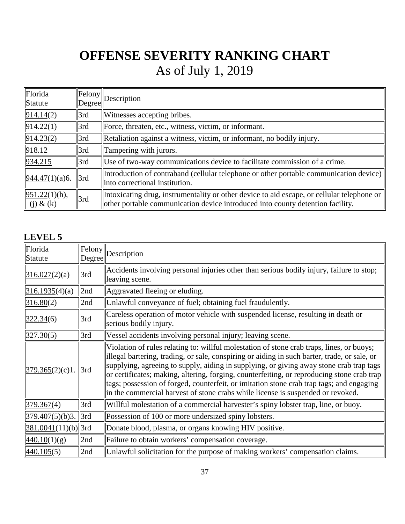| Florida<br>Statute                | Degree      | $\left\Vert$ Felony $\right\Vert$ Description                                                                                                                                |
|-----------------------------------|-------------|------------------------------------------------------------------------------------------------------------------------------------------------------------------------------|
| 914.14(2)                         | 3rd         | Witnesses accepting bribes.                                                                                                                                                  |
| 914.22(1)                         | $\vert$ 3rd | Force, threaten, etc., witness, victim, or informant.                                                                                                                        |
| 914.23(2)                         | 3rd         | Retaliation against a witness, victim, or informant, no bodily injury.                                                                                                       |
| 918.12                            | 3rd         | Tampering with jurors.                                                                                                                                                       |
| 934.215                           | 3rd         | Use of two-way communications device to facilitate commission of a crime.                                                                                                    |
| 944.47(1)(a)6.                    | 3rd         | Introduction of contraband (cellular telephone or other portable communication device)<br>linto correctional institution.                                                    |
| $951.22(1)(h)$ ,<br>$(j)$ & $(k)$ | 3rd         | Intoxicating drug, instrumentality or other device to aid escape, or cellular telephone or<br>other portable communication device introduced into county detention facility. |

### **LEVEL 5**

| Florida<br>Statute    | Degree | $\left\Vert \overline{\text{February}}\right\Vert _{\text{Description}}$                                                                                                                                                                                                                                                                                                                                                                                                                                                                                          |
|-----------------------|--------|-------------------------------------------------------------------------------------------------------------------------------------------------------------------------------------------------------------------------------------------------------------------------------------------------------------------------------------------------------------------------------------------------------------------------------------------------------------------------------------------------------------------------------------------------------------------|
| 316.027(2)(a)         | 3rd    | Accidents involving personal injuries other than serious bodily injury, failure to stop;<br>leaving scene.                                                                                                                                                                                                                                                                                                                                                                                                                                                        |
| 316.1935(4)(a)        | 2nd    | Aggravated fleeing or eluding.                                                                                                                                                                                                                                                                                                                                                                                                                                                                                                                                    |
| 316.80(2)             | 2nd    | Unlawful conveyance of fuel; obtaining fuel fraudulently.                                                                                                                                                                                                                                                                                                                                                                                                                                                                                                         |
| 322.34(6)             | 3rd    | Careless operation of motor vehicle with suspended license, resulting in death or<br>serious bodily injury.                                                                                                                                                                                                                                                                                                                                                                                                                                                       |
| 327.30(5)             | 3rd    | Vessel accidents involving personal injury; leaving scene.                                                                                                                                                                                                                                                                                                                                                                                                                                                                                                        |
| 379.365(2)(c)1.       | 3rd    | Violation of rules relating to: willful molestation of stone crab traps, lines, or buoys;<br>illegal bartering, trading, or sale, conspiring or aiding in such barter, trade, or sale, or<br>supplying, agreeing to supply, aiding in supplying, or giving away stone crab trap tags<br>or certificates; making, altering, forging, counterfeiting, or reproducing stone crab trap<br>tags; possession of forged, counterfeit, or imitation stone crab trap tags; and engaging<br>in the commercial harvest of stone crabs while license is suspended or revoked. |
| 379.367(4)            | 3rd    | Willful molestation of a commercial harvester's spiny lobster trap, line, or buoy.                                                                                                                                                                                                                                                                                                                                                                                                                                                                                |
| 379.407(5)(b)3.       | 3rd    | Possession of 100 or more undersized spiny lobsters.                                                                                                                                                                                                                                                                                                                                                                                                                                                                                                              |
| $381.0041(11)(b)$ 3rd |        | Donate blood, plasma, or organs knowing HIV positive.                                                                                                                                                                                                                                                                                                                                                                                                                                                                                                             |
| 440.10(1)(g)          | 2nd    | Failure to obtain workers' compensation coverage.                                                                                                                                                                                                                                                                                                                                                                                                                                                                                                                 |
| 440.105(5)            | 2nd    | Unlawful solicitation for the purpose of making workers' compensation claims.                                                                                                                                                                                                                                                                                                                                                                                                                                                                                     |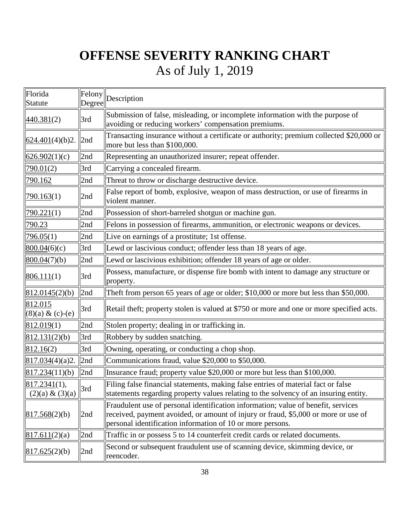| Florida<br>Statute                 | Felony<br>Degree | Description                                                                                                                                                                                                                           |
|------------------------------------|------------------|---------------------------------------------------------------------------------------------------------------------------------------------------------------------------------------------------------------------------------------|
| 440.381(2)                         | 3rd              | Submission of false, misleading, or incomplete information with the purpose of<br>avoiding or reducing workers' compensation premiums.                                                                                                |
| 624.401(4)(b)2.                    | 2nd              | Transacting insurance without a certificate or authority; premium collected \$20,000 or<br>more but less than \$100,000.                                                                                                              |
| 626.902(1)(c)                      | 2nd              | Representing an unauthorized insurer; repeat offender.                                                                                                                                                                                |
| 790.01(2)                          | 3rd              | Carrying a concealed firearm.                                                                                                                                                                                                         |
| <u>790.162</u>                     | 2nd              | Threat to throw or discharge destructive device.                                                                                                                                                                                      |
| 790.163(1)                         | 2nd              | False report of bomb, explosive, weapon of mass destruction, or use of firearms in<br>violent manner.                                                                                                                                 |
| 790.221(1)                         | 2nd              | Possession of short-barreled shotgun or machine gun.                                                                                                                                                                                  |
| <u>790.23</u>                      | 2nd              | Felons in possession of firearms, ammunition, or electronic weapons or devices.                                                                                                                                                       |
| 796.05(1)                          | 2nd              | Live on earnings of a prostitute; 1st offense.                                                                                                                                                                                        |
| 800.04(6)(c)                       | 3rd              | Lewd or lascivious conduct; offender less than 18 years of age.                                                                                                                                                                       |
| 800.04(7)(b)                       | 2nd              | Lewd or lascivious exhibition; offender 18 years of age or older.                                                                                                                                                                     |
| 806.111(1)                         | 3rd              | Possess, manufacture, or dispense fire bomb with intent to damage any structure or<br>property.                                                                                                                                       |
| 812.0145(2)(b)                     | 2nd              | Theft from person 65 years of age or older; \$10,000 or more but less than \$50,000.                                                                                                                                                  |
| 812.015<br>$(8)(a) \& (c)-(e)$     | 3rd              | Retail theft; property stolen is valued at \$750 or more and one or more specified acts.                                                                                                                                              |
| 812.019(1)                         | 2nd              | Stolen property; dealing in or trafficking in.                                                                                                                                                                                        |
| 812.131(2)(b)                      | 3rd              | Robbery by sudden snatching.                                                                                                                                                                                                          |
| 812.16(2)                          | 3rd              | Owning, operating, or conducting a chop shop.                                                                                                                                                                                         |
| 817.034(4)(a)2.                    | 2nd              | Communications fraud, value \$20,000 to \$50,000.                                                                                                                                                                                     |
| 817.234(11)(b)                     | 2nd              | Insurance fraud; property value \$20,000 or more but less than \$100,000.                                                                                                                                                             |
| 817.2341(1),<br>$(2)(a) \& (3)(a)$ | 3rd              | Filing false financial statements, making false entries of material fact or false<br>statements regarding property values relating to the solvency of an insuring entity.                                                             |
| 817.568(2)(b)                      | 2nd              | Fraudulent use of personal identification information; value of benefit, services<br>received, payment avoided, or amount of injury or fraud, \$5,000 or more or use of<br>personal identification information of 10 or more persons. |
| 817.611(2)(a)                      | 2nd              | Traffic in or possess 5 to 14 counterfeit credit cards or related documents.                                                                                                                                                          |
| 817.625(2)(b)                      | 2nd              | Second or subsequent fraudulent use of scanning device, skimming device, or<br>reencoder.                                                                                                                                             |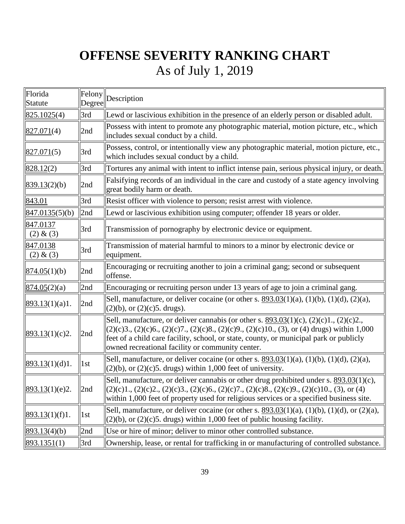| Florida<br>Statute    | Felony<br>Degree | Description                                                                                                                                                                                                                                                                                                                                    |
|-----------------------|------------------|------------------------------------------------------------------------------------------------------------------------------------------------------------------------------------------------------------------------------------------------------------------------------------------------------------------------------------------------|
| 825.1025(4)           | 3rd              | Lewd or lascivious exhibition in the presence of an elderly person or disabled adult.                                                                                                                                                                                                                                                          |
| 827.071(4)            | 2nd              | Possess with intent to promote any photographic material, motion picture, etc., which<br>includes sexual conduct by a child.                                                                                                                                                                                                                   |
| 827.071(5)            | 3rd              | Possess, control, or intentionally view any photographic material, motion picture, etc.,<br>which includes sexual conduct by a child.                                                                                                                                                                                                          |
| 828.12(2)             | 3rd              | Tortures any animal with intent to inflict intense pain, serious physical injury, or death.                                                                                                                                                                                                                                                    |
| 839.13(2)(b)          | 2nd              | Falsifying records of an individual in the care and custody of a state agency involving<br>great bodily harm or death.                                                                                                                                                                                                                         |
| 843.01                | 3rd              | Resist officer with violence to person; resist arrest with violence.                                                                                                                                                                                                                                                                           |
| 847.0135(5)(b)        | 2nd              | Lewd or lascivious exhibition using computer; offender 18 years or older.                                                                                                                                                                                                                                                                      |
| 847.0137<br>(2) & (3) | 3rd              | Transmission of pornography by electronic device or equipment.                                                                                                                                                                                                                                                                                 |
| 847.0138<br>(2) & (3) | 3rd              | Transmission of material harmful to minors to a minor by electronic device or<br>equipment.                                                                                                                                                                                                                                                    |
| 874.05(1)(b)          | 2nd              | Encouraging or recruiting another to join a criminal gang; second or subsequent<br>offense.                                                                                                                                                                                                                                                    |
| 874.05(2)(a)          | 2nd              | Encouraging or recruiting person under 13 years of age to join a criminal gang.                                                                                                                                                                                                                                                                |
| 893.13(1)(a)1.        | 2nd              | Sell, manufacture, or deliver cocaine (or other s. $893.03(1)(a)$ , $(1)(b)$ , $(1)(d)$ , $(2)(a)$ ,<br>$(2)(b)$ , or $(2)(c)5$ . drugs).                                                                                                                                                                                                      |
| 893.13(1)(c)2.        | 2nd              | Sell, manufacture, or deliver cannabis (or other s. $893.03(1)(c)$ , $(2)(c)1$ ., $(2)(c)2$ .,<br>$(2)(c)3., (2)(c)6., (2)(c)7., (2)(c)8., (2)(c)9., (2)(c)10., (3), or (4) drugs) within 1,000$<br>feet of a child care facility, school, or state, county, or municipal park or publicly<br>owned recreational facility or community center. |
| 893.13(1)(d)1.        | 1st              | Sell, manufacture, or deliver cocaine (or other s. $893.03(1)(a)$ , $(1)(b)$ , $(1)(d)$ , $(2)(a)$ ,<br>$(2)(b)$ , or $(2)(c)5$ . drugs) within 1,000 feet of university.                                                                                                                                                                      |
| 893.13(1)(e)2.        | 2nd              | Sell, manufacture, or deliver cannabis or other drug prohibited under s. 893.03(1)(c),<br>$(2)(c)1., (2)(c)2., (2)(c)3., (2)(c)6., (2)(c)7., (2)(c)8., (2)(c)9., (2)(c)10., (3), or (4)$<br>within 1,000 feet of property used for religious services or a specified business site.                                                            |
| 893.13(1)(f)1.        | 1st              | Sell, manufacture, or deliver cocaine (or other s. $893.03(1)(a)$ , $(1)(b)$ , $(1)(d)$ , or $(2)(a)$ ,<br>$(2)(b)$ , or $(2)(c)$ 5. drugs) within 1,000 feet of public housing facility.                                                                                                                                                      |
| 893.13(4)(b)          | 2nd              | Use or hire of minor; deliver to minor other controlled substance.                                                                                                                                                                                                                                                                             |
| 893.1351(1)           | 3rd              | Ownership, lease, or rental for trafficking in or manufacturing of controlled substance.                                                                                                                                                                                                                                                       |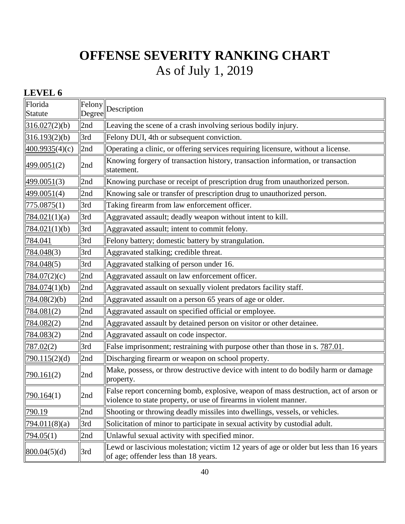### **LEVEL 6**

| Florida<br>Statute     | Felony<br>Degree | $\parallel$ Description                                                                                                                                   |
|------------------------|------------------|-----------------------------------------------------------------------------------------------------------------------------------------------------------|
| 316.027(2)(b)          | 2nd              | Leaving the scene of a crash involving serious bodily injury.                                                                                             |
| 316.193(2)(b)          | 3rd              | Felony DUI, 4th or subsequent conviction.                                                                                                                 |
| 400.9935(4)(c)         | 2nd              | Operating a clinic, or offering services requiring licensure, without a license.                                                                          |
| 499.0051(2)            | 2nd              | Knowing forgery of transaction history, transaction information, or transaction<br>statement.                                                             |
| 499.0051(3)            | 2nd              | Knowing purchase or receipt of prescription drug from unauthorized person.                                                                                |
| 499.0051(4)            | 2nd              | Knowing sale or transfer of prescription drug to unauthorized person.                                                                                     |
| 775.0875(1)            | 3rd              | Taking firearm from law enforcement officer.                                                                                                              |
| 784.021(1)(a)          | 3rd              | Aggravated assault; deadly weapon without intent to kill.                                                                                                 |
| 784.021(1)(b)          | 3rd              | Aggravated assault; intent to commit felony.                                                                                                              |
| 784.041                | 3rd              | Felony battery; domestic battery by strangulation.                                                                                                        |
| 784.048 <sub>(3)</sub> | 3rd              | Aggravated stalking; credible threat.                                                                                                                     |
| 784.048(5)             | 3rd              | Aggravated stalking of person under 16.                                                                                                                   |
| 784.07(2)(c)           | 2nd              | Aggravated assault on law enforcement officer.                                                                                                            |
| 784.074(1)(b)          | 2nd              | Aggravated assault on sexually violent predators facility staff.                                                                                          |
| 784.08(2)(b)           | 2nd              | Aggravated assault on a person 65 years of age or older.                                                                                                  |
| 784.081(2)             | 2nd              | Aggravated assault on specified official or employee.                                                                                                     |
| 784.082 <sub>(2)</sub> | 2nd              | Aggravated assault by detained person on visitor or other detainee.                                                                                       |
| 784.083(2)             | 2nd              | Aggravated assault on code inspector.                                                                                                                     |
| 787.02(2)              | 3rd              | False imprisonment; restraining with purpose other than those in s. 787.01.                                                                               |
| 790.115(2)(d)          | 2nd              | Discharging firearm or weapon on school property.                                                                                                         |
| 790.161(2)             | 2nd              | Make, possess, or throw destructive device with intent to do bodily harm or damage<br>property.                                                           |
| 790.164(1)             | 2nd              | False report concerning bomb, explosive, weapon of mass destruction, act of arson or<br>violence to state property, or use of firearms in violent manner. |
| 790.19                 | 2nd              | Shooting or throwing deadly missiles into dwellings, vessels, or vehicles.                                                                                |
| 794.011(8)(a)          | 3rd              | Solicitation of minor to participate in sexual activity by custodial adult.                                                                               |
| 794.05(1)              | 2nd              | Unlawful sexual activity with specified minor.                                                                                                            |
| 800.04(5)(d)           | 3rd              | Lewd or lascivious molestation; victim 12 years of age or older but less than 16 years<br>of age; offender less than 18 years.                            |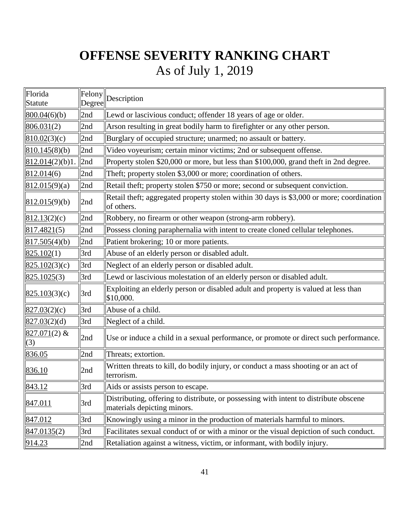| Florida<br>Statute    | Felony<br>Degree | Description                                                                                                          |
|-----------------------|------------------|----------------------------------------------------------------------------------------------------------------------|
| 800.04(6)(b)          | 2nd              | Lewd or lascivious conduct; offender 18 years of age or older.                                                       |
| 806.031(2)            | 2nd              | Arson resulting in great bodily harm to firefighter or any other person.                                             |
| 810.02(3)(c)          | 2nd              | Burglary of occupied structure; unarmed; no assault or battery.                                                      |
| 810.145(8)(b)         | 2nd              | Video voyeurism; certain minor victims; 2nd or subsequent offense.                                                   |
| 812.014(2)(b)1.       | 2nd              | Property stolen \$20,000 or more, but less than \$100,000, grand theft in 2nd degree.                                |
| 812.014(6)            | 2nd              | Theft; property stolen \$3,000 or more; coordination of others.                                                      |
| 812.015(9)(a)         | 2nd              | Retail theft; property stolen \$750 or more; second or subsequent conviction.                                        |
| 812.015(9)(b)         | 2nd              | Retail theft; aggregated property stolen within 30 days is \$3,000 or more; coordination<br>of others.               |
| 812.13(2)(c)          | 2nd              | Robbery, no firearm or other weapon (strong-arm robbery).                                                            |
| 817.4821(5)           | 2nd              | Possess cloning paraphernalia with intent to create cloned cellular telephones.                                      |
| 817.505(4)(b)         | 2nd              | Patient brokering; 10 or more patients.                                                                              |
| 825.102(1)            | 3rd              | Abuse of an elderly person or disabled adult.                                                                        |
| 825.102(3)(c)         | 3rd              | Neglect of an elderly person or disabled adult.                                                                      |
| 825.1025(3)           | 3rd              | Lewd or lascivious molestation of an elderly person or disabled adult.                                               |
| 825.103(3)(c)         | 3rd              | Exploiting an elderly person or disabled adult and property is valued at less than<br>\$10,000.                      |
| 827.03(2)(c)          | 3rd              | Abuse of a child.                                                                                                    |
| 827.03(2)(d)          | 3rd              | Neglect of a child.                                                                                                  |
| $827.071(2)$ &<br>(3) | 2nd              | Use or induce a child in a sexual performance, or promote or direct such performance.                                |
| 836.05                | 2nd              | Threats; extortion.                                                                                                  |
| 836.10                | 2nd              | Written threats to kill, do bodily injury, or conduct a mass shooting or an act of<br>terrorism.                     |
| 843.12                | 3rd              | Aids or assists person to escape.                                                                                    |
| 847.011               | 3rd              | Distributing, offering to distribute, or possessing with intent to distribute obscene<br>materials depicting minors. |
| 847.012               | 3rd              | Knowingly using a minor in the production of materials harmful to minors.                                            |
| 847.0135(2)           | 3rd              | Facilitates sexual conduct of or with a minor or the visual depiction of such conduct.                               |
| 914.23                | 2nd              | Retaliation against a witness, victim, or informant, with bodily injury.                                             |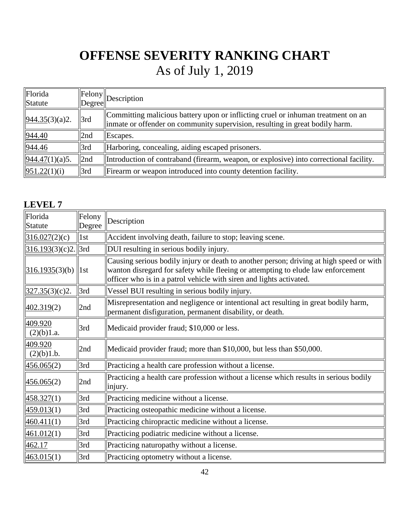| Florida<br>Statute |     | $\begin{array}{c} \n\text{Felong} \\ \n\text{Degree} \n\end{array}$                                                                                               |
|--------------------|-----|-------------------------------------------------------------------------------------------------------------------------------------------------------------------|
| 944.35(3)(a)2.     | 3rd | Committing malicious battery upon or inflicting cruel or inhuman treatment on an<br>linmate or offender on community supervision, resulting in great bodily harm. |
| 944.40             | 2nd | $\mathbf{Escapes.}$                                                                                                                                               |
| 944.46             | 3rd | Harboring, concealing, aiding escaped prisoners.                                                                                                                  |
| 944.47(1)(a)5.     | 2nd | Introduction of contraband (firearm, weapon, or explosive) into correctional facility.                                                                            |
| 951.22(1)(i)       | 3rd | Firearm or weapon introduced into county detention facility.                                                                                                      |

### **LEVEL 7**

| Florida<br>Statute    | Felony<br>Degree  | Description                                                                                                                                                                                                                                        |
|-----------------------|-------------------|----------------------------------------------------------------------------------------------------------------------------------------------------------------------------------------------------------------------------------------------------|
| 316.027(2)(c)         | 1st               | Accident involving death, failure to stop; leaving scene.                                                                                                                                                                                          |
| $316.193(3)(c)2$ .    | 3rd               | DUI resulting in serious bodily injury.                                                                                                                                                                                                            |
| 316.1935(3)(b)        | $\vert 1st \vert$ | Causing serious bodily injury or death to another person; driving at high speed or with<br>wanton disregard for safety while fleeing or attempting to elude law enforcement<br>officer who is in a patrol vehicle with siren and lights activated. |
| 327.35(3)(c)2.        | 3rd               | Vessel BUI resulting in serious bodily injury.                                                                                                                                                                                                     |
| 402.319(2)            | 2nd               | Misrepresentation and negligence or intentional act resulting in great bodily harm,<br>permanent disfiguration, permanent disability, or death.                                                                                                    |
| 409.920<br>(2)(b)1.a. | 3rd               | Medicaid provider fraud; \$10,000 or less.                                                                                                                                                                                                         |
| 409.920<br>(2)(b)1.b. | 2nd               | Medicaid provider fraud; more than \$10,000, but less than \$50,000.                                                                                                                                                                               |
| 456.065(2)            | 3rd               | Practicing a health care profession without a license.                                                                                                                                                                                             |
| 456.065(2)            | 2nd               | Practicing a health care profession without a license which results in serious bodily<br>injury.                                                                                                                                                   |
| 458.327(1)            | 3rd               | Practicing medicine without a license.                                                                                                                                                                                                             |
| 459.013(1)            | 3rd               | Practicing osteopathic medicine without a license.                                                                                                                                                                                                 |
| 460.411(1)            | 3rd               | Practicing chiropractic medicine without a license.                                                                                                                                                                                                |
| 461.012(1)            | 3rd               | Practicing podiatric medicine without a license.                                                                                                                                                                                                   |
| 462.17                | 3rd               | Practicing naturopathy without a license.                                                                                                                                                                                                          |
| 463.015(1)            | 3rd               | Practicing optometry without a license.                                                                                                                                                                                                            |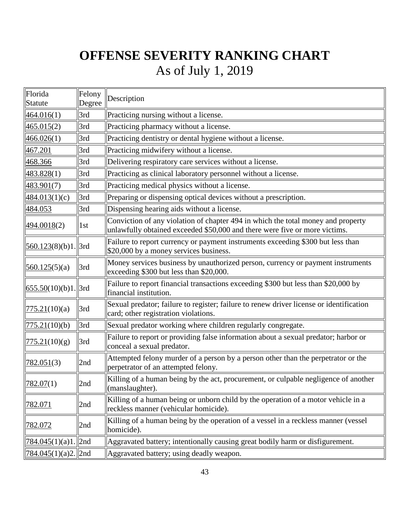| Florida<br>Statute                    | Felony<br>Degree | Description                                                                                                                                                    |
|---------------------------------------|------------------|----------------------------------------------------------------------------------------------------------------------------------------------------------------|
| 464.016(1)                            | 3rd              | Practicing nursing without a license.                                                                                                                          |
| 465.015(2)                            | 3rd              | Practicing pharmacy without a license.                                                                                                                         |
| 466.026(1)                            | 3rd              | Practicing dentistry or dental hygiene without a license.                                                                                                      |
| 467.201                               | 3rd              | Practicing midwifery without a license.                                                                                                                        |
| 468.366                               | 3rd              | Delivering respiratory care services without a license.                                                                                                        |
| 483.828(1)                            | 3rd              | Practicing as clinical laboratory personnel without a license.                                                                                                 |
| 483.901(7)                            | 3rd              | Practicing medical physics without a license.                                                                                                                  |
| 484.013(1)(c)                         | 3rd              | Preparing or dispensing optical devices without a prescription.                                                                                                |
| 484.053                               | 3rd              | Dispensing hearing aids without a license.                                                                                                                     |
| 494.0018(2)                           | 1st              | Conviction of any violation of chapter 494 in which the total money and property<br>unlawfully obtained exceeded \$50,000 and there were five or more victims. |
| $560.123(8)(b)1$ . 3rd                |                  | Failure to report currency or payment instruments exceeding \$300 but less than<br>\$20,000 by a money services business.                                      |
| 560.125(5)(a)                         | 3rd              | Money services business by unauthorized person, currency or payment instruments<br>exceeding \$300 but less than \$20,000.                                     |
| $\left  \frac{655.50(10)}{b} \right $ | 3rd              | Failure to report financial transactions exceeding \$300 but less than \$20,000 by<br>financial institution.                                                   |
| 775.21(10)(a)                         | 3rd              | Sexual predator; failure to register; failure to renew driver license or identification<br>card; other registration violations.                                |
| 775.21(10)(b)                         | 3rd              | Sexual predator working where children regularly congregate.                                                                                                   |
| 775.21(10)(g)                         | 3rd              | Failure to report or providing false information about a sexual predator; harbor or<br>conceal a sexual predator.                                              |
| 782.051(3)                            | 2nd              | Attempted felony murder of a person by a person other than the perpetrator or the<br>perpetrator of an attempted felony.                                       |
| 782.07(1)                             | 2nd              | Killing of a human being by the act, procurement, or culpable negligence of another<br>$\ $ (manslaughter).                                                    |
| 782.071                               | 2nd              | Killing of a human being or unborn child by the operation of a motor vehicle in a<br>reckless manner (vehicular homicide).                                     |
| 782.072                               | 2nd              | Killing of a human being by the operation of a vessel in a reckless manner (vessel<br>homicide).                                                               |
| $784.045(1)(a)1$ . 2nd                |                  | Aggravated battery; intentionally causing great bodily harm or disfigurement.                                                                                  |
| <u>784.045(1)(a)2.</u>   2nd          |                  | Aggravated battery; using deadly weapon.                                                                                                                       |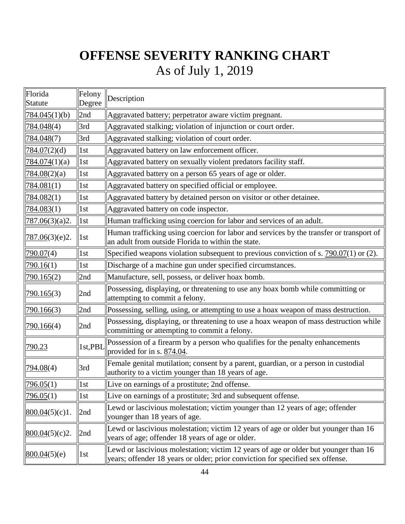| Florida<br>Statute     | Felony<br>Degree  | Description                                                                                                                                                           |
|------------------------|-------------------|-----------------------------------------------------------------------------------------------------------------------------------------------------------------------|
| 784.045(1)(b)          | 2nd               | Aggravated battery; perpetrator aware victim pregnant.                                                                                                                |
| 784.048(4)             | 3rd               | Aggravated stalking; violation of injunction or court order.                                                                                                          |
| 784.048 <sub>(7)</sub> | 3rd               | Aggravated stalking; violation of court order.                                                                                                                        |
| 784.07(2)(d)           | 1st               | Aggravated battery on law enforcement officer.                                                                                                                        |
| 784.074(1)(a)          | $\vert$ 1st       | Aggravated battery on sexually violent predators facility staff.                                                                                                      |
| 784.08(2)(a)           | 1st               | Aggravated battery on a person 65 years of age or older.                                                                                                              |
| 784.081(1)             | 1st               | Aggravated battery on specified official or employee.                                                                                                                 |
| 784.082(1)             | 1st               | Aggravated battery by detained person on visitor or other detainee.                                                                                                   |
| 784.083(1)             | 1st               | Aggravated battery on code inspector.                                                                                                                                 |
| 787.06(3)(a)2.         | $\vert$ 1st       | Human trafficking using coercion for labor and services of an adult.                                                                                                  |
| 787.06(3)(e)2.         | 1st               | Human trafficking using coercion for labor and services by the transfer or transport of<br>an adult from outside Florida to within the state.                         |
| 790.07(4)              | 1st               | Specified weapons violation subsequent to previous conviction of s. 790.07(1) or (2).                                                                                 |
| 790.16(1)              | 1st               | Discharge of a machine gun under specified circumstances.                                                                                                             |
| 790.165(2)             | 2nd               | Manufacture, sell, possess, or deliver hoax bomb.                                                                                                                     |
| 790.165(3)             | 2nd               | Possessing, displaying, or threatening to use any hoax bomb while committing or<br>attempting to commit a felony.                                                     |
| 790.166(3)             | 2nd               | Possessing, selling, using, or attempting to use a hoax weapon of mass destruction.                                                                                   |
| 790.166 <sub>(4)</sub> | 2nd               | Possessing, displaying, or threatening to use a hoax weapon of mass destruction while<br>committing or attempting to commit a felony.                                 |
| 790.23                 | 1st,PBI           | Possession of a firearm by a person who qualifies for the penalty enhancements<br>provided for in s. $874.04$ .                                                       |
| 794.08(4)              | 3rd               | Female genital mutilation; consent by a parent, guardian, or a person in custodial<br>authority to a victim younger than 18 years of age.                             |
| 796.05(1)              | $\vert$ 1st       | Live on earnings of a prostitute; 2nd offense.                                                                                                                        |
| 796.05(1)              | 1st               | Live on earnings of a prostitute; 3rd and subsequent offense.                                                                                                         |
| 800.04(5)(c)1.         | 2nd               | Lewd or lascivious molestation; victim younger than 12 years of age; offender<br>younger than 18 years of age.                                                        |
| 800.04(5)(c)2.         | 2nd               | Lewd or lascivious molestation; victim 12 years of age or older but younger than 16<br>years of age; offender 18 years of age or older.                               |
| 800.04(5)(e)           | $\vert 1st \vert$ | Lewd or lascivious molestation; victim 12 years of age or older but younger than 16<br>years; offender 18 years or older; prior conviction for specified sex offense. |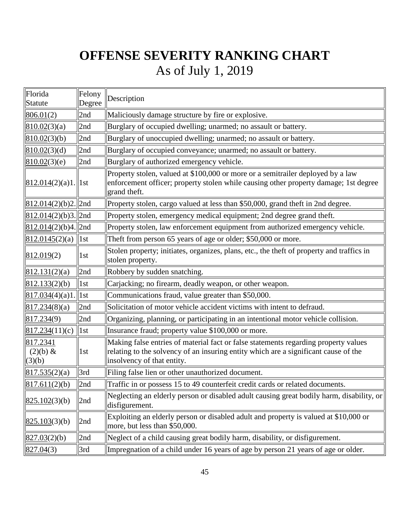| Florida<br>Statute                        | Felony<br>Degree  | Description                                                                                                                                                                                              |
|-------------------------------------------|-------------------|----------------------------------------------------------------------------------------------------------------------------------------------------------------------------------------------------------|
| 806.01(2)                                 | 2nd               | Maliciously damage structure by fire or explosive.                                                                                                                                                       |
| 810.02(3)(a)                              | 2nd               | Burglary of occupied dwelling; unarmed; no assault or battery.                                                                                                                                           |
| 810.02(3)(b)                              | 2nd               | Burglary of unoccupied dwelling; unarmed; no assault or battery.                                                                                                                                         |
| 810.02(3)(d)                              | 2nd               | Burglary of occupied conveyance; unarmed; no assault or battery.                                                                                                                                         |
| 810.02(3)(e)                              | 2nd               | Burglary of authorized emergency vehicle.                                                                                                                                                                |
| $812.014(2)(a)1$ . 1st                    |                   | Property stolen, valued at \$100,000 or more or a semitrailer deployed by a law<br>enforcement officer; property stolen while causing other property damage; 1st degree<br>grand theft.                  |
| $\frac{812.014(2)(b)2.}{2nd}$             |                   | Property stolen, cargo valued at less than \$50,000, grand theft in 2nd degree.                                                                                                                          |
| $812.014(2)(b)3$ . 2nd                    |                   | Property stolen, emergency medical equipment; 2nd degree grand theft.                                                                                                                                    |
| $\left  \frac{812.014(2)}{b} \right $ 2nd |                   | Property stolen, law enforcement equipment from authorized emergency vehicle.                                                                                                                            |
| 812.0145(2)(a)   1st                      |                   | Theft from person 65 years of age or older; \$50,000 or more.                                                                                                                                            |
| 812.019(2)                                | 1st               | Stolen property; initiates, organizes, plans, etc., the theft of property and traffics in<br>stolen property.                                                                                            |
| 812.131(2)(a)                             | 2nd               | Robbery by sudden snatching.                                                                                                                                                                             |
| 812.133(2)(b)                             | 1st               | Carjacking; no firearm, deadly weapon, or other weapon.                                                                                                                                                  |
| 817.034(4)(a)1                            | $\vert 1st \vert$ | Communications fraud, value greater than \$50,000.                                                                                                                                                       |
| 817.234(8)(a)                             | 2nd               | Solicitation of motor vehicle accident victims with intent to defraud.                                                                                                                                   |
| 817.234(9)                                | 2nd               | Organizing, planning, or participating in an intentional motor vehicle collision.                                                                                                                        |
| 817.234(11)(c)                            | $\ $ 1st          | Insurance fraud; property value \$100,000 or more.                                                                                                                                                       |
| 817.2341<br>$(2)(b) \&$<br>(3)(b)         | 1st               | Making false entries of material fact or false statements regarding property values<br>relating to the solvency of an insuring entity which are a significant cause of the<br>insolvency of that entity. |
| 817.535(2)(a)                             | 3rd               | Filing false lien or other unauthorized document.                                                                                                                                                        |
| 817.611(2)(b)                             | 2nd               | Traffic in or possess 15 to 49 counterfeit credit cards or related documents.                                                                                                                            |
| 825.102(3)(b)                             | 2nd               | Neglecting an elderly person or disabled adult causing great bodily harm, disability, or<br>disfigurement.                                                                                               |
| 825.103(3)(b)                             | 2nd               | Exploiting an elderly person or disabled adult and property is valued at \$10,000 or<br>more, but less than \$50,000.                                                                                    |
| 827.03(2)(b)                              | 2nd               | Neglect of a child causing great bodily harm, disability, or disfigurement.                                                                                                                              |
| 827.04(3)                                 | 3rd               | Impregnation of a child under 16 years of age by person 21 years of age or older.                                                                                                                        |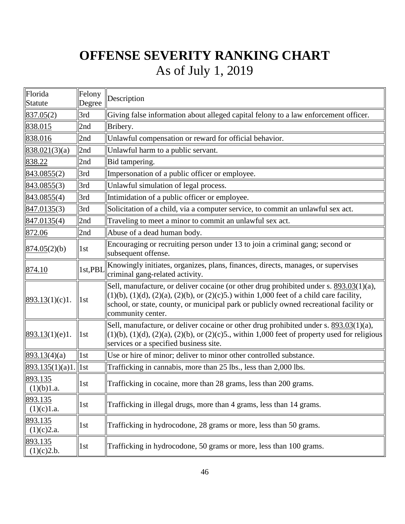| Florida                 | Felony  | Description                                                                                                                                                                                                                                                                                                      |
|-------------------------|---------|------------------------------------------------------------------------------------------------------------------------------------------------------------------------------------------------------------------------------------------------------------------------------------------------------------------|
| <b>Statute</b>          | Degree  |                                                                                                                                                                                                                                                                                                                  |
| 837.05(2)               | 3rd     | Giving false information about alleged capital felony to a law enforcement officer.                                                                                                                                                                                                                              |
| 838.015                 | 2nd     | Bribery.                                                                                                                                                                                                                                                                                                         |
| 838.016                 | 2nd     | Unlawful compensation or reward for official behavior.                                                                                                                                                                                                                                                           |
| 838.021(3)(a)           | 2nd     | Unlawful harm to a public servant.                                                                                                                                                                                                                                                                               |
| 838.22                  | 2nd     | Bid tampering.                                                                                                                                                                                                                                                                                                   |
| 843.0855(2)             | 3rd     | Impersonation of a public officer or employee.                                                                                                                                                                                                                                                                   |
| 843.0855(3)             | 3rd     | Unlawful simulation of legal process.                                                                                                                                                                                                                                                                            |
| 843.0855(4)             | 3rd     | Intimidation of a public officer or employee.                                                                                                                                                                                                                                                                    |
| 847.0135(3)             | 3rd     | Solicitation of a child, via a computer service, to commit an unlawful sex act.                                                                                                                                                                                                                                  |
| 847.0135(4)             | 2nd     | Traveling to meet a minor to commit an unlawful sex act.                                                                                                                                                                                                                                                         |
| 872.06                  | 2nd     | Abuse of a dead human body.                                                                                                                                                                                                                                                                                      |
| 874.05(2)(b)            | 1st     | Encouraging or recruiting person under 13 to join a criminal gang; second or<br>subsequent offense.                                                                                                                                                                                                              |
| 874.10                  | 1st,PBI | Knowingly initiates, organizes, plans, finances, directs, manages, or supervises<br>criminal gang-related activity.                                                                                                                                                                                              |
| 893.13(1)(c)1.          | 1st     | Sell, manufacture, or deliver cocaine (or other drug prohibited under s. 893.03(1)(a),<br>$(1)(b)$ , $(1)(d)$ , $(2)(a)$ , $(2)(b)$ , or $(2)(c)5$ .) within 1,000 feet of a child care facility,<br>school, or state, county, or municipal park or publicly owned recreational facility or<br>community center. |
| 893.13(1)(e)1.          | 1st     | Sell, manufacture, or deliver cocaine or other drug prohibited under s. 893.03(1)(a),<br>$(1)(b)$ , $(1)(d)$ , $(2)(a)$ , $(2)(b)$ , or $(2)(c)5$ ., within 1,000 feet of property used for religious<br>services or a specified business site.                                                                  |
| 893.13(4)(a)            | 1st     | Use or hire of minor; deliver to minor other controlled substance.                                                                                                                                                                                                                                               |
| $893.135(1)(a)1.$   1st |         | Trafficking in cannabis, more than 25 lbs., less than 2,000 lbs.                                                                                                                                                                                                                                                 |
| 893.135<br>(1)(b)1.a.   | 1st     | Trafficking in cocaine, more than 28 grams, less than 200 grams.                                                                                                                                                                                                                                                 |
| 893.135<br>(1)(c)1.a.   | 1st     | Trafficking in illegal drugs, more than 4 grams, less than 14 grams.                                                                                                                                                                                                                                             |
| 893.135<br>(1)(c)2.a.   | 1st     | Trafficking in hydrocodone, 28 grams or more, less than 50 grams.                                                                                                                                                                                                                                                |
| 893.135<br>(1)(c)2.b.   | 1st     | Trafficking in hydrocodone, 50 grams or more, less than 100 grams.                                                                                                                                                                                                                                               |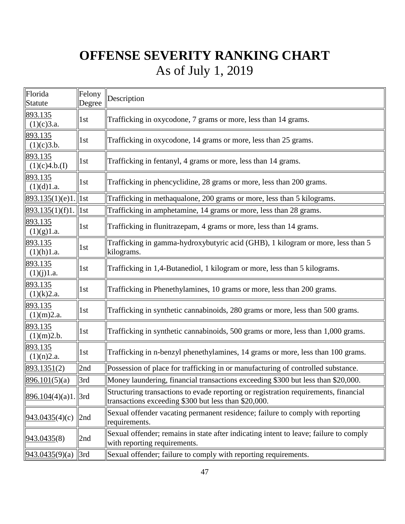| Florida<br><b>Statute</b> | Felony<br>Degree | Description                                                                                                                                 |
|---------------------------|------------------|---------------------------------------------------------------------------------------------------------------------------------------------|
| 893.135<br>(1)(c)3.a.     | 1st              | Trafficking in oxycodone, 7 grams or more, less than 14 grams.                                                                              |
| 893.135<br>(1)(c)3.b.     | 1st              | Trafficking in oxycodone, 14 grams or more, less than 25 grams.                                                                             |
| 893.135<br>(1)(c)4.b.(I)  | 1st              | Trafficking in fentanyl, 4 grams or more, less than 14 grams.                                                                               |
| 893.135<br>(1)(d)1.a.     | 1st              | Trafficking in phencyclidine, 28 grams or more, less than 200 grams.                                                                        |
| 893.135(1)(e)1            | 1st              | Trafficking in methaqualone, 200 grams or more, less than 5 kilograms.                                                                      |
| 893.135(1)(f)1.           | 1st              | Trafficking in amphetamine, 14 grams or more, less than 28 grams.                                                                           |
| 893.135<br>(1)(g)1.a.     | 1st              | Trafficking in flunitrazepam, 4 grams or more, less than 14 grams.                                                                          |
| 893.135<br>(1)(h)1.a.     | 1st              | Trafficking in gamma-hydroxybutyric acid (GHB), 1 kilogram or more, less than 5<br>kilograms.                                               |
| 893.135<br>(1)(j)1.a.     | 1st              | Trafficking in 1,4-Butanediol, 1 kilogram or more, less than 5 kilograms.                                                                   |
| 893.135<br>(1)(k)2.a.     | 1st              | Trafficking in Phenethylamines, 10 grams or more, less than 200 grams.                                                                      |
| 893.135<br>(1)(m)2.a.     | 1st              | Trafficking in synthetic cannabinoids, 280 grams or more, less than 500 grams.                                                              |
| 893.135<br>(1)(m)2.b.     | 1st              | Trafficking in synthetic cannabinoids, 500 grams or more, less than 1,000 grams.                                                            |
| 893.135<br>(1)(n)2.a.     | 1st              | Trafficking in n-benzyl phenethylamines, 14 grams or more, less than 100 grams.                                                             |
| 893.1351(2)               | 2nd              | Possession of place for trafficking in or manufacturing of controlled substance.                                                            |
| 896.101(5)(a)             | 3rd              | Money laundering, financial transactions exceeding \$300 but less than \$20,000.                                                            |
| 896.104(4)(a)1            | 3rd              | Structuring transactions to evade reporting or registration requirements, financial<br>transactions exceeding \$300 but less than \$20,000. |
| 943.0435(4)(c)            | 2nd              | Sexual offender vacating permanent residence; failure to comply with reporting<br>requirements.                                             |
| 943.0435(8)               | 2nd              | Sexual offender; remains in state after indicating intent to leave; failure to comply<br>with reporting requirements.                       |
| 943.0435(9)(a)            | 3rd              | Sexual offender; failure to comply with reporting requirements.                                                                             |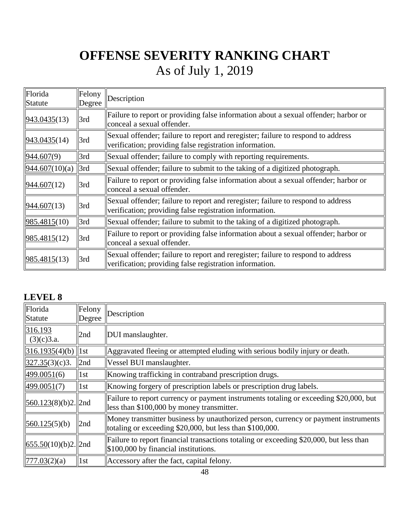| Florida<br>Statute | <b>I</b> Felony<br>Degree | Description                                                                                                                                 |
|--------------------|---------------------------|---------------------------------------------------------------------------------------------------------------------------------------------|
| 943.0435(13)       | 3rd                       | Failure to report or providing false information about a sexual offender; harbor or<br>conceal a sexual offender.                           |
| 943.0435(14)       | 3rd                       | Sexual offender; failure to report and reregister; failure to respond to address<br>verification; providing false registration information. |
| 944.607(9)         | 3rd                       | Sexual offender; failure to comply with reporting requirements.                                                                             |
| 944.607(10)(a)     | 3rd                       | Sexual offender; failure to submit to the taking of a digitized photograph.                                                                 |
| 944.607(12)        | 3rd                       | Failure to report or providing false information about a sexual offender; harbor or<br>conceal a sexual offender.                           |
| 944.607(13)        | 3rd                       | Sexual offender; failure to report and reregister; failure to respond to address<br>verification; providing false registration information. |
| 985.4815(10)       | 3rd                       | Sexual offender; failure to submit to the taking of a digitized photograph.                                                                 |
| 985.4815(12)       | 3rd                       | Failure to report or providing false information about a sexual offender; harbor or<br>conceal a sexual offender.                           |
| 985.4815(13)       | 3rd                       | Sexual offender; failure to report and reregister; failure to respond to address<br>verification; providing false registration information. |

### **LEVEL 8**

| Florida<br>Statute    | Felony<br>Degree | Description                                                                                                                                    |
|-----------------------|------------------|------------------------------------------------------------------------------------------------------------------------------------------------|
| 316.193<br>(3)(c)3.a. | 2nd              | DUI manslaughter.                                                                                                                              |
| 316.1935(4)(b)        | $\ $ 1st         | Aggravated fleeing or attempted eluding with serious bodily injury or death.                                                                   |
| 327.35(3)(c)3.        | 2nd              | Vessel BUI manslaughter.                                                                                                                       |
| 499.0051(6)           | 1st              | Knowing trafficking in contraband prescription drugs.                                                                                          |
| 499.0051(7)           | 1st              | Knowing forgery of prescription labels or prescription drug labels.                                                                            |
| 560.123(8)(b)2.  2nd  |                  | Failure to report currency or payment instruments totaling or exceeding \$20,000, but<br>less than \$100,000 by money transmitter.             |
| 560.125(5)(b)         | 2nd              | Money transmitter business by unauthorized person, currency or payment instruments<br>totaling or exceeding \$20,000, but less than \$100,000. |
| 655.50(10)(b)2.  2nd  |                  | Failure to report financial transactions totaling or exceeding \$20,000, but less than<br>\$100,000 by financial institutions.                 |
| 777.03(2)(a)          | 1st              | Accessory after the fact, capital felony.                                                                                                      |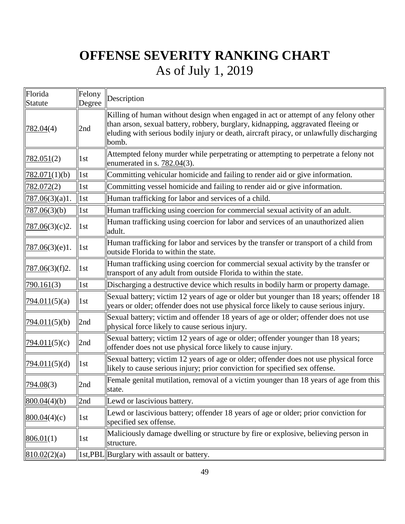| Florida<br><b>Statute</b> | Felony<br>Degree  | Description                                                                                                                                                                                                                                                                |
|---------------------------|-------------------|----------------------------------------------------------------------------------------------------------------------------------------------------------------------------------------------------------------------------------------------------------------------------|
| 782.04(4)                 | 2nd               | Killing of human without design when engaged in act or attempt of any felony other<br>than arson, sexual battery, robbery, burglary, kidnapping, aggravated fleeing or<br>eluding with serious bodily injury or death, aircraft piracy, or unlawfully discharging<br>bomb. |
| 782.051(2)                | 1st               | Attempted felony murder while perpetrating or attempting to perpetrate a felony not<br>enumerated in s. $782.04(3)$ .                                                                                                                                                      |
| 782.071(1)(b)             | 1st               | Committing vehicular homicide and failing to render aid or give information.                                                                                                                                                                                               |
| 782.072 <sub>(2)</sub>    | 1st               | Committing vessel homicide and failing to render aid or give information.                                                                                                                                                                                                  |
| 787.06(3)(a)1.            | $\vert 1st \vert$ | Human trafficking for labor and services of a child.                                                                                                                                                                                                                       |
| 787.06(3)(b)              | 1st               | Human trafficking using coercion for commercial sexual activity of an adult.                                                                                                                                                                                               |
| <u>787.06(3)</u> (c)2.    | $\ln$             | Human trafficking using coercion for labor and services of an unauthorized alien<br>adult.                                                                                                                                                                                 |
| <u>787.06(3)(e)1.</u>     | 1st               | Human trafficking for labor and services by the transfer or transport of a child from<br>outside Florida to within the state.                                                                                                                                              |
| <u>787.06(3)(f)2.</u>     | 1st               | Human trafficking using coercion for commercial sexual activity by the transfer or<br>transport of any adult from outside Florida to within the state.                                                                                                                     |
| 790.161(3)                | 1st               | Discharging a destructive device which results in bodily harm or property damage.                                                                                                                                                                                          |
| 794.011(5)(a)             | 1st               | Sexual battery; victim 12 years of age or older but younger than 18 years; offender 18<br>years or older; offender does not use physical force likely to cause serious injury.                                                                                             |
| 794.011(5)(b)             | 2nd               | Sexual battery; victim and offender 18 years of age or older; offender does not use<br>physical force likely to cause serious injury.                                                                                                                                      |
| 794.011(5)(c)             | 2nd               | Sexual battery; victim 12 years of age or older; offender younger than 18 years;<br>offender does not use physical force likely to cause injury.                                                                                                                           |
| 794.011(5)(d)             | 1st               | Sexual battery; victim 12 years of age or older; offender does not use physical force<br>likely to cause serious injury; prior conviction for specified sex offense.                                                                                                       |
| 794.08(3)                 | 2nd               | Female genital mutilation, removal of a victim younger than 18 years of age from this<br>state.                                                                                                                                                                            |
| 800.04(4)(b)              | 2nd               | Lewd or lascivious battery.                                                                                                                                                                                                                                                |
| 800.04(4)(c)              | 1st               | Lewd or lascivious battery; offender 18 years of age or older; prior conviction for<br>specified sex offense.                                                                                                                                                              |
| 806.01(1)                 | 1st               | Maliciously damage dwelling or structure by fire or explosive, believing person in<br>structure.                                                                                                                                                                           |
| 810.02(2)(a)              |                   | 1st,PBL  Burglary with assault or battery.                                                                                                                                                                                                                                 |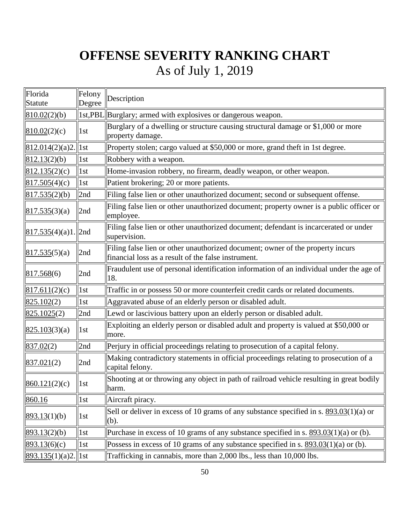| Florida<br>Statute      | Felony<br>Degree  | Description                                                                                                                           |
|-------------------------|-------------------|---------------------------------------------------------------------------------------------------------------------------------------|
| 810.02(2)(b)            |                   | 1st, PBL Burglary; armed with explosives or dangerous weapon.                                                                         |
| 810.02(2)(c)            | 1st               | Burglary of a dwelling or structure causing structural damage or \$1,000 or more<br>property damage.                                  |
| $812.014(2)(a)2.$   1st |                   | Property stolen; cargo valued at \$50,000 or more, grand theft in 1st degree.                                                         |
| 812.13(2)(b)            | 1st               | Robbery with a weapon.                                                                                                                |
| 812.135(2)(c)           | 1st               | Home-invasion robbery, no firearm, deadly weapon, or other weapon.                                                                    |
| 817.505(4)(c)           | 1st               | Patient brokering; 20 or more patients.                                                                                               |
| 817.535(2)(b)           | 2nd               | Filing false lien or other unauthorized document; second or subsequent offense.                                                       |
| 817.535(3)(a)           | 2nd               | Filing false lien or other unauthorized document; property owner is a public officer or<br>employee.                                  |
| 817.535(4)(a)1          | $\vert$ 2nd       | Filing false lien or other unauthorized document; defendant is incarcerated or under<br>supervision.                                  |
| 817.535(5)(a)           | 2nd               | Filing false lien or other unauthorized document; owner of the property incurs<br>financial loss as a result of the false instrument. |
| 817.568(6)              | 2nd               | Fraudulent use of personal identification information of an individual under the age of<br>18.                                        |
| 817.611(2)(c)           | $\vert 1st \vert$ | Traffic in or possess 50 or more counterfeit credit cards or related documents.                                                       |
| 825.102(2)              | 1st               | Aggravated abuse of an elderly person or disabled adult.                                                                              |
| 825.1025(2)             | 2nd               | Lewd or lascivious battery upon an elderly person or disabled adult.                                                                  |
| 825.103(3)(a)           | 1st               | Exploiting an elderly person or disabled adult and property is valued at \$50,000 or<br>more.                                         |
| 837.02(2)               | 2nd               | Perjury in official proceedings relating to prosecution of a capital felony.                                                          |
| 837.021(2)              | 2nd               | Making contradictory statements in official proceedings relating to prosecution of a<br>capital felony.                               |
| 860.121(2)(c)           | $\vert$ 1st       | Shooting at or throwing any object in path of railroad vehicle resulting in great bodily<br>harm.                                     |
| 860.16                  | 1st               | Aircraft piracy.                                                                                                                      |
| 893.13(1)(b)            | 1st               | Sell or deliver in excess of 10 grams of any substance specified in s. $893.03(1)(a)$ or<br>(b).                                      |
| 893.13(2)(b)            | 1st               | Purchase in excess of 10 grams of any substance specified in s. $893.03(1)(a)$ or (b).                                                |
| 893.13(6)(c)            | 1st               | Possess in excess of 10 grams of any substance specified in s. $893.03(1)(a)$ or (b).                                                 |
| $893.135(1)(a)2$ .      | 1st               | Trafficking in cannabis, more than 2,000 lbs., less than 10,000 lbs.                                                                  |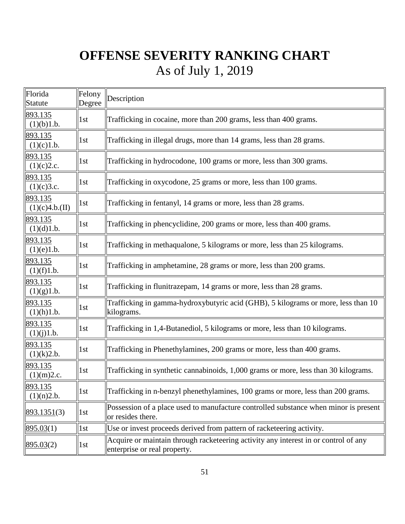| Florida<br><b>Statute</b>    | Felony<br>Degree | Description                                                                                                         |
|------------------------------|------------------|---------------------------------------------------------------------------------------------------------------------|
| 893.135<br>(1)(b)1.b.        | 1st              | Trafficking in cocaine, more than 200 grams, less than 400 grams.                                                   |
| 893.135<br>(1)(c)1.b.        | 1st              | Trafficking in illegal drugs, more than 14 grams, less than 28 grams.                                               |
| 893.135<br>(1)(c)2.c.        | 1st              | Trafficking in hydrocodone, 100 grams or more, less than 300 grams.                                                 |
| 893.135<br>(1)(c)3.c.        | 1st              | Trafficking in oxycodone, 25 grams or more, less than 100 grams.                                                    |
| 893.135<br>(1)(c)4.b.(II)    | 1st              | Trafficking in fentanyl, 14 grams or more, less than 28 grams.                                                      |
| 893.135<br>(1)(d)1.b.        | 1st              | Trafficking in phencyclidine, 200 grams or more, less than 400 grams.                                               |
| 893.135<br>(1)(e)1.b.        | 1st              | Trafficking in methaqualone, 5 kilograms or more, less than 25 kilograms.                                           |
| 893.135<br>(1)(f)1.b.        | 1st              | Trafficking in amphetamine, 28 grams or more, less than 200 grams.                                                  |
| 893.135<br>(1)(g)1.b.        | 1st              | Trafficking in flunitrazepam, 14 grams or more, less than 28 grams.                                                 |
| 893.135<br>(1)(h)1.b.        | 1st              | Trafficking in gamma-hydroxybutyric acid (GHB), 5 kilograms or more, less than 10<br>kilograms.                     |
| 893.135<br>(1)(j)1.b.        | 1st              | Trafficking in 1,4-Butanediol, 5 kilograms or more, less than 10 kilograms.                                         |
| 893.135<br>(1)(k)2.b.        | 1st              | Trafficking in Phenethylamines, 200 grams or more, less than 400 grams.                                             |
| 893.135<br>(1)(m)2.c.        | 1st              | Trafficking in synthetic cannabinoids, 1,000 grams or more, less than 30 kilograms.                                 |
| <u>893.135</u><br>(1)(n)2.b. | $1st$            | Trafficking in n-benzyl phenethylamines, 100 grams or more, less than 200 grams.                                    |
| 893.1351(3)                  | 1st              | Possession of a place used to manufacture controlled substance when minor is present<br>or resides there.           |
| 895.03(1)                    | 1st              | Use or invest proceeds derived from pattern of racketeering activity.                                               |
| 895.03(2)                    | 1st              | Acquire or maintain through racketeering activity any interest in or control of any<br>enterprise or real property. |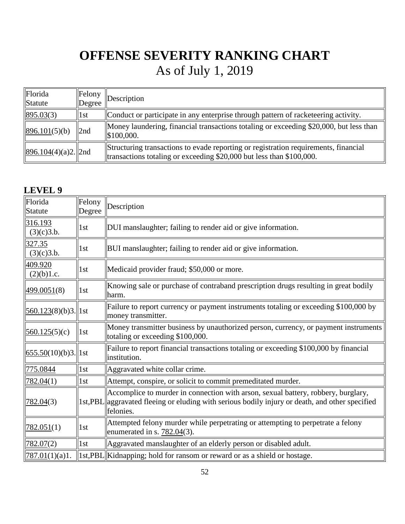| Florida<br>Statute   | Felony<br>Degree | $\Delta$                                                                                                                                                       |
|----------------------|------------------|----------------------------------------------------------------------------------------------------------------------------------------------------------------|
| 895.03(3)            | $\vert$ 1st      | Conduct or participate in any enterprise through pattern of racketeering activity.                                                                             |
| 896.101(5)(b)        | $\ln 2$          | Money laundering, financial transactions totaling or exceeding \$20,000, but less than<br>\$100,000.                                                           |
| 896.104(4)(a)2.  2nd |                  | Structuring transactions to evade reporting or registration requirements, financial<br>transactions totaling or exceeding $$20,000$ but less than $$100,000$ . |

### **LEVEL 9**

| Florida<br>Statute              | Felony<br>Degree  | Description                                                                                                                                                                                       |
|---------------------------------|-------------------|---------------------------------------------------------------------------------------------------------------------------------------------------------------------------------------------------|
| 316.193<br>(3)(c)3.b.           | 1st               | DUI manslaughter; failing to render aid or give information.                                                                                                                                      |
| 327.35<br>(3)(c)3.b.            | 1st               | BUI manslaughter; failing to render aid or give information.                                                                                                                                      |
| 409.920<br>(2)(b)1.c.           | 1st               | Medicaid provider fraud; \$50,000 or more.                                                                                                                                                        |
| 499.0051(8)                     | 1st               | Knowing sale or purchase of contraband prescription drugs resulting in great bodily<br>lharm.                                                                                                     |
| $\frac{560.123(8)(b)}{3}$   1st |                   | Failure to report currency or payment instruments totaling or exceeding \$100,000 by<br>money transmitter.                                                                                        |
| 560.125(5)(c)                   | $\vert 1st \vert$ | Money transmitter business by unauthorized person, currency, or payment instruments<br>totaling or exceeding \$100,000.                                                                           |
| $\frac{655.50(10)}{63}$   1st   |                   | Failure to report financial transactions totaling or exceeding \$100,000 by financial<br>linstitution.                                                                                            |
| <u>775.0844</u>                 | 1st               | Aggravated white collar crime.                                                                                                                                                                    |
| 782.04(1)                       | 1st               | Attempt, conspire, or solicit to commit premeditated murder.                                                                                                                                      |
| 782.04(3)                       |                   | Accomplice to murder in connection with arson, sexual battery, robbery, burglary,<br>1st, PBL aggravated fleeing or eluding with serious bodily injury or death, and other specified<br>felonies. |
| 782.051(1)                      | 1st               | Attempted felony murder while perpetrating or attempting to perpetrate a felony<br>enumerated in s. $782.04(3)$ .                                                                                 |
| 782.07(2)                       | 1st               | Aggravated manslaughter of an elderly person or disabled adult.                                                                                                                                   |
| 787.01(1)(a)1.                  |                   | 1st,PBL  Kidnapping; hold for ransom or reward or as a shield or hostage.                                                                                                                         |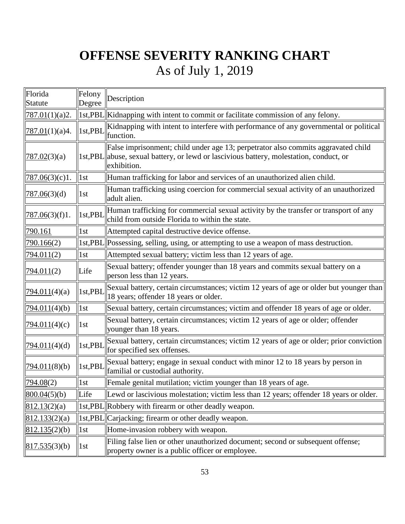| Florida<br>Statute   | Felony<br>Degree  | Description                                                                                                                                                                        |
|----------------------|-------------------|------------------------------------------------------------------------------------------------------------------------------------------------------------------------------------|
| 787.01(1)(a)2.       |                   | 1st,PBL  Kidnapping with intent to commit or facilitate commission of any felony.                                                                                                  |
| 787.01(1)(a)4.       | 1st, PBI          | Kidnapping with intent to interfere with performance of any governmental or political<br>function.                                                                                 |
| <u>787.02(3)</u> (a) | 1st,PBL           | False imprisonment; child under age 13; perpetrator also commits aggravated child<br>abuse, sexual battery, or lewd or lascivious battery, molestation, conduct, or<br>exhibition. |
| 787.06(3)(c)1.       | $\vert$ 1st       | Human trafficking for labor and services of an unauthorized alien child.                                                                                                           |
| 787.06(3)(d)         | 1st               | Human trafficking using coercion for commercial sexual activity of an unauthorized<br>adult alien.                                                                                 |
| 787.06(3)(f)1.       | 1st,PBI           | Human trafficking for commercial sexual activity by the transfer or transport of any<br>child from outside Florida to within the state.                                            |
| 790.161              | 1st               | Attempted capital destructive device offense.                                                                                                                                      |
| 790.166(2)           | 1st,PBL           | Possessing, selling, using, or attempting to use a weapon of mass destruction.                                                                                                     |
| 794.011(2)           | $\vert 1st \vert$ | Attempted sexual battery; victim less than 12 years of age.                                                                                                                        |
| 794.011(2)           | Life              | Sexual battery; offender younger than 18 years and commits sexual battery on a<br>person less than 12 years.                                                                       |
| 794.011(4)(a)        | 1st,PBI           | Sexual battery, certain circumstances; victim 12 years of age or older but younger than<br>18 years; offender 18 years or older.                                                   |
| 794.011(4)(b)        | $\vert 1st \vert$ | Sexual battery, certain circumstances; victim and offender 18 years of age or older.                                                                                               |
| 794.011(4)(c)        | 1st               | Sexual battery, certain circumstances; victim 12 years of age or older; offender<br>younger than 18 years.                                                                         |
| 794.011(4)(d)        | 1st,PBI           | Sexual battery, certain circumstances; victim 12 years of age or older; prior conviction<br>for specified sex offenses.                                                            |
| 794.011(8)(b)        | $\ 1st, PBL$      | Sexual battery; engage in sexual conduct with minor 12 to 18 years by person in<br>familial or custodial authority.                                                                |
| 794.08(2)            | $\vert$ 1st       | Female genital mutilation; victim younger than 18 years of age.                                                                                                                    |
| 800.04(5)(b)         | Life              | Lewd or lascivious molestation; victim less than 12 years; offender 18 years or older.                                                                                             |
| 812.13(2)(a)         | 1st,PBL           | Robbery with firearm or other deadly weapon.                                                                                                                                       |
| 812.133(2)(a)        | 1st, PBL          | Carjacking; firearm or other deadly weapon.                                                                                                                                        |
| 812.135(2)(b)        | 1st               | Home-invasion robbery with weapon.                                                                                                                                                 |
| 817.535(3)(b)        | 1st               | Filing false lien or other unauthorized document; second or subsequent offense;<br>property owner is a public officer or employee.                                                 |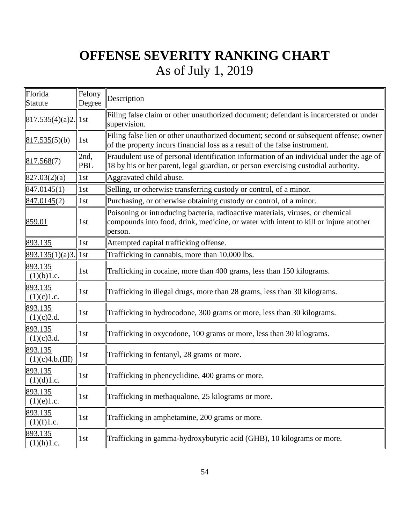| Florida<br>Statute         | Felony<br>Degree  | Description                                                                                                                                                                       |  |  |  |  |
|----------------------------|-------------------|-----------------------------------------------------------------------------------------------------------------------------------------------------------------------------------|--|--|--|--|
| $817.535(4)(a)2.$   1st    |                   | Filing false claim or other unauthorized document; defendant is incarcerated or under<br>supervision.                                                                             |  |  |  |  |
| 817.535(5)(b)              | $\vert 1st \vert$ | Filing false lien or other unauthorized document; second or subsequent offense; owner<br>of the property incurs financial loss as a result of the false instrument.               |  |  |  |  |
| 817.568(7)                 | 2nd,<br>PBL       | Fraudulent use of personal identification information of an individual under the age of<br>18 by his or her parent, legal guardian, or person exercising custodial authority.     |  |  |  |  |
| 827.03(2)(a)               | 1st               | Aggravated child abuse.                                                                                                                                                           |  |  |  |  |
| 847.0145(1)                | 1st               | Selling, or otherwise transferring custody or control, of a minor.                                                                                                                |  |  |  |  |
| 847.0145(2)                | 1st               | Purchasing, or otherwise obtaining custody or control, of a minor.                                                                                                                |  |  |  |  |
| 859.01                     | 1st               | Poisoning or introducing bacteria, radioactive materials, viruses, or chemical<br>compounds into food, drink, medicine, or water with intent to kill or injure another<br>person. |  |  |  |  |
| 893.135                    | 1st               | Attempted capital trafficking offense.                                                                                                                                            |  |  |  |  |
| $893.135(1)(a)3.$   1st    |                   | Trafficking in cannabis, more than 10,000 lbs.                                                                                                                                    |  |  |  |  |
| 893.135<br>(1)(b)1.c.      | 1st               | Trafficking in cocaine, more than 400 grams, less than 150 kilograms.                                                                                                             |  |  |  |  |
| 893.135<br>(1)(c)1.c.      | 1st               | Trafficking in illegal drugs, more than 28 grams, less than 30 kilograms.                                                                                                         |  |  |  |  |
| 893.135<br>(1)(c)2.d.      | 1st               | Trafficking in hydrocodone, 300 grams or more, less than 30 kilograms.                                                                                                            |  |  |  |  |
| 893.135<br>(1)(c)3.d.      | 1st               | Trafficking in oxycodone, 100 grams or more, less than 30 kilograms.                                                                                                              |  |  |  |  |
| 893.135<br>(1)(c)4.b.(III) | 1st               | Trafficking in fentanyl, 28 grams or more.                                                                                                                                        |  |  |  |  |
| 893.135<br>(1)(d)1.c.      | 1st               | Trafficking in phencyclidine, 400 grams or more.                                                                                                                                  |  |  |  |  |
| 893.135<br>(1)(e)1.c.      | 1st               | Trafficking in methaqualone, 25 kilograms or more.                                                                                                                                |  |  |  |  |
| 893.135<br>(1)(f)1.c.      | 1st               | Trafficking in amphetamine, 200 grams or more.                                                                                                                                    |  |  |  |  |
| 893.135<br>(1)(h)1.c.      | 1st               | Trafficking in gamma-hydroxybutyric acid (GHB), 10 kilograms or more.                                                                                                             |  |  |  |  |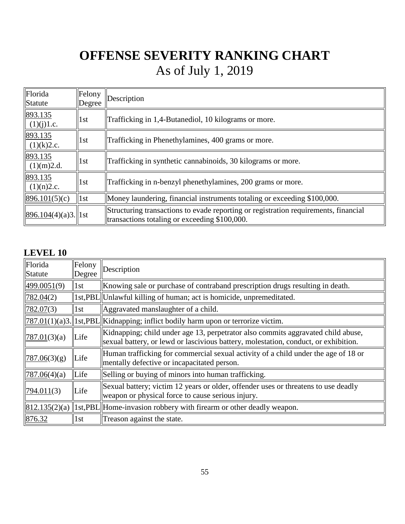| Florida<br>Statute      | Felony<br>Degree | Description                                                                                                                          |  |  |  |  |  |  |
|-------------------------|------------------|--------------------------------------------------------------------------------------------------------------------------------------|--|--|--|--|--|--|
| 893.135<br>(1)(j)1.c.   | 1st              | Trafficking in 1,4-Butanediol, 10 kilograms or more.                                                                                 |  |  |  |  |  |  |
| 893.135<br>(1)(k)2.c.   | 1st              | Trafficking in Phenethylamines, 400 grams or more.                                                                                   |  |  |  |  |  |  |
| 893.135<br>(1)(m)2.d.   | 1st              | Trafficking in synthetic cannabinoids, 30 kilograms or more.                                                                         |  |  |  |  |  |  |
| 893.135<br>(1)(n)2.c.   | 1st              | Trafficking in n-benzyl phenethylamines, 200 grams or more.                                                                          |  |  |  |  |  |  |
| 896.101(5)(c)           | 1st              | Money laundering, financial instruments totaling or exceeding \$100,000.                                                             |  |  |  |  |  |  |
| $896.104(4)(a)3.$   1st |                  | Structuring transactions to evade reporting or registration requirements, financial<br>transactions totaling or exceeding \$100,000. |  |  |  |  |  |  |

### **LEVEL 10**

| Florida<br>Statute | Felony<br>Degree | Description                                                                                                                                                             |
|--------------------|------------------|-------------------------------------------------------------------------------------------------------------------------------------------------------------------------|
| 499.0051(9)        | 1st              | Knowing sale or purchase of contraband prescription drugs resulting in death.                                                                                           |
| 782.04(2)          |                  | 1st, PBL Unlawful killing of human; act is homicide, unpremeditated.                                                                                                    |
| 782.07(3)          | 1st              | Aggravated manslaughter of a child.                                                                                                                                     |
|                    |                  | $\ 787.01(1)(a)3.\ 1st,PBL\ $ Kidnapping; inflict bodily harm upon or terrorize victim.                                                                                 |
| 787.01(3)(a)       | Life             | Kidnapping; child under age 13, perpetrator also commits aggravated child abuse,<br>sexual battery, or lewd or lascivious battery, molestation, conduct, or exhibition. |
| 787.06(3)(g)       | Life             | Human trafficking for commercial sexual activity of a child under the age of 18 or<br>mentally defective or incapacitated person.                                       |
| 787.06(4)(a)       | Life             | Selling or buying of minors into human trafficking.                                                                                                                     |
| 794.011(3)         | Life             | Sexual battery; victim 12 years or older, offender uses or threatens to use deadly<br>weapon or physical force to cause serious injury.                                 |
|                    |                  | $\left\  812.135(2)(a) \right\  1$ st, PBL Home-invasion robbery with firearm or other deadly weapon.                                                                   |
| 876.32             | 1st              | Treason against the state.                                                                                                                                              |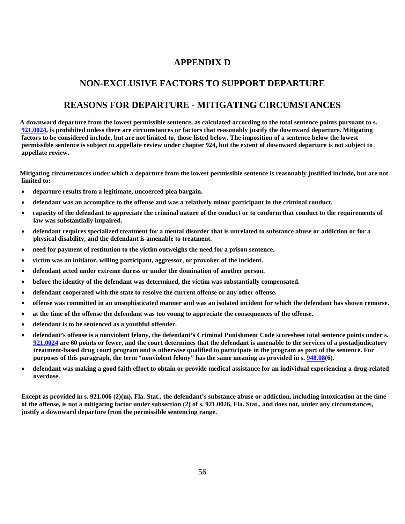#### **APPENDIX D**

#### **NON-EXCLUSIVE FACTORS TO SUPPORT DEPARTURE**

#### **REASONS FOR DEPARTURE - MITIGATING CIRCUMSTANCES**

**A downward departure from the lowest permissible sentence, as calculated according to the total sentence points pursuant to s. [921.0024,](http://www.leg.state.fl.us/statutes/index.cfm?App_mode=Display_Statute&Search_String=921.0026&URL=0900-0999/0921/Sections/0921.0024.html) is prohibited unless there are circumstances or factors that reasonably justify the downward departure. Mitigating factors to be considered include, but are not limited to, those listed below. The imposition of a sentence below the lowest permissible sentence is subject to appellate review under chapter 924, but the extent of downward departure is not subject to appellate review.**

**Mitigating circumstances under which a departure from the lowest permissible sentence is reasonably justified include, but are not limited to:**

- **departure results from a legitimate, uncoerced plea bargain.**
- **defendant was an accomplice to the offense and was a relatively minor participant in the criminal conduct.**
- **capacity of the defendant to appreciate the criminal nature of the conduct or to conform that conduct to the requirements of law was substantially impaired.**
- **defendant requires specialized treatment for a mental disorder that is unrelated to substance abuse or addiction or for a physical disability, and the defendant is amenable to treatment.**
- **need for payment of restitution to the victim outweighs the need for a prison sentence.**
- **victim was an initiator, willing participant, aggressor, or provoker of the incident.**
- **defendant acted under extreme duress or under the domination of another person.**
- **before the identity of the defendant was determined, the victim was substantially compensated.**
- **defendant cooperated with the state to resolve the current offense or any other offense.**
- **offense was committed in an unsophisticated manner and was an isolated incident for which the defendant has shown remorse.**
- **at the time of the offense the defendant was too young to appreciate the consequences of the offense.**
- **defendant is to be sentenced as a youthful offender.**
- **defendant's offense is a nonviolent felony, the defendant's Criminal Punishment Code scoresheet total sentence points under s. [921.0024](http://www.leg.state.fl.us/statutes/index.cfm?App_mode=Display_Statute&Search_String=921.0026&URL=0900-0999/0921/Sections/0921.0024.html) are 60 points or fewer, and the court determines that the defendant is amenable to the services of a postadjudicatory treatment-based drug court program and is otherwise qualified to participate in the program as part of the sentence. For purposes of this paragraph, the term "nonviolent felony" has the same meaning as provided in s. [948.08\(](http://www.leg.state.fl.us/statutes/index.cfm?App_mode=Display_Statute&Search_String=921.0026&URL=0900-0999/0948/Sections/0948.08.html)6).**
- **defendant was making a good faith effort to obtain or provide medical assistance for an individual experiencing a drug-related overdose.**

**Except as provided in s. 921.006 (2)(m), Fla. Stat., the defendant's substance abuse or addiction, including intoxication at the time of the offense, is not a mitigating factor under subsection (2) of s. 921.0026, Fla. Stat., and does not, under any circumstances, justify a downward departure from the permissible sentencing range.**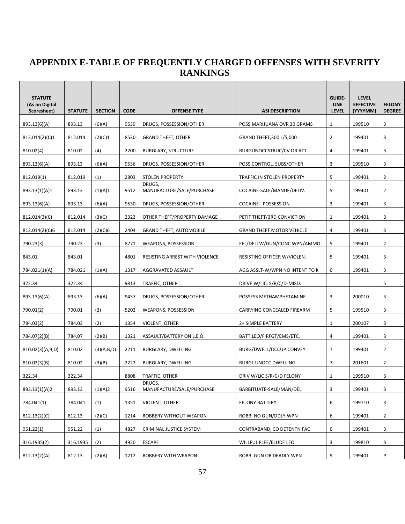### **APPENDIX E-TABLE OF FREQUENTLY CHARGED OFFENSES WITH SEVERITY RANKINGS**

 $\blacksquare$ 

| <b>STATUTE</b><br>(As on Digital<br>Scoresheet) | <b>STATUTE</b> | <b>SECTION</b> | <b>CODE</b> | <b>OFFENSE TYPE</b>                 | <b>ASI DESCRIPTION</b>           | <b>GUIDE-</b><br><b>LINE</b><br><b>LEVEL</b> | <b>LEVEL</b><br><b>EFFECTIVE</b><br>(YYYYMM) | <b>FELONY</b><br><b>DEGREE</b> |
|-------------------------------------------------|----------------|----------------|-------------|-------------------------------------|----------------------------------|----------------------------------------------|----------------------------------------------|--------------------------------|
| 893.13(6)(A)                                    | 893.13         | (6)(A)         | 9539        | DRUGS, POSSESSION/OTHER             | POSS.MARIJUANA OVR 20 GRAMS      | 1                                            | 199510                                       | 3                              |
| 812.014(2)(C)1                                  | 812.014        | (2)(C)1        | 8530        | <b>GRAND THEFT, OTHER</b>           | GRAND THEFT, 300 L/5,000         | $\overline{2}$                               | 199401                                       | 3                              |
| 810.02(4)                                       | 810.02         | (4)            | 2200        | <b>BURGLARY, STRUCTURE</b>          | BURGUNOCCSTRUC/CV OR ATT.        | 4                                            | 199401                                       | 3                              |
| 893.13(6)(A)                                    | 893.13         | (6)(A)         | 9536        | DRUGS, POSSESSION/OTHER             | POSS.CONTROL. SUBS/OTHER         | 3                                            | 199510                                       | 3                              |
| 812.019(1)                                      | 812.019        | (1)            | 2803        | <b>STOLEN PROPERTY</b>              | TRAFFIC IN STOLEN PROPERTY       | 5                                            | 199401                                       | $\overline{2}$                 |
| 893.13(1)(A)1                                   | 893.13         | (1)(A)1        | 9512        | DRUGS,<br>MANUFACTURE/SALE/PURCHASE | COCAINE-SALE/MANUF/DELIV.        | 5                                            | 199401                                       | $\overline{2}$                 |
| 893.13(6)(A)                                    | 893.13         | (6)(A)         | 9530        | DRUGS, POSSESSION/OTHER             | <b>COCAINE - POSSESSION</b>      | 3                                            | 199401                                       | 3                              |
| 812.014(3)(C)                                   | 812.014        | (3)(C)         | 2323        | OTHER THEFT/PROPERTY DAMAGE         | PETIT THEFT/3RD CONVICTION       | 1                                            | 199401                                       | 3                              |
| 812.014(2)(C)6                                  | 812.014        | (2)(C)6        | 2404        | <b>GRAND THEFT, AUTOMOBILE</b>      | <b>GRAND THEFT MOTOR VEHICLE</b> | 4                                            | 199401                                       | 3                              |
| 790.23(3)                                       | 790.23         | (3)            | 8771        | <b>WEAPONS, POSSESSION</b>          | FEL/DELI W/GUN/CONC WPN/AMMO     | 5                                            | 199401                                       | $\overline{2}$                 |
| 843.01                                          | 843.01         |                | 4801        | RESISTING ARREST WITH VIOLENCE      | RESISTING OFFICER W/VIOLEN.      | 5                                            | 199401                                       | 3                              |
| 784.021(1)(A)                                   | 784.021        | (1)(A)         | 1317        | AGGRAVATED ASSAULT                  | AGG ASSLT-W/WPN NO INTENT TO K   | 6                                            | 199401                                       | 3                              |
| 322.34                                          | 322.34         |                | 9813        | TRAFFIC, OTHER                      | DRIVE W/LIC. S/R/C/D-MISD.       |                                              |                                              | 5                              |
| 893.13(6)(A)                                    | 893.13         | (6)(A)         | 9437        | DRUGS, POSSESSION/OTHER             | POSSESS METHAMPHETAMINE          | 3                                            | 200010                                       | 3                              |
| 790.01(2)                                       | 790.01         | (2)            | 5202        | WEAPONS, POSSESSION                 | CARRYING CONCEALED FIREARM       | 5                                            | 199510                                       | 3                              |
| 784.03(2)                                       | 784.03         | (2)            | 1354        | VIOLENT, OTHER                      | 2+ SIMPLE BATTERY                | $\mathbf{1}$                                 | 200107                                       | 3                              |
| 784.07(2)(B)                                    | 784.07         | (2)(B)         | 1321        | ASSAULT/BATTERY ON L.E.O.           | BATT.LEO/FIRFGT/EMS/ETC.         | 4                                            | 199401                                       | 3                              |
| 810.02(3)(A,B,D)                                | 810.02         | (3)(A,B,D)     | 2211        | BURGLARY, DWELLING                  | BURG/DWELL/OCCUP.CONVEY          | 7                                            | 199401                                       | 2                              |
| 810.02(3)(B)                                    | 810.02         | (3)(B)         | 2222        | BURGLARY, DWELLING                  | <b>BURGL UNOCC DWELLING</b>      | $\overline{7}$                               | 201601                                       | $\overline{2}$                 |
| 322.34                                          | 322.34         |                | 8808        | TRAFFIC, OTHER                      | DRIV W/LIC S/R/C/D FELONY        | 1                                            | 199510                                       | 3                              |
| 893.13(1)(A)2                                   | 893.13         | (1)(A)2        | 9516        | DRUGS,<br>MANUFACTURE/SALE/PURCHASE | BARBITUATE-SALE/MAN/DEL          | 3                                            | 199401                                       | 3                              |
| 784.041(1)                                      | 784.041        | (1)            | 1351        | VIOLENT, OTHER                      | <b>FELONY BATTERY</b>            | 6                                            | 199710                                       | 3                              |
| 812.13(2)(C)                                    | 812.13         | (2)(C)         | 1214        | ROBBERY WITHOUT WEAPON              | ROBB. NO GUN/DDLY.WPN            | 6                                            | 199401                                       | $\overline{2}$                 |
| 951.22(1)                                       | 951.22         | (1)            | 4827        | CRIMINAL JUSTICE SYSTEM             | CONTRABAND, CO DETENTN FAC       | 6                                            | 199401                                       | 3                              |
| 316.1935(2)                                     | 316.1935       | (2)            | 4920        | <b>ESCAPE</b>                       | WILLFUL FLEE/ELUDE LEO           | 3                                            | 199810                                       | 3                              |
| 812.13(2)(A)                                    | 812.13         | (2)(A)         | 1212        | ROBBERY WITH WEAPON                 | ROBB. GUN OR DEADLY WPN          | 9                                            | 199401                                       | P                              |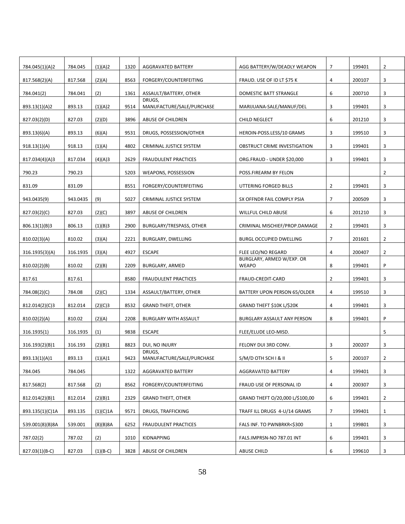| 784.045(1)(A)2  | 784.045  | (1)(A)2    | 1320 | AGGRAVATED BATTERY                  | AGG BATTERY/W/DEADLY WEAPON               | 7              | 199401 | 2              |
|-----------------|----------|------------|------|-------------------------------------|-------------------------------------------|----------------|--------|----------------|
| 817.568(2)(A)   | 817.568  | (2)(A)     | 8563 | FORGERY/COUNTERFEITING              | FRAUD. USE OF ID LT \$75 K                | 4              | 200107 | 3              |
| 784.041(2)      | 784.041  | (2)        | 1361 | ASSAULT/BATTERY, OTHER              | DOMESTIC BATT STRANGLE                    | 6              | 200710 | 3              |
| 893.13(1)(A)2   | 893.13   | (1)(A)2    | 9514 | DRUGS.<br>MANUFACTURE/SALE/PURCHASE | MARIJUANA-SALE/MANUF/DEL                  | 3              | 199401 | 3              |
| 827.03(2)(D)    | 827.03   | (2)(D)     | 3896 | ABUSE OF CHILDREN                   | CHILD NEGLECT                             | 6              | 201210 | 3              |
| 893.13(6)(A)    | 893.13   | (6)(A)     | 9531 | DRUGS, POSSESSION/OTHER             | HEROIN-POSS.LESS/10 GRAMS                 | 3              | 199510 | 3              |
| 918.13(1)(A)    | 918.13   | (1)(A)     | 4802 | CRIMINAL JUSTICE SYSTEM             | OBSTRUCT CRIME INVESTIGATION              | 3              | 199401 | 3              |
| 817.034(4)(A)3  | 817.034  | (4)(A)3    | 2629 | <b>FRAUDULENT PRACTICES</b>         | ORG.FRAUD - UNDER \$20,000                | 3              | 199401 | 3              |
| 790.23          | 790.23   |            | 5203 | WEAPONS, POSSESSION                 | POSS.FIREARM BY FELON                     |                |        | $\overline{2}$ |
| 831.09          | 831.09   |            | 8551 | FORGERY/COUNTERFEITING              | UTTERING FORGED BILLS                     | $\overline{2}$ | 199401 | 3              |
| 943.0435(9)     | 943.0435 | (9)        | 5027 | CRIMINAL JUSTICE SYSTEM             | SX OFFNDR FAIL COMPLY PSIA                | $\overline{7}$ | 200509 | 3              |
| 827.03(2)(C)    | 827.03   | (2)(C)     | 3897 | ABUSE OF CHILDREN                   | <b>WILLFUL CHILD ABUSE</b>                | 6              | 201210 | 3              |
| 806.13(1)(B)3   | 806.13   | (1)(B)3    | 2900 | BURGLARY/TRESPASS, OTHER            | CRIMINAL MISCHIEF/PROP.DAMAGE             | $\overline{2}$ | 199401 | 3              |
| 810.02(3)(A)    | 810.02   | (3)(A)     | 2221 | BURGLARY, DWELLING                  | <b>BURGL OCCUPIED DWELLING</b>            | $\overline{7}$ | 201601 | 2              |
| 316.1935(3)(A)  | 316.1935 | (3)(A)     | 4927 | <b>ESCAPE</b>                       | FLEE LEO/NO REGARD                        | 4              | 200407 | 2              |
| 810.02(2)(B)    | 810.02   | (2)(B)     | 2209 | BURGLARY, ARMED                     | BURGLARY, ARMED W/EXP. OR<br><b>WEAPO</b> | 8              | 199401 | P              |
| 817.61          | 817.61   |            | 8580 | FRAUDULENT PRACTICES                | FRAUD-CREDIT-CARD                         | $\overline{2}$ | 199401 | 3              |
| 784.08(2)(C)    | 784.08   | (2)(C)     | 1334 | ASSAULT/BATTERY, OTHER              | BATTERY UPON PERSON 65/OLDER              | 4              | 199510 | 3              |
| 812.014(2)(C)3  | 812.014  | (2)(C)3    | 8532 | <b>GRAND THEFT, OTHER</b>           | GRAND THEFT \$10K L/\$20K                 | 4              | 199401 | 3              |
| 810.02(2)(A)    | 810.02   | (2)(A)     | 2208 | <b>BURGLARY WITH ASSAULT</b>        | BURGLARY ASSAULT ANY PERSON               | 8              | 199401 | P              |
| 316.1935(1)     | 316.1935 | (1)        | 9838 | <b>ESCAPE</b>                       | FLEE/ELUDE LEO-MISD.                      |                |        | 5              |
| 316.193(2)(B)1  | 316.193  | (2)(B)1    | 8823 | DUI, NO INJURY                      | FELONY DUI 3RD CONV.                      | 3              | 200207 | 3              |
| 893.13(1)(A)1   | 893.13   | (1)(A)1    | 9423 | DRUGS,<br>MANUFACTURE/SALE/PURCHASE | S/M/D OTH SCH I & II                      | 5              | 200107 | $\overline{2}$ |
| 784.045         | 784.045  |            | 1322 | AGGRAVATED BATTERY                  | AGGRAVATED BATTERY                        | 4              | 199401 | 3              |
| 817.568(2)      | 817.568  | (2)        | 8562 | FORGERY/COUNTERFEITING              | FRAUD USE OF PERSONAL ID                  | 4              | 200307 | 3              |
| 812.014(2)(B)1  | 812.014  | (2)(B)1    | 2329 | <b>GRAND THEFT, OTHER</b>           | GRAND THEFT O/20,000 L/\$100,00           | 6              | 199401 | $\overline{2}$ |
| 893.135(1)(C)1A | 893.135  | (1)(C)1A   | 9571 | DRUGS, TRAFFICKING                  | TRAFF ILL DRUGS 4-U/14 GRAMS              | 7              | 199401 | 1              |
| 539.001(8)(B)8A | 539.001  | (8)(B)8A   | 6252 | <b>FRAUDULENT PRACTICES</b>         | FALS INF. TO PWNBRKR<\$300                | $\mathbf{1}$   | 199801 | 3              |
| 787.02(2)       | 787.02   | (2)        | 1010 | KIDNAPPING                          | FALS.IMPRSN-NO 787.01 INT                 | 6              | 199401 | 3              |
| 827.03(1)(B-C)  | 827.03   | $(1)(B-C)$ | 3828 | ABUSE OF CHILDREN                   | <b>ABUSE CHILD</b>                        | 6              | 199610 | 3              |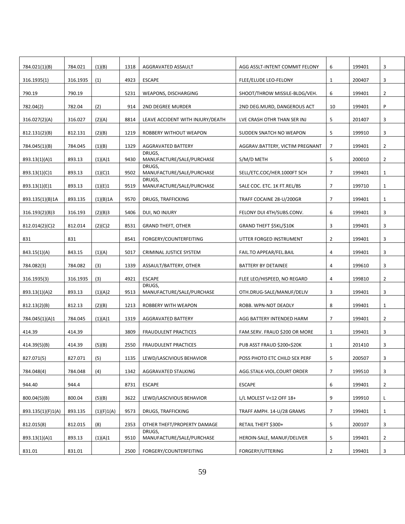| 784.021(1)(B)     | 784.021  | (1)(B)     | 1318 | AGGRAVATED ASSAULT                    | AGG ASSLT-INTENT COMMIT FELONY  | 6              | 199401 | 3              |
|-------------------|----------|------------|------|---------------------------------------|---------------------------------|----------------|--------|----------------|
| 316.1935(1)       | 316.1935 | (1)        | 4923 | <b>ESCAPE</b>                         | FLEE/ELUDE LEO-FELONY           | $\mathbf{1}$   | 200407 | 3              |
| 790.19            | 790.19   |            | 5231 | WEAPONS, DISCHARGING                  | SHOOT/THROW MISSILE-BLDG/VEH.   | 6              | 199401 | 2              |
| 782.04(2)         | 782.04   | (2)        | 914  | 2ND DEGREE MURDER                     | 2ND DEG.MURD, DANGEROUS ACT     | 10             | 199401 | P              |
| 316.027(2)(A)     | 316.027  | (2)(A)     | 8814 | LEAVE ACCIDENT WITH INJURY/DEATH      | LVE CRASH OTHR THAN SER INJ     | 5              | 201407 | 3              |
| 812.131(2)(B)     | 812.131  | (2)(B)     | 1219 | ROBBERY WITHOUT WEAPON                | SUDDEN SNATCH NO WEAPON         | 5              | 199910 | 3              |
| 784.045(1)(B)     | 784.045  | (1)(B)     | 1329 | AGGRAVATED BATTERY                    | AGGRAV.BATTERY, VICTIM PREGNANT | $\overline{7}$ | 199401 | $\overline{2}$ |
| 893.13(1)(A)1     | 893.13   | (1)(A)1    | 9430 | DRUGS.<br>MANUFACTURE/SALE/PURCHASE   | S/M/D METH                      | 5              | 200010 | 2              |
| 893.13(1)(C)1     | 893.13   | (1)(C)1    | 9502 | DRUGS.<br>MANUFACTURE/SALE/PURCHASE   | SELL/ETC.COC/HER.1000FT SCH     | 7              | 199401 | 1              |
| 893.13(1)(E)1     | 893.13   | (1)(E)1    | 9519 | DRUGS,<br>MANUFACTURE/SALE/PURCHASE   | SALE COC. ETC. 1K FT.REL/BS     | 7              | 199710 | $\mathbf{1}$   |
| 893.135(1)(B)1A   | 893.135  | (1)(B)1A   | 9570 | DRUGS, TRAFFICKING                    | TRAFF COCAINE 28-U/200GR        | 7              | 199401 | 1              |
| 316.193(2)(B)3    | 316.193  | (2)(B)3    | 5406 | DUI, NO INJURY                        | FELONY DUI 4TH/SUBS.CONV.       | 6              | 199401 | 3              |
| 812.014(2)(C)2    | 812.014  | (2)(C)2    | 8531 | <b>GRAND THEFT, OTHER</b>             | GRAND THEFT \$5KL/\$10K         | 3              | 199401 | 3              |
| 831               | 831      |            | 8541 | FORGERY/COUNTERFEITING                | UTTER FORGED INSTRUMENT         | $\overline{2}$ | 199401 | 3              |
| 843.15(1)(A)      | 843.15   | (1)(A)     | 5017 | CRIMINAL JUSTICE SYSTEM               | FAIL.TO APPEAR/FEL.BAIL         | 4              | 199401 | 3              |
| 784.082(3)        | 784.082  | (3)        | 1339 | ASSAULT/BATTERY, OTHER                | BATTERY BY DETAINEE             | 4              | 199610 | 3              |
| 316.1935(3)       | 316.1935 | (3)        | 4921 | <b>ESCAPE</b>                         | FLEE LEO/HISPEED, NO REGARD     | 4              | 199810 | $\overline{2}$ |
| 893.13(1)(A)2     | 893.13   | (1)(A)2    | 9513 | DRUGS,<br>MANUFACTURE/SALE/PURCHASE   | OTH.DRUG-SALE/MANUF/DELIV       | 3              | 199401 | 3              |
| 812.13(2)(B)      | 812.13   | (2)(B)     | 1213 | ROBBERY WITH WEAPON                   | ROBB. WPN-NOT DEADLY            | 8              | 199401 | $\mathbf{1}$   |
| 784.045(1)(A)1    | 784.045  | (1)(A)1    | 1319 | AGGRAVATED BATTERY                    | AGG BATTERY INTENDED HARM       | 7              | 199401 | 2              |
| 414.39            | 414.39   |            | 3809 | <b>FRAUDULENT PRACTICES</b>           | FAM.SERV. FRAUD \$200 OR MORE   | 1              | 199401 | 3              |
| 414.39(5)(B)      | 414.39   | (5)(B)     | 2550 | <b>FRAUDULENT PRACTICES</b>           | PUB ASST FRAUD \$200<\$20K      | $\mathbf{1}$   | 201410 | 3              |
| 827.071(5)        | 827.071  | (5)        | 1135 | LEWD/LASCIVIOUS BEHAVIOR              | POSS PHOTO ETC CHILD SEX PERF   | 5              | 200507 | 3              |
| 784.048(4)        | 784.048  | (4)        | 1342 | AGGRAVATED STALKING                   | AGG.STALK-VIOL.COURT ORDER      | 7              | 199510 | 3              |
| 944.40            | 944.4    |            | 8731 | <b>ESCAPE</b>                         | <b>ESCAPE</b>                   | 6              | 199401 | 2              |
| 800.04(5)(B)      | 800.04   | (5)(B)     | 3622 | LEWD/LASCIVIOUS BEHAVIOR              | L/L MOLEST V<12 OFF 18+         | 9              | 199910 | L              |
|                   |          |            |      |                                       |                                 |                |        |                |
| 893.135(1)(F)1(A) | 893.135  | (1)(F)1(A) | 9573 | DRUGS, TRAFFICKING                    | TRAFF AMPH. 14-U/28 GRAMS       | 7              | 199401 | 1              |
| 812.015(8)        | 812.015  | (8)        | 2353 | OTHER THEFT/PROPERTY DAMAGE<br>DRUGS, | RETAIL THEFT \$300+             | 5              | 200107 | 3              |
| 893.13(1)(A)1     | 893.13   | (1)(A)1    | 9510 | MANUFACTURE/SALE/PURCHASE             | HEROIN-SALE, MANUF/DELIVER      | 5              | 199401 | $\overline{2}$ |
| 831.01            | 831.01   |            | 2500 | FORGERY/COUNTERFEITING                | FORGERY/UTTERING                | $\overline{2}$ | 199401 | 3              |